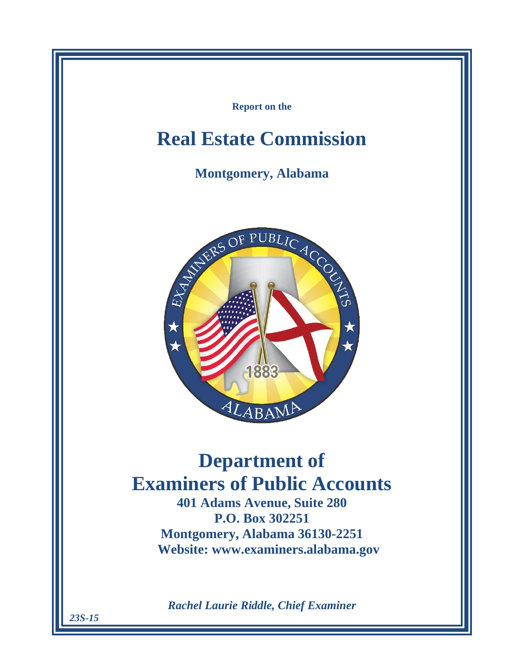

*23S-15*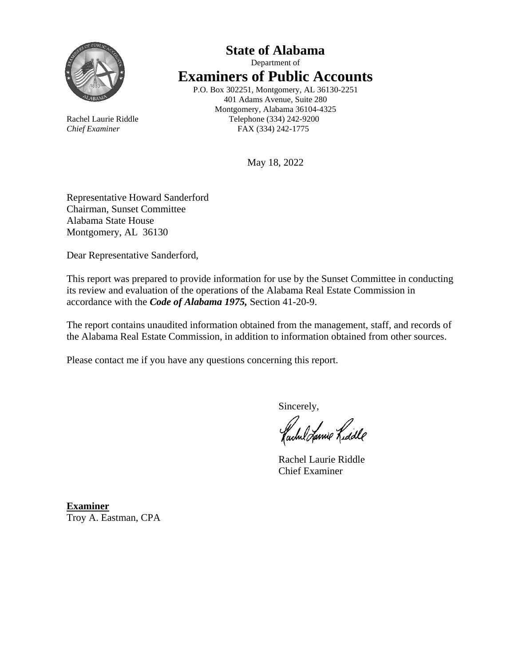

## **State of Alabama** Department of **Examiners of Public Accounts** P.O. Box 302251, Montgomery, AL 36130-2251

401 Adams Avenue, Suite 280 Montgomery, Alabama 36104-4325 Rachel Laurie Riddle Telephone (334) 242-9200 *Chief Examiner* FAX (334) 242-1775

May 18, 2022

Representative Howard Sanderford Chairman, Sunset Committee Alabama State House Montgomery, AL 36130

Dear Representative Sanderford,

This report was prepared to provide information for use by the Sunset Committee in conducting its review and evaluation of the operations of the Alabama Real Estate Commission in accordance with the *Code of Alabama 1975,* Section 41-20-9.

The report contains unaudited information obtained from the management, staff, and records of the Alabama Real Estate Commission, in addition to information obtained from other sources.

Please contact me if you have any questions concerning this report.

Sincerely,

fachel Lanie Lidde

Rachel Laurie Riddle Chief Examiner

**Examiner** Troy A. Eastman, CPA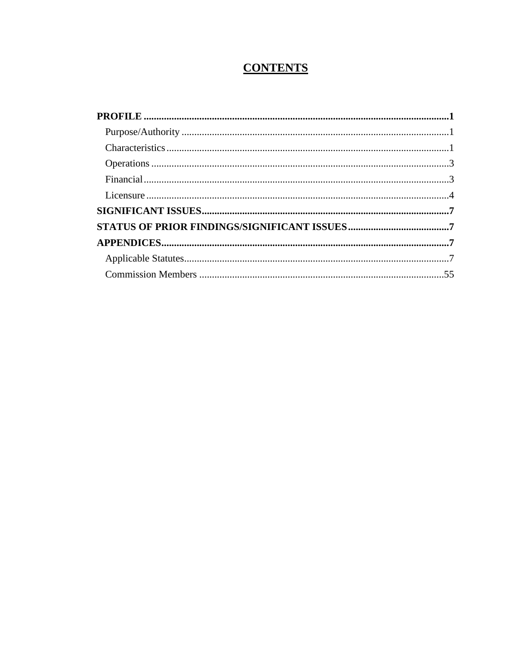# **CONTENTS**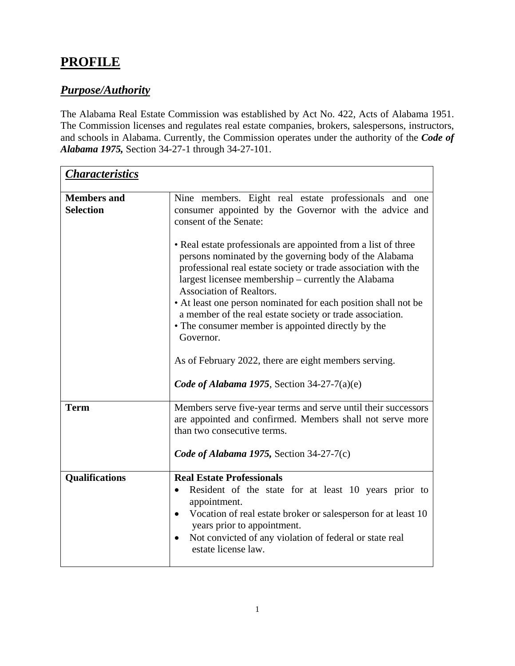# <span id="page-6-0"></span>**PROFILE**

## <span id="page-6-1"></span>*Purpose/Authority*

The Alabama Real Estate Commission was established by Act No. 422, Acts of Alabama 1951. The Commission licenses and regulates real estate companies, brokers, salespersons, instructors, and schools in Alabama. Currently, the Commission operates under the authority of the *Code of Alabama 1975,* Section 34-27-1 through 34-27-101.

<span id="page-6-2"></span>

| <b>Characteristics</b>                 |                                                                                                                                                                                                                                                                                                                                                                                                                                                                                                                                                                                                                                                                                                                                             |  |  |  |
|----------------------------------------|---------------------------------------------------------------------------------------------------------------------------------------------------------------------------------------------------------------------------------------------------------------------------------------------------------------------------------------------------------------------------------------------------------------------------------------------------------------------------------------------------------------------------------------------------------------------------------------------------------------------------------------------------------------------------------------------------------------------------------------------|--|--|--|
| <b>Members and</b><br><b>Selection</b> | Nine members. Eight real estate professionals and one<br>consumer appointed by the Governor with the advice and<br>consent of the Senate:<br>• Real estate professionals are appointed from a list of three<br>persons nominated by the governing body of the Alabama<br>professional real estate society or trade association with the<br>largest licensee membership – currently the Alabama<br><b>Association of Realtors.</b><br>• At least one person nominated for each position shall not be<br>a member of the real estate society or trade association.<br>• The consumer member is appointed directly by the<br>Governor.<br>As of February 2022, there are eight members serving.<br>Code of Alabama 1975, Section 34-27-7(a)(e) |  |  |  |
| <b>Term</b>                            | Members serve five-year terms and serve until their successors<br>are appointed and confirmed. Members shall not serve more<br>than two consecutive terms.                                                                                                                                                                                                                                                                                                                                                                                                                                                                                                                                                                                  |  |  |  |
|                                        | Code of Alabama 1975, Section 34-27-7(c)                                                                                                                                                                                                                                                                                                                                                                                                                                                                                                                                                                                                                                                                                                    |  |  |  |
| <b>Qualifications</b>                  | <b>Real Estate Professionals</b><br>Resident of the state for at least 10 years prior to<br>appointment.<br>Vocation of real estate broker or salesperson for at least 10<br>$\bullet$<br>years prior to appointment.<br>Not convicted of any violation of federal or state real<br>$\bullet$<br>estate license law.                                                                                                                                                                                                                                                                                                                                                                                                                        |  |  |  |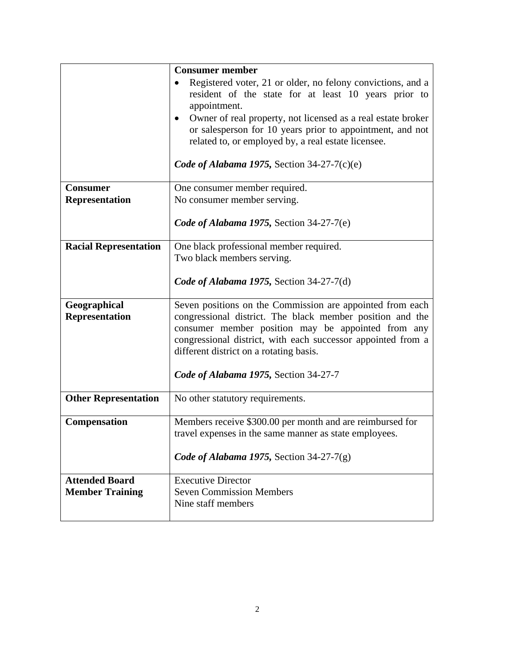|                              | <b>Consumer member</b>                                                                                                    |  |  |  |  |
|------------------------------|---------------------------------------------------------------------------------------------------------------------------|--|--|--|--|
|                              | Registered voter, 21 or older, no felony convictions, and a                                                               |  |  |  |  |
|                              | resident of the state for at least 10 years prior to                                                                      |  |  |  |  |
|                              | appointment.                                                                                                              |  |  |  |  |
|                              | Owner of real property, not licensed as a real estate broker<br>or salesperson for 10 years prior to appointment, and not |  |  |  |  |
|                              | related to, or employed by, a real estate licensee.                                                                       |  |  |  |  |
|                              |                                                                                                                           |  |  |  |  |
|                              | Code of Alabama 1975, Section 34-27-7(c)(e)                                                                               |  |  |  |  |
| <b>Consumer</b>              | One consumer member required.                                                                                             |  |  |  |  |
| <b>Representation</b>        | No consumer member serving.                                                                                               |  |  |  |  |
|                              | Code of Alabama 1975, Section 34-27-7(e)                                                                                  |  |  |  |  |
|                              |                                                                                                                           |  |  |  |  |
| <b>Racial Representation</b> | One black professional member required.                                                                                   |  |  |  |  |
|                              | Two black members serving.                                                                                                |  |  |  |  |
|                              | Code of Alabama 1975, Section 34-27-7(d)                                                                                  |  |  |  |  |
|                              |                                                                                                                           |  |  |  |  |
| Geographical                 | Seven positions on the Commission are appointed from each                                                                 |  |  |  |  |
| <b>Representation</b>        | congressional district. The black member position and the<br>consumer member position may be appointed from any           |  |  |  |  |
|                              | congressional district, with each successor appointed from a                                                              |  |  |  |  |
|                              | different district on a rotating basis.                                                                                   |  |  |  |  |
|                              |                                                                                                                           |  |  |  |  |
|                              | Code of Alabama 1975, Section 34-27-7                                                                                     |  |  |  |  |
| <b>Other Representation</b>  | No other statutory requirements.                                                                                          |  |  |  |  |
| Compensation                 | Members receive \$300.00 per month and are reimbursed for                                                                 |  |  |  |  |
|                              | travel expenses in the same manner as state employees.                                                                    |  |  |  |  |
|                              |                                                                                                                           |  |  |  |  |
|                              | Code of Alabama 1975, Section 34-27-7(g)                                                                                  |  |  |  |  |
| <b>Attended Board</b>        | <b>Executive Director</b>                                                                                                 |  |  |  |  |
| <b>Member Training</b>       | <b>Seven Commission Members</b>                                                                                           |  |  |  |  |
|                              | Nine staff members                                                                                                        |  |  |  |  |
|                              |                                                                                                                           |  |  |  |  |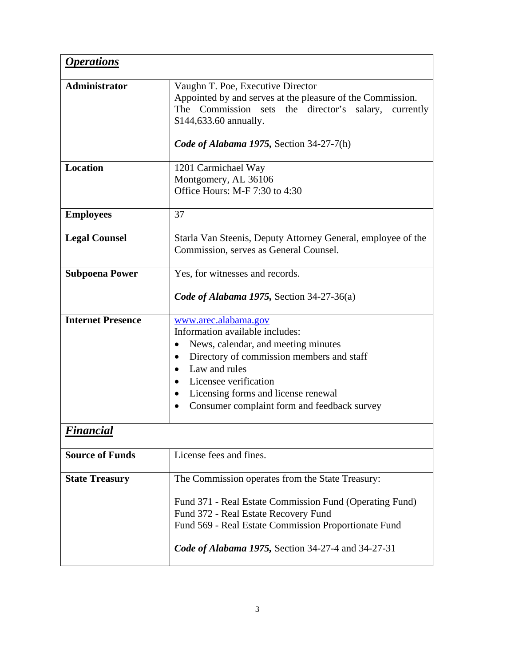<span id="page-8-1"></span><span id="page-8-0"></span>

| <i><b>Operations</b></i> |                                                              |  |  |  |
|--------------------------|--------------------------------------------------------------|--|--|--|
| <b>Administrator</b>     | Vaughn T. Poe, Executive Director                            |  |  |  |
|                          | Appointed by and serves at the pleasure of the Commission.   |  |  |  |
|                          | The Commission sets the director's salary,<br>currently      |  |  |  |
|                          | \$144,633.60 annually.                                       |  |  |  |
|                          | Code of Alabama 1975, Section 34-27-7(h)                     |  |  |  |
|                          |                                                              |  |  |  |
| <b>Location</b>          | 1201 Carmichael Way                                          |  |  |  |
|                          | Montgomery, AL 36106                                         |  |  |  |
|                          | Office Hours: M-F 7:30 to 4:30                               |  |  |  |
| <b>Employees</b>         | 37                                                           |  |  |  |
|                          |                                                              |  |  |  |
| <b>Legal Counsel</b>     | Starla Van Steenis, Deputy Attorney General, employee of the |  |  |  |
|                          | Commission, serves as General Counsel.                       |  |  |  |
|                          |                                                              |  |  |  |
| <b>Subpoena Power</b>    | Yes, for witnesses and records.                              |  |  |  |
|                          |                                                              |  |  |  |
|                          | Code of Alabama 1975, Section 34-27-36(a)                    |  |  |  |
| <b>Internet Presence</b> | www.arec.alabama.gov                                         |  |  |  |
|                          | Information available includes:                              |  |  |  |
|                          | News, calendar, and meeting minutes                          |  |  |  |
|                          | Directory of commission members and staff                    |  |  |  |
|                          | Law and rules                                                |  |  |  |
|                          | Licensee verification                                        |  |  |  |
|                          | Licensing forms and license renewal                          |  |  |  |
|                          | Consumer complaint form and feedback survey                  |  |  |  |
| <u>Financial</u>         |                                                              |  |  |  |
| <b>Source of Funds</b>   | License fees and fines.                                      |  |  |  |
|                          |                                                              |  |  |  |
| <b>State Treasury</b>    | The Commission operates from the State Treasury:             |  |  |  |
|                          | Fund 371 - Real Estate Commission Fund (Operating Fund)      |  |  |  |
|                          | Fund 372 - Real Estate Recovery Fund                         |  |  |  |
|                          | Fund 569 - Real Estate Commission Proportionate Fund         |  |  |  |
|                          |                                                              |  |  |  |
|                          | <b>Code of Alabama 1975, Section 34-27-4 and 34-27-31</b>    |  |  |  |
|                          |                                                              |  |  |  |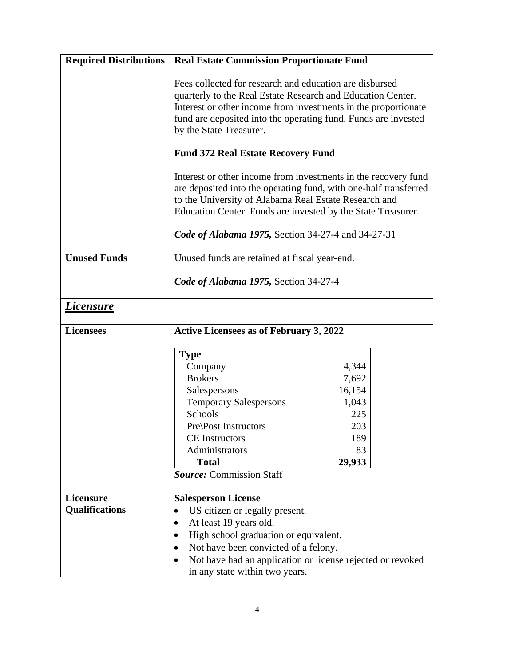<span id="page-9-0"></span>

| <b>Required Distributions</b> | <b>Real Estate Commission Proportionate Fund</b>                                                                                                                                                                                                                                      |        |  |  |
|-------------------------------|---------------------------------------------------------------------------------------------------------------------------------------------------------------------------------------------------------------------------------------------------------------------------------------|--------|--|--|
|                               | Fees collected for research and education are disbursed<br>quarterly to the Real Estate Research and Education Center.<br>Interest or other income from investments in the proportionate<br>fund are deposited into the operating fund. Funds are invested<br>by the State Treasurer. |        |  |  |
|                               | <b>Fund 372 Real Estate Recovery Fund</b>                                                                                                                                                                                                                                             |        |  |  |
|                               | Interest or other income from investments in the recovery fund<br>are deposited into the operating fund, with one-half transferred<br>to the University of Alabama Real Estate Research and<br>Education Center. Funds are invested by the State Treasurer.                           |        |  |  |
|                               | Code of Alabama 1975, Section 34-27-4 and 34-27-31                                                                                                                                                                                                                                    |        |  |  |
| <b>Unused Funds</b>           | Unused funds are retained at fiscal year-end.                                                                                                                                                                                                                                         |        |  |  |
|                               | Code of Alabama 1975, Section 34-27-4                                                                                                                                                                                                                                                 |        |  |  |
| <i>Licensure</i>              |                                                                                                                                                                                                                                                                                       |        |  |  |
| <b>Licensees</b>              | <b>Active Licensees as of February 3, 2022</b>                                                                                                                                                                                                                                        |        |  |  |
|                               | <b>Type</b>                                                                                                                                                                                                                                                                           |        |  |  |
|                               | Company                                                                                                                                                                                                                                                                               | 4,344  |  |  |
|                               | <b>Brokers</b>                                                                                                                                                                                                                                                                        | 7,692  |  |  |
|                               | Salespersons                                                                                                                                                                                                                                                                          | 16,154 |  |  |
|                               | <b>Temporary Salespersons</b>                                                                                                                                                                                                                                                         | 1,043  |  |  |
|                               | Schools                                                                                                                                                                                                                                                                               | 225    |  |  |
|                               | <b>Pre</b> \Post Instructors                                                                                                                                                                                                                                                          | 203    |  |  |
|                               | <b>CE</b> Instructors                                                                                                                                                                                                                                                                 | 189    |  |  |
|                               | Administrators                                                                                                                                                                                                                                                                        | 83     |  |  |
|                               | <b>Total</b>                                                                                                                                                                                                                                                                          | 29,933 |  |  |
|                               | <b>Source: Commission Staff</b>                                                                                                                                                                                                                                                       |        |  |  |
|                               |                                                                                                                                                                                                                                                                                       |        |  |  |
| Licensure                     | <b>Salesperson License</b>                                                                                                                                                                                                                                                            |        |  |  |
| <b>Qualifications</b>         | US citizen or legally present.                                                                                                                                                                                                                                                        |        |  |  |
|                               | At least 19 years old.<br>$\bullet$                                                                                                                                                                                                                                                   |        |  |  |
|                               | High school graduation or equivalent.                                                                                                                                                                                                                                                 |        |  |  |
|                               | Not have been convicted of a felony.                                                                                                                                                                                                                                                  |        |  |  |
|                               | Not have had an application or license rejected or revoked<br>in any state within two years.                                                                                                                                                                                          |        |  |  |
|                               |                                                                                                                                                                                                                                                                                       |        |  |  |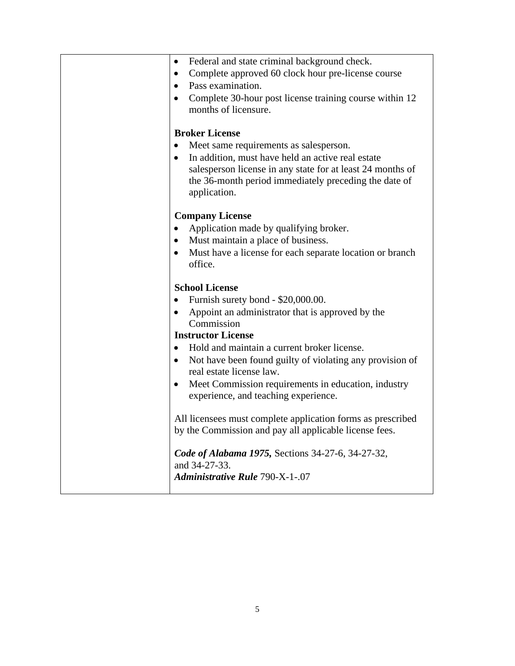• Federal and state criminal background check. • Complete approved 60 clock hour pre-license course • Pass examination. • Complete 30-hour post license training course within 12 months of licensure. **Broker License** • Meet same requirements as salesperson. • In addition, must have held an active real estate salesperson license in any state for at least 24 months of the 36-month period immediately preceding the date of application. **Company License** • Application made by qualifying broker. • Must maintain a place of business. Must have a license for each separate location or branch office. **School License** • Furnish surety bond - \$20,000.00. • Appoint an administrator that is approved by the Commission **Instructor License** • Hold and maintain a current broker license. • Not have been found guilty of violating any provision of real estate license law. • Meet Commission requirements in education, industry experience, and teaching experience. All licensees must complete application forms as prescribed by the Commission and pay all applicable license fees. *Code of Alabama 1975,* Sections 34-27-6, 34-27-32, and 34-27-33. *Administrative Rule* 790-X-1-.07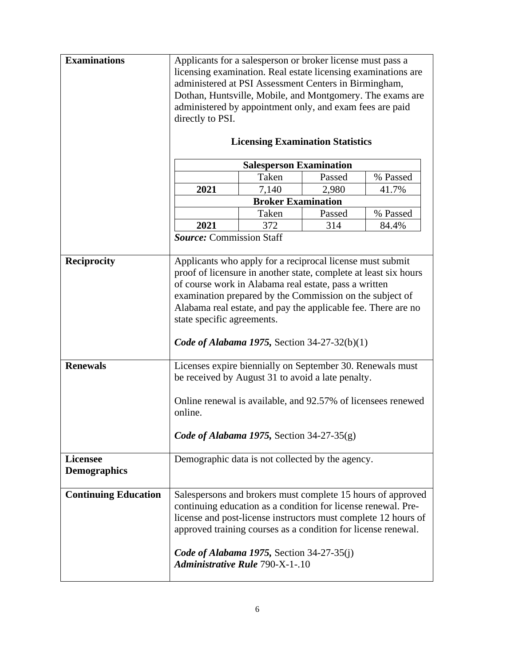| <b>Examinations</b>         | Applicants for a salesperson or broker license must pass a              |       |        |          |  |
|-----------------------------|-------------------------------------------------------------------------|-------|--------|----------|--|
|                             | licensing examination. Real estate licensing examinations are           |       |        |          |  |
|                             | administered at PSI Assessment Centers in Birmingham,                   |       |        |          |  |
|                             | Dothan, Huntsville, Mobile, and Montgomery. The exams are               |       |        |          |  |
|                             | administered by appointment only, and exam fees are paid                |       |        |          |  |
|                             | directly to PSI.                                                        |       |        |          |  |
|                             |                                                                         |       |        |          |  |
|                             | <b>Licensing Examination Statistics</b>                                 |       |        |          |  |
|                             | <b>Salesperson Examination</b>                                          |       |        |          |  |
|                             |                                                                         | Taken | Passed | % Passed |  |
|                             | 2021                                                                    | 7,140 | 2,980  | 41.7%    |  |
|                             | <b>Broker Examination</b>                                               |       |        |          |  |
|                             |                                                                         | Taken | Passed | % Passed |  |
|                             | 2021                                                                    | 372   | 314    | 84.4%    |  |
|                             | <b>Source: Commission Staff</b>                                         |       |        |          |  |
| <b>Reciprocity</b>          | Applicants who apply for a reciprocal license must submit               |       |        |          |  |
|                             | proof of licensure in another state, complete at least six hours        |       |        |          |  |
|                             | of course work in Alabama real estate, pass a written                   |       |        |          |  |
|                             | examination prepared by the Commission on the subject of                |       |        |          |  |
|                             | Alabama real estate, and pay the applicable fee. There are no           |       |        |          |  |
|                             | state specific agreements.                                              |       |        |          |  |
|                             |                                                                         |       |        |          |  |
|                             | Code of Alabama 1975, Section 34-27-32(b)(1)                            |       |        |          |  |
|                             |                                                                         |       |        |          |  |
| <b>Renewals</b>             | Licenses expire biennially on September 30. Renewals must               |       |        |          |  |
|                             | be received by August 31 to avoid a late penalty.                       |       |        |          |  |
|                             |                                                                         |       |        |          |  |
|                             | Online renewal is available, and 92.57% of licensees renewed<br>online. |       |        |          |  |
|                             |                                                                         |       |        |          |  |
|                             | Code of Alabama 1975, Section 34-27-35(g)                               |       |        |          |  |
|                             |                                                                         |       |        |          |  |
| <b>Licensee</b>             | Demographic data is not collected by the agency.                        |       |        |          |  |
| <b>Demographics</b>         |                                                                         |       |        |          |  |
|                             |                                                                         |       |        |          |  |
| <b>Continuing Education</b> | Salespersons and brokers must complete 15 hours of approved             |       |        |          |  |
|                             | continuing education as a condition for license renewal. Pre-           |       |        |          |  |
|                             | license and post-license instructors must complete 12 hours of          |       |        |          |  |
|                             | approved training courses as a condition for license renewal.           |       |        |          |  |
|                             |                                                                         |       |        |          |  |
|                             | Code of Alabama 1975, Section 34-27-35(j)                               |       |        |          |  |
|                             | <b>Administrative Rule 790-X-1-.10</b>                                  |       |        |          |  |
|                             |                                                                         |       |        |          |  |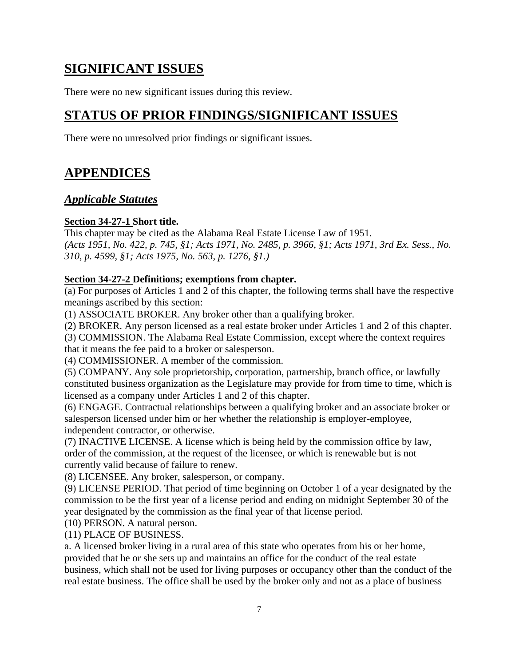## <span id="page-12-0"></span>**SIGNIFICANT ISSUES**

There were no new significant issues during this review.

# <span id="page-12-1"></span>**STATUS OF PRIOR FINDINGS/SIGNIFICANT ISSUES**

There were no unresolved prior findings or significant issues.

# <span id="page-12-2"></span>**APPENDICES**

## <span id="page-12-3"></span>*Applicable Statutes*

## **Section 34-27-1 Short title.**

This chapter may be cited as the Alabama Real Estate License Law of 1951. *(Acts 1951, No. 422, p. 745, §1; Acts 1971, No. 2485, p. 3966, §1; Acts 1971, 3rd Ex. Sess., No. 310, p. 4599, §1; Acts 1975, No. 563, p. 1276, §1.)*

## **Section 34-27-2 Definitions; exemptions from chapter.**

(a) For purposes of Articles 1 and 2 of this chapter, the following terms shall have the respective meanings ascribed by this section:

(1) ASSOCIATE BROKER. Any broker other than a qualifying broker.

(2) BROKER. Any person licensed as a real estate broker under Articles 1 and 2 of this chapter.

(3) COMMISSION. The Alabama Real Estate Commission, except where the context requires that it means the fee paid to a broker or salesperson.

(4) COMMISSIONER. A member of the commission.

(5) COMPANY. Any sole proprietorship, corporation, partnership, branch office, or lawfully constituted business organization as the Legislature may provide for from time to time, which is licensed as a company under Articles 1 and 2 of this chapter.

(6) ENGAGE. Contractual relationships between a qualifying broker and an associate broker or salesperson licensed under him or her whether the relationship is employer-employee, independent contractor, or otherwise.

(7) INACTIVE LICENSE. A license which is being held by the commission office by law, order of the commission, at the request of the licensee, or which is renewable but is not currently valid because of failure to renew.

(8) LICENSEE. Any broker, salesperson, or company.

(9) LICENSE PERIOD. That period of time beginning on October 1 of a year designated by the commission to be the first year of a license period and ending on midnight September 30 of the year designated by the commission as the final year of that license period.

(10) PERSON. A natural person.

(11) PLACE OF BUSINESS.

a. A licensed broker living in a rural area of this state who operates from his or her home, provided that he or she sets up and maintains an office for the conduct of the real estate business, which shall not be used for living purposes or occupancy other than the conduct of the real estate business. The office shall be used by the broker only and not as a place of business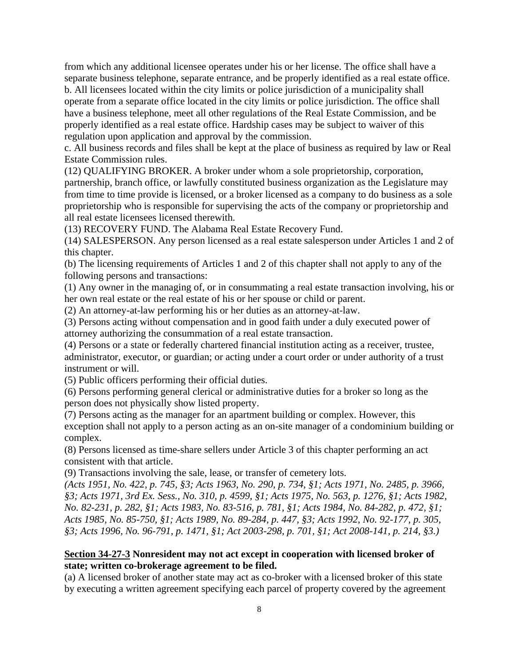from which any additional licensee operates under his or her license. The office shall have a separate business telephone, separate entrance, and be properly identified as a real estate office. b. All licensees located within the city limits or police jurisdiction of a municipality shall operate from a separate office located in the city limits or police jurisdiction. The office shall have a business telephone, meet all other regulations of the Real Estate Commission, and be properly identified as a real estate office. Hardship cases may be subject to waiver of this regulation upon application and approval by the commission.

c. All business records and files shall be kept at the place of business as required by law or Real Estate Commission rules.

(12) QUALIFYING BROKER. A broker under whom a sole proprietorship, corporation, partnership, branch office, or lawfully constituted business organization as the Legislature may from time to time provide is licensed, or a broker licensed as a company to do business as a sole proprietorship who is responsible for supervising the acts of the company or proprietorship and all real estate licensees licensed therewith.

(13) RECOVERY FUND. The Alabama Real Estate Recovery Fund.

(14) SALESPERSON. Any person licensed as a real estate salesperson under Articles 1 and 2 of this chapter.

(b) The licensing requirements of Articles 1 and 2 of this chapter shall not apply to any of the following persons and transactions:

(1) Any owner in the managing of, or in consummating a real estate transaction involving, his or her own real estate or the real estate of his or her spouse or child or parent.

(2) An attorney-at-law performing his or her duties as an attorney-at-law.

(3) Persons acting without compensation and in good faith under a duly executed power of attorney authorizing the consummation of a real estate transaction.

(4) Persons or a state or federally chartered financial institution acting as a receiver, trustee, administrator, executor, or guardian; or acting under a court order or under authority of a trust instrument or will.

(5) Public officers performing their official duties.

(6) Persons performing general clerical or administrative duties for a broker so long as the person does not physically show listed property.

(7) Persons acting as the manager for an apartment building or complex. However, this exception shall not apply to a person acting as an on-site manager of a condominium building or complex.

(8) Persons licensed as time-share sellers under Article 3 of this chapter performing an act consistent with that article.

(9) Transactions involving the sale, lease, or transfer of cemetery lots.

*(Acts 1951, No. 422, p. 745, §3; Acts 1963, No. 290, p. 734, §1; Acts 1971, No. 2485, p. 3966, §3; Acts 1971, 3rd Ex. Sess., No. 310, p. 4599, §1; Acts 1975, No. 563, p. 1276, §1; Acts 1982, No. 82-231, p. 282, §1; Acts 1983, No. 83-516, p. 781, §1; Acts 1984, No. 84-282, p. 472, §1; Acts 1985, No. 85-750, §1; Acts 1989, No. 89-284, p. 447, §3; Acts 1992, No. 92-177, p. 305, §3; Acts 1996, No. 96-791, p. 1471, §1; Act 2003-298, p. 701, §1; Act 2008-141, p. 214, §3.)*

### **Section 34-27-3 Nonresident may not act except in cooperation with licensed broker of state; written co-brokerage agreement to be filed.**

(a) A licensed broker of another state may act as co-broker with a licensed broker of this state by executing a written agreement specifying each parcel of property covered by the agreement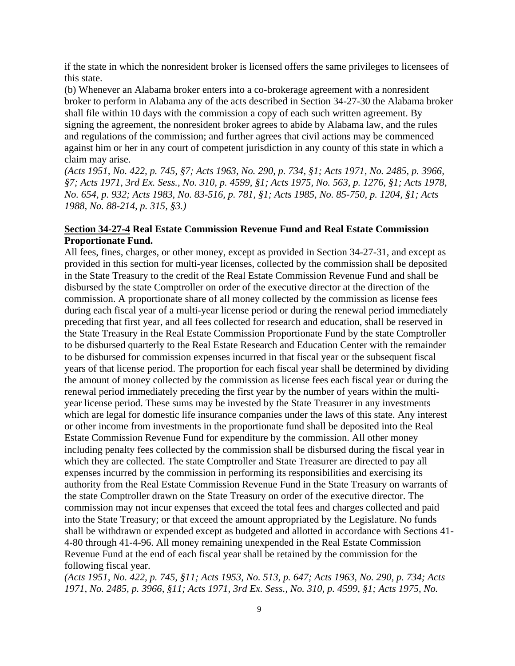if the state in which the nonresident broker is licensed offers the same privileges to licensees of this state.

(b) Whenever an Alabama broker enters into a co-brokerage agreement with a nonresident broker to perform in Alabama any of the acts described in Section 34-27-30 the Alabama broker shall file within 10 days with the commission a copy of each such written agreement. By signing the agreement, the nonresident broker agrees to abide by Alabama law, and the rules and regulations of the commission; and further agrees that civil actions may be commenced against him or her in any court of competent jurisdiction in any county of this state in which a claim may arise.

*(Acts 1951, No. 422, p. 745, §7; Acts 1963, No. 290, p. 734, §1; Acts 1971, No. 2485, p. 3966, §7; Acts 1971, 3rd Ex. Sess., No. 310, p. 4599, §1; Acts 1975, No. 563, p. 1276, §1; Acts 1978, No. 654, p. 932; Acts 1983, No. 83-516, p. 781, §1; Acts 1985, No. 85-750, p. 1204, §1; Acts 1988, No. 88-214, p. 315, §3.)*

#### **Section 34-27-4 Real Estate Commission Revenue Fund and Real Estate Commission Proportionate Fund.**

All fees, fines, charges, or other money, except as provided in Section 34-27-31, and except as provided in this section for multi-year licenses, collected by the commission shall be deposited in the State Treasury to the credit of the Real Estate Commission Revenue Fund and shall be disbursed by the state Comptroller on order of the executive director at the direction of the commission. A proportionate share of all money collected by the commission as license fees during each fiscal year of a multi-year license period or during the renewal period immediately preceding that first year, and all fees collected for research and education, shall be reserved in the State Treasury in the Real Estate Commission Proportionate Fund by the state Comptroller to be disbursed quarterly to the Real Estate Research and Education Center with the remainder to be disbursed for commission expenses incurred in that fiscal year or the subsequent fiscal years of that license period. The proportion for each fiscal year shall be determined by dividing the amount of money collected by the commission as license fees each fiscal year or during the renewal period immediately preceding the first year by the number of years within the multiyear license period. These sums may be invested by the State Treasurer in any investments which are legal for domestic life insurance companies under the laws of this state. Any interest or other income from investments in the proportionate fund shall be deposited into the Real Estate Commission Revenue Fund for expenditure by the commission. All other money including penalty fees collected by the commission shall be disbursed during the fiscal year in which they are collected. The state Comptroller and State Treasurer are directed to pay all expenses incurred by the commission in performing its responsibilities and exercising its authority from the Real Estate Commission Revenue Fund in the State Treasury on warrants of the state Comptroller drawn on the State Treasury on order of the executive director. The commission may not incur expenses that exceed the total fees and charges collected and paid into the State Treasury; or that exceed the amount appropriated by the Legislature. No funds shall be withdrawn or expended except as budgeted and allotted in accordance with Sections 41- 4-80 through 41-4-96. All money remaining unexpended in the Real Estate Commission Revenue Fund at the end of each fiscal year shall be retained by the commission for the following fiscal year.

*(Acts 1951, No. 422, p. 745, §11; Acts 1953, No. 513, p. 647; Acts 1963, No. 290, p. 734; Acts 1971, No. 2485, p. 3966, §11; Acts 1971, 3rd Ex. Sess., No. 310, p. 4599, §1; Acts 1975, No.*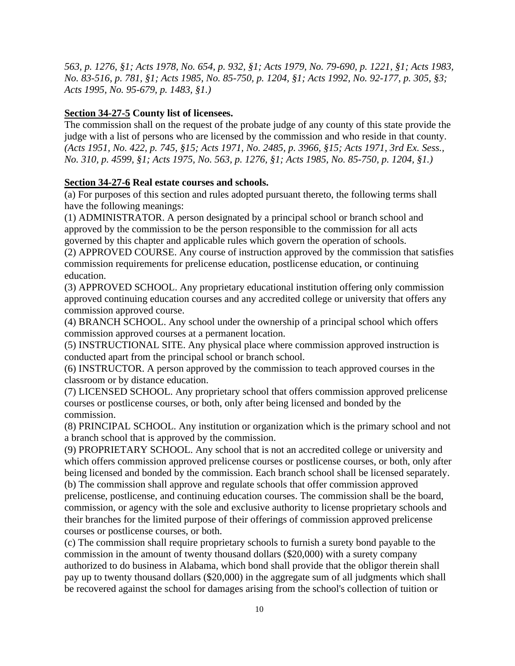*563, p. 1276, §1; Acts 1978, No. 654, p. 932, §1; Acts 1979, No. 79-690, p. 1221, §1; Acts 1983, No. 83-516, p. 781, §1; Acts 1985, No. 85-750, p. 1204, §1; Acts 1992, No. 92-177, p. 305, §3; Acts 1995, No. 95-679, p. 1483, §1.)*

## **Section 34-27-5 County list of licensees.**

The commission shall on the request of the probate judge of any county of this state provide the judge with a list of persons who are licensed by the commission and who reside in that county. *(Acts 1951, No. 422, p. 745, §15; Acts 1971, No. 2485, p. 3966, §15; Acts 1971, 3rd Ex. Sess., No. 310, p. 4599, §1; Acts 1975, No. 563, p. 1276, §1; Acts 1985, No. 85-750, p. 1204, §1.)*

## **Section 34-27-6 Real estate courses and schools.**

(a) For purposes of this section and rules adopted pursuant thereto, the following terms shall have the following meanings:

(1) ADMINISTRATOR. A person designated by a principal school or branch school and approved by the commission to be the person responsible to the commission for all acts governed by this chapter and applicable rules which govern the operation of schools.

(2) APPROVED COURSE. Any course of instruction approved by the commission that satisfies commission requirements for prelicense education, postlicense education, or continuing education.

(3) APPROVED SCHOOL. Any proprietary educational institution offering only commission approved continuing education courses and any accredited college or university that offers any commission approved course.

(4) BRANCH SCHOOL. Any school under the ownership of a principal school which offers commission approved courses at a permanent location.

(5) INSTRUCTIONAL SITE. Any physical place where commission approved instruction is conducted apart from the principal school or branch school.

(6) INSTRUCTOR. A person approved by the commission to teach approved courses in the classroom or by distance education.

(7) LICENSED SCHOOL. Any proprietary school that offers commission approved prelicense courses or postlicense courses, or both, only after being licensed and bonded by the commission.

(8) PRINCIPAL SCHOOL. Any institution or organization which is the primary school and not a branch school that is approved by the commission.

(9) PROPRIETARY SCHOOL. Any school that is not an accredited college or university and which offers commission approved prelicense courses or postlicense courses, or both, only after being licensed and bonded by the commission. Each branch school shall be licensed separately.

(b) The commission shall approve and regulate schools that offer commission approved prelicense, postlicense, and continuing education courses. The commission shall be the board, commission, or agency with the sole and exclusive authority to license proprietary schools and their branches for the limited purpose of their offerings of commission approved prelicense courses or postlicense courses, or both.

(c) The commission shall require proprietary schools to furnish a surety bond payable to the commission in the amount of twenty thousand dollars (\$20,000) with a surety company authorized to do business in Alabama, which bond shall provide that the obligor therein shall pay up to twenty thousand dollars (\$20,000) in the aggregate sum of all judgments which shall be recovered against the school for damages arising from the school's collection of tuition or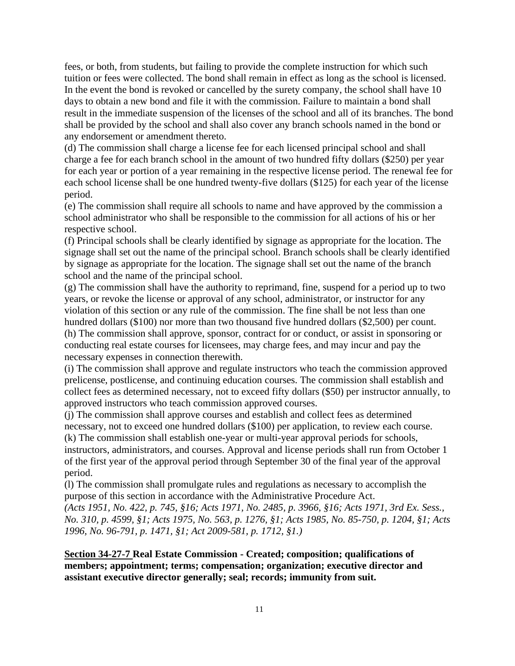fees, or both, from students, but failing to provide the complete instruction for which such tuition or fees were collected. The bond shall remain in effect as long as the school is licensed. In the event the bond is revoked or cancelled by the surety company, the school shall have 10 days to obtain a new bond and file it with the commission. Failure to maintain a bond shall result in the immediate suspension of the licenses of the school and all of its branches. The bond shall be provided by the school and shall also cover any branch schools named in the bond or any endorsement or amendment thereto.

(d) The commission shall charge a license fee for each licensed principal school and shall charge a fee for each branch school in the amount of two hundred fifty dollars (\$250) per year for each year or portion of a year remaining in the respective license period. The renewal fee for each school license shall be one hundred twenty-five dollars (\$125) for each year of the license period.

(e) The commission shall require all schools to name and have approved by the commission a school administrator who shall be responsible to the commission for all actions of his or her respective school.

(f) Principal schools shall be clearly identified by signage as appropriate for the location. The signage shall set out the name of the principal school. Branch schools shall be clearly identified by signage as appropriate for the location. The signage shall set out the name of the branch school and the name of the principal school.

(g) The commission shall have the authority to reprimand, fine, suspend for a period up to two years, or revoke the license or approval of any school, administrator, or instructor for any violation of this section or any rule of the commission. The fine shall be not less than one hundred dollars (\$100) nor more than two thousand five hundred dollars (\$2,500) per count. (h) The commission shall approve, sponsor, contract for or conduct, or assist in sponsoring or conducting real estate courses for licensees, may charge fees, and may incur and pay the necessary expenses in connection therewith.

(i) The commission shall approve and regulate instructors who teach the commission approved prelicense, postlicense, and continuing education courses. The commission shall establish and collect fees as determined necessary, not to exceed fifty dollars (\$50) per instructor annually, to approved instructors who teach commission approved courses.

(j) The commission shall approve courses and establish and collect fees as determined necessary, not to exceed one hundred dollars (\$100) per application, to review each course.

(k) The commission shall establish one-year or multi-year approval periods for schools, instructors, administrators, and courses. Approval and license periods shall run from October 1 of the first year of the approval period through September 30 of the final year of the approval period.

(l) The commission shall promulgate rules and regulations as necessary to accomplish the purpose of this section in accordance with the Administrative Procedure Act.

*(Acts 1951, No. 422, p. 745, §16; Acts 1971, No. 2485, p. 3966, §16; Acts 1971, 3rd Ex. Sess., No. 310, p. 4599, §1; Acts 1975, No. 563, p. 1276, §1; Acts 1985, No. 85-750, p. 1204, §1; Acts 1996, No. 96-791, p. 1471, §1; Act 2009-581, p. 1712, §1.)*

**Section 34-27-7 Real Estate Commission - Created; composition; qualifications of members; appointment; terms; compensation; organization; executive director and assistant executive director generally; seal; records; immunity from suit.**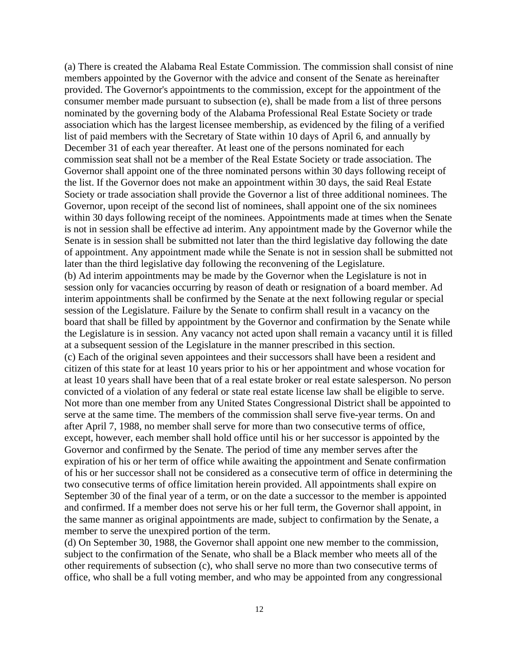(a) There is created the Alabama Real Estate Commission. The commission shall consist of nine members appointed by the Governor with the advice and consent of the Senate as hereinafter provided. The Governor's appointments to the commission, except for the appointment of the consumer member made pursuant to subsection (e), shall be made from a list of three persons nominated by the governing body of the Alabama Professional Real Estate Society or trade association which has the largest licensee membership, as evidenced by the filing of a verified list of paid members with the Secretary of State within 10 days of April 6, and annually by December 31 of each year thereafter. At least one of the persons nominated for each commission seat shall not be a member of the Real Estate Society or trade association. The Governor shall appoint one of the three nominated persons within 30 days following receipt of the list. If the Governor does not make an appointment within 30 days, the said Real Estate Society or trade association shall provide the Governor a list of three additional nominees. The Governor, upon receipt of the second list of nominees, shall appoint one of the six nominees within 30 days following receipt of the nominees. Appointments made at times when the Senate is not in session shall be effective ad interim. Any appointment made by the Governor while the Senate is in session shall be submitted not later than the third legislative day following the date of appointment. Any appointment made while the Senate is not in session shall be submitted not later than the third legislative day following the reconvening of the Legislature. (b) Ad interim appointments may be made by the Governor when the Legislature is not in session only for vacancies occurring by reason of death or resignation of a board member. Ad interim appointments shall be confirmed by the Senate at the next following regular or special session of the Legislature. Failure by the Senate to confirm shall result in a vacancy on the board that shall be filled by appointment by the Governor and confirmation by the Senate while the Legislature is in session. Any vacancy not acted upon shall remain a vacancy until it is filled at a subsequent session of the Legislature in the manner prescribed in this section. (c) Each of the original seven appointees and their successors shall have been a resident and citizen of this state for at least 10 years prior to his or her appointment and whose vocation for at least 10 years shall have been that of a real estate broker or real estate salesperson. No person convicted of a violation of any federal or state real estate license law shall be eligible to serve. Not more than one member from any United States Congressional District shall be appointed to serve at the same time. The members of the commission shall serve five-year terms. On and after April 7, 1988, no member shall serve for more than two consecutive terms of office, except, however, each member shall hold office until his or her successor is appointed by the Governor and confirmed by the Senate. The period of time any member serves after the expiration of his or her term of office while awaiting the appointment and Senate confirmation of his or her successor shall not be considered as a consecutive term of office in determining the two consecutive terms of office limitation herein provided. All appointments shall expire on September 30 of the final year of a term, or on the date a successor to the member is appointed and confirmed. If a member does not serve his or her full term, the Governor shall appoint, in the same manner as original appointments are made, subject to confirmation by the Senate, a member to serve the unexpired portion of the term.

(d) On September 30, 1988, the Governor shall appoint one new member to the commission, subject to the confirmation of the Senate, who shall be a Black member who meets all of the other requirements of subsection (c), who shall serve no more than two consecutive terms of office, who shall be a full voting member, and who may be appointed from any congressional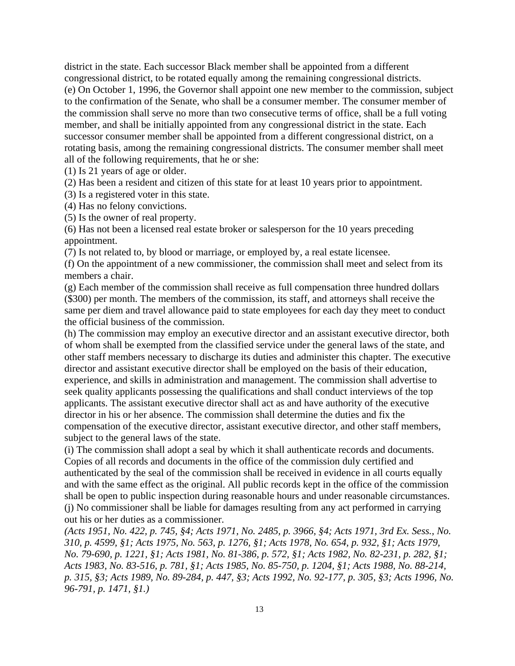district in the state. Each successor Black member shall be appointed from a different congressional district, to be rotated equally among the remaining congressional districts. (e) On October 1, 1996, the Governor shall appoint one new member to the commission, subject to the confirmation of the Senate, who shall be a consumer member. The consumer member of the commission shall serve no more than two consecutive terms of office, shall be a full voting member, and shall be initially appointed from any congressional district in the state. Each successor consumer member shall be appointed from a different congressional district, on a rotating basis, among the remaining congressional districts. The consumer member shall meet all of the following requirements, that he or she:

(1) Is 21 years of age or older.

(2) Has been a resident and citizen of this state for at least 10 years prior to appointment.

(3) Is a registered voter in this state.

(4) Has no felony convictions.

(5) Is the owner of real property.

(6) Has not been a licensed real estate broker or salesperson for the 10 years preceding appointment.

(7) Is not related to, by blood or marriage, or employed by, a real estate licensee.

(f) On the appointment of a new commissioner, the commission shall meet and select from its members a chair.

(g) Each member of the commission shall receive as full compensation three hundred dollars (\$300) per month. The members of the commission, its staff, and attorneys shall receive the same per diem and travel allowance paid to state employees for each day they meet to conduct the official business of the commission.

(h) The commission may employ an executive director and an assistant executive director, both of whom shall be exempted from the classified service under the general laws of the state, and other staff members necessary to discharge its duties and administer this chapter. The executive director and assistant executive director shall be employed on the basis of their education, experience, and skills in administration and management. The commission shall advertise to seek quality applicants possessing the qualifications and shall conduct interviews of the top applicants. The assistant executive director shall act as and have authority of the executive director in his or her absence. The commission shall determine the duties and fix the compensation of the executive director, assistant executive director, and other staff members, subject to the general laws of the state.

(i) The commission shall adopt a seal by which it shall authenticate records and documents. Copies of all records and documents in the office of the commission duly certified and authenticated by the seal of the commission shall be received in evidence in all courts equally and with the same effect as the original. All public records kept in the office of the commission shall be open to public inspection during reasonable hours and under reasonable circumstances. (j) No commissioner shall be liable for damages resulting from any act performed in carrying out his or her duties as a commissioner.

*(Acts 1951, No. 422, p. 745, §4; Acts 1971, No. 2485, p. 3966, §4; Acts 1971, 3rd Ex. Sess., No. 310, p. 4599, §1; Acts 1975, No. 563, p. 1276, §1; Acts 1978, No. 654, p. 932, §1; Acts 1979, No. 79-690, p. 1221, §1; Acts 1981, No. 81-386, p. 572, §1; Acts 1982, No. 82-231, p. 282, §1; Acts 1983, No. 83-516, p. 781, §1; Acts 1985, No. 85-750, p. 1204, §1; Acts 1988, No. 88-214, p. 315, §3; Acts 1989, No. 89-284, p. 447, §3; Acts 1992, No. 92-177, p. 305, §3; Acts 1996, No. 96-791, p. 1471, §1.)*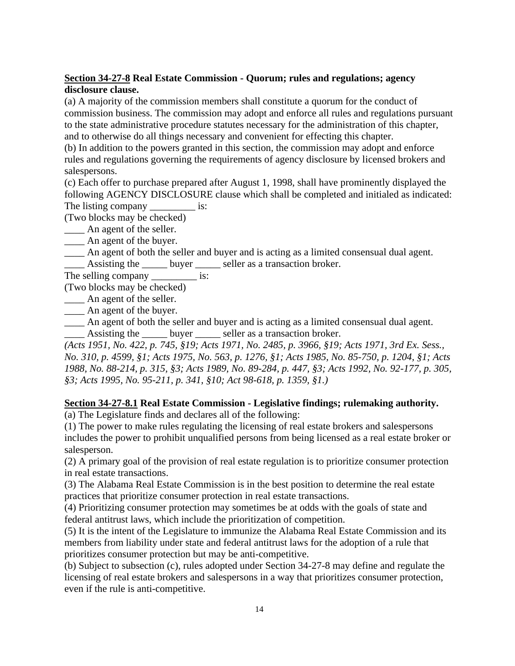## **Section 34-27-8 Real Estate Commission - Quorum; rules and regulations; agency disclosure clause.**

(a) A majority of the commission members shall constitute a quorum for the conduct of commission business. The commission may adopt and enforce all rules and regulations pursuant to the state administrative procedure statutes necessary for the administration of this chapter, and to otherwise do all things necessary and convenient for effecting this chapter.

(b) In addition to the powers granted in this section, the commission may adopt and enforce rules and regulations governing the requirements of agency disclosure by licensed brokers and salespersons.

(c) Each offer to purchase prepared after August 1, 1998, shall have prominently displayed the following AGENCY DISCLOSURE clause which shall be completed and initialed as indicated: The listing company \_\_\_\_\_\_\_\_\_\_\_\_ is:

(Two blocks may be checked)

\_\_\_\_ An agent of the seller.

An agent of the buyer.

\_\_\_\_ An agent of both the seller and buyer and is acting as a limited consensual dual agent.

Assisting the \_\_\_\_\_ buyer \_\_\_\_\_ seller as a transaction broker.

The selling company \_\_\_\_\_\_\_\_\_\_\_ is:

(Two blocks may be checked)

\_\_\_\_ An agent of the seller.

\_\_\_\_ An agent of the buyer.

\_\_\_\_ An agent of both the seller and buyer and is acting as a limited consensual dual agent. \_\_\_\_ Assisting the \_\_\_\_\_ buyer \_\_\_\_\_ seller as a transaction broker.

*(Acts 1951, No. 422, p. 745, §19; Acts 1971, No. 2485, p. 3966, §19; Acts 1971, 3rd Ex. Sess., No. 310, p. 4599, §1; Acts 1975, No. 563, p. 1276, §1; Acts 1985, No. 85-750, p. 1204, §1; Acts 1988, No. 88-214, p. 315, §3; Acts 1989, No. 89-284, p. 447, §3; Acts 1992, No. 92-177, p. 305, §3; Acts 1995, No. 95-211, p. 341, §10; Act 98-618, p. 1359, §1.)*

## **Section 34-27-8.1 Real Estate Commission - Legislative findings; rulemaking authority.**

(a) The Legislature finds and declares all of the following:

(1) The power to make rules regulating the licensing of real estate brokers and salespersons includes the power to prohibit unqualified persons from being licensed as a real estate broker or salesperson.

(2) A primary goal of the provision of real estate regulation is to prioritize consumer protection in real estate transactions.

(3) The Alabama Real Estate Commission is in the best position to determine the real estate practices that prioritize consumer protection in real estate transactions.

(4) Prioritizing consumer protection may sometimes be at odds with the goals of state and federal antitrust laws, which include the prioritization of competition.

(5) It is the intent of the Legislature to immunize the Alabama Real Estate Commission and its members from liability under state and federal antitrust laws for the adoption of a rule that prioritizes consumer protection but may be anti-competitive.

(b) Subject to subsection (c), rules adopted under Section 34-27-8 may define and regulate the licensing of real estate brokers and salespersons in a way that prioritizes consumer protection, even if the rule is anti-competitive.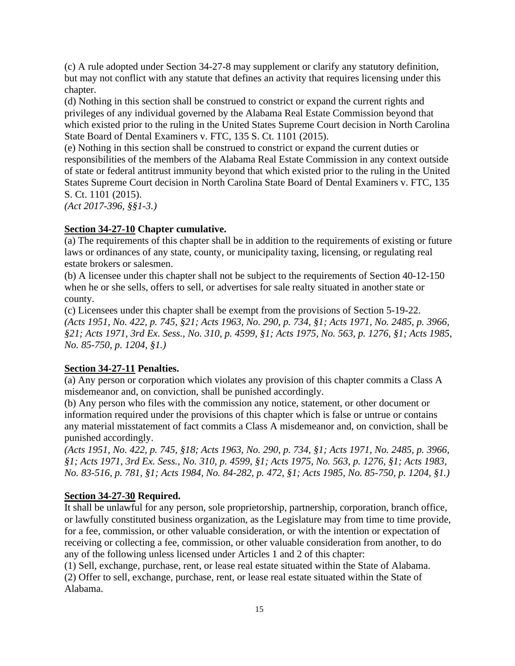(c) A rule adopted under Section 34-27-8 may supplement or clarify any statutory definition, but may not conflict with any statute that defines an activity that requires licensing under this chapter.

(d) Nothing in this section shall be construed to constrict or expand the current rights and privileges of any individual governed by the Alabama Real Estate Commission beyond that which existed prior to the ruling in the United States Supreme Court decision in North Carolina State Board of Dental Examiners v. FTC, 135 S. Ct. 1101 (2015).

(e) Nothing in this section shall be construed to constrict or expand the current duties or responsibilities of the members of the Alabama Real Estate Commission in any context outside of state or federal antitrust immunity beyond that which existed prior to the ruling in the United States Supreme Court decision in North Carolina State Board of Dental Examiners v. FTC, 135 S. Ct. 1101 (2015).

*(Act 2017-396, §§1-3.)*

### **Section 34-27-10 Chapter cumulative.**

(a) The requirements of this chapter shall be in addition to the requirements of existing or future laws or ordinances of any state, county, or municipality taxing, licensing, or regulating real estate brokers or salesmen.

(b) A licensee under this chapter shall not be subject to the requirements of Section 40-12-150 when he or she sells, offers to sell, or advertises for sale realty situated in another state or county.

(c) Licensees under this chapter shall be exempt from the provisions of Section 5-19-22. *(Acts 1951, No. 422, p. 745, §21; Acts 1963, No. 290, p. 734, §1; Acts 1971, No. 2485, p. 3966, §21; Acts 1971, 3rd Ex. Sess., No. 310, p. 4599, §1; Acts 1975, No. 563, p. 1276, §1; Acts 1985, No. 85-750, p. 1204, §1.)*

#### **Section 34-27-11 Penalties.**

(a) Any person or corporation which violates any provision of this chapter commits a Class A misdemeanor and, on conviction, shall be punished accordingly.

(b) Any person who files with the commission any notice, statement, or other document or information required under the provisions of this chapter which is false or untrue or contains any material misstatement of fact commits a Class A misdemeanor and, on conviction, shall be punished accordingly.

*(Acts 1951, No. 422, p. 745, §18; Acts 1963, No. 290, p. 734, §1; Acts 1971, No. 2485, p. 3966, §1; Acts 1971, 3rd Ex. Sess., No. 310, p. 4599, §1; Acts 1975, No. 563, p. 1276, §1; Acts 1983, No. 83-516, p. 781, §1; Acts 1984, No. 84-282, p. 472, §1; Acts 1985, No. 85-750, p. 1204, §1.)*

#### **Section 34-27-30 Required.**

It shall be unlawful for any person, sole proprietorship, partnership, corporation, branch office, or lawfully constituted business organization, as the Legislature may from time to time provide, for a fee, commission, or other valuable consideration, or with the intention or expectation of receiving or collecting a fee, commission, or other valuable consideration from another, to do any of the following unless licensed under Articles 1 and 2 of this chapter:

(1) Sell, exchange, purchase, rent, or lease real estate situated within the State of Alabama. (2) Offer to sell, exchange, purchase, rent, or lease real estate situated within the State of Alabama.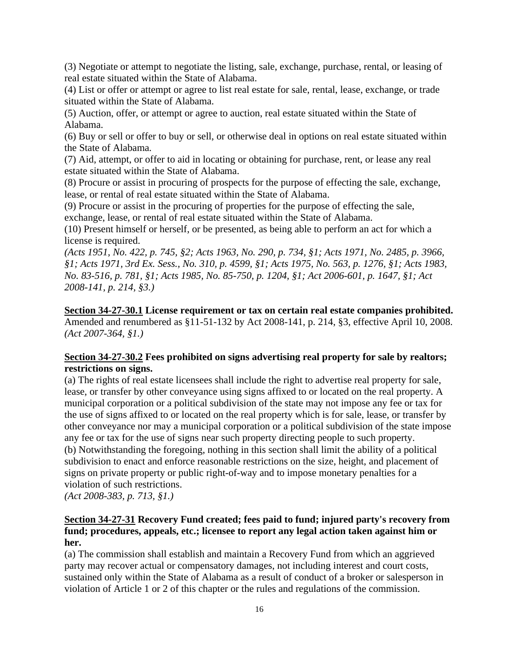(3) Negotiate or attempt to negotiate the listing, sale, exchange, purchase, rental, or leasing of real estate situated within the State of Alabama.

(4) List or offer or attempt or agree to list real estate for sale, rental, lease, exchange, or trade situated within the State of Alabama.

(5) Auction, offer, or attempt or agree to auction, real estate situated within the State of Alabama.

(6) Buy or sell or offer to buy or sell, or otherwise deal in options on real estate situated within the State of Alabama.

(7) Aid, attempt, or offer to aid in locating or obtaining for purchase, rent, or lease any real estate situated within the State of Alabama.

(8) Procure or assist in procuring of prospects for the purpose of effecting the sale, exchange, lease, or rental of real estate situated within the State of Alabama.

(9) Procure or assist in the procuring of properties for the purpose of effecting the sale, exchange, lease, or rental of real estate situated within the State of Alabama.

(10) Present himself or herself, or be presented, as being able to perform an act for which a license is required.

*(Acts 1951, No. 422, p. 745, §2; Acts 1963, No. 290, p. 734, §1; Acts 1971, No. 2485, p. 3966, §1; Acts 1971, 3rd Ex. Sess., No. 310, p. 4599, §1; Acts 1975, No. 563, p. 1276, §1; Acts 1983, No. 83-516, p. 781, §1; Acts 1985, No. 85-750, p. 1204, §1; Act 2006-601, p. 1647, §1; Act 2008-141, p. 214, §3.)*

**Section 34-27-30.1 License requirement or tax on certain real estate companies prohibited.** Amended and renumbered as §11-51-132 by Act 2008-141, p. 214, §3, effective April 10, 2008. *(Act 2007-364, §1.)*

## **Section 34-27-30.2 Fees prohibited on signs advertising real property for sale by realtors; restrictions on signs.**

(a) The rights of real estate licensees shall include the right to advertise real property for sale, lease, or transfer by other conveyance using signs affixed to or located on the real property. A municipal corporation or a political subdivision of the state may not impose any fee or tax for the use of signs affixed to or located on the real property which is for sale, lease, or transfer by other conveyance nor may a municipal corporation or a political subdivision of the state impose any fee or tax for the use of signs near such property directing people to such property. (b) Notwithstanding the foregoing, nothing in this section shall limit the ability of a political subdivision to enact and enforce reasonable restrictions on the size, height, and placement of signs on private property or public right-of-way and to impose monetary penalties for a violation of such restrictions.

*(Act 2008-383, p. 713, §1.)*

## **Section 34-27-31 Recovery Fund created; fees paid to fund; injured party's recovery from fund; procedures, appeals, etc.; licensee to report any legal action taken against him or her.**

(a) The commission shall establish and maintain a Recovery Fund from which an aggrieved party may recover actual or compensatory damages, not including interest and court costs, sustained only within the State of Alabama as a result of conduct of a broker or salesperson in violation of Article 1 or 2 of this chapter or the rules and regulations of the commission.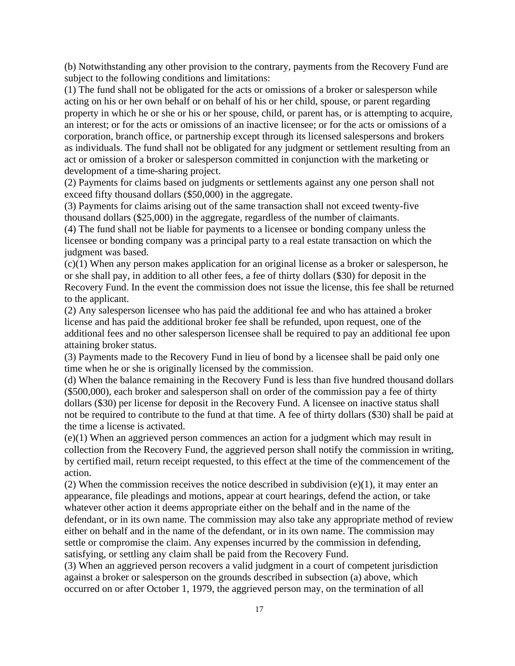(b) Notwithstanding any other provision to the contrary, payments from the Recovery Fund are subject to the following conditions and limitations:

(1) The fund shall not be obligated for the acts or omissions of a broker or salesperson while acting on his or her own behalf or on behalf of his or her child, spouse, or parent regarding property in which he or she or his or her spouse, child, or parent has, or is attempting to acquire, an interest; or for the acts or omissions of an inactive licensee; or for the acts or omissions of a corporation, branch office, or partnership except through its licensed salespersons and brokers as individuals. The fund shall not be obligated for any judgment or settlement resulting from an act or omission of a broker or salesperson committed in conjunction with the marketing or development of a time-sharing project.

(2) Payments for claims based on judgments or settlements against any one person shall not exceed fifty thousand dollars (\$50,000) in the aggregate.

(3) Payments for claims arising out of the same transaction shall not exceed twenty-five thousand dollars (\$25,000) in the aggregate, regardless of the number of claimants.

(4) The fund shall not be liable for payments to a licensee or bonding company unless the licensee or bonding company was a principal party to a real estate transaction on which the judgment was based.

(c)(1) When any person makes application for an original license as a broker or salesperson, he or she shall pay, in addition to all other fees, a fee of thirty dollars (\$30) for deposit in the Recovery Fund. In the event the commission does not issue the license, this fee shall be returned to the applicant.

(2) Any salesperson licensee who has paid the additional fee and who has attained a broker license and has paid the additional broker fee shall be refunded, upon request, one of the additional fees and no other salesperson licensee shall be required to pay an additional fee upon attaining broker status.

(3) Payments made to the Recovery Fund in lieu of bond by a licensee shall be paid only one time when he or she is originally licensed by the commission.

(d) When the balance remaining in the Recovery Fund is less than five hundred thousand dollars (\$500,000), each broker and salesperson shall on order of the commission pay a fee of thirty dollars (\$30) per license for deposit in the Recovery Fund. A licensee on inactive status shall not be required to contribute to the fund at that time. A fee of thirty dollars (\$30) shall be paid at the time a license is activated.

(e)(1) When an aggrieved person commences an action for a judgment which may result in collection from the Recovery Fund, the aggrieved person shall notify the commission in writing, by certified mail, return receipt requested, to this effect at the time of the commencement of the action.

(2) When the commission receives the notice described in subdivision  $(e)(1)$ , it may enter an appearance, file pleadings and motions, appear at court hearings, defend the action, or take whatever other action it deems appropriate either on the behalf and in the name of the defendant, or in its own name. The commission may also take any appropriate method of review either on behalf and in the name of the defendant, or in its own name. The commission may settle or compromise the claim. Any expenses incurred by the commission in defending, satisfying, or settling any claim shall be paid from the Recovery Fund.

(3) When an aggrieved person recovers a valid judgment in a court of competent jurisdiction against a broker or salesperson on the grounds described in subsection (a) above, which occurred on or after October 1, 1979, the aggrieved person may, on the termination of all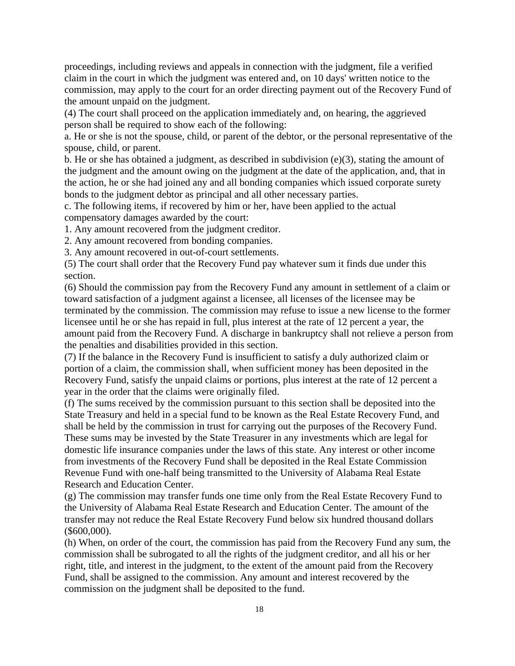proceedings, including reviews and appeals in connection with the judgment, file a verified claim in the court in which the judgment was entered and, on 10 days' written notice to the commission, may apply to the court for an order directing payment out of the Recovery Fund of the amount unpaid on the judgment.

(4) The court shall proceed on the application immediately and, on hearing, the aggrieved person shall be required to show each of the following:

a. He or she is not the spouse, child, or parent of the debtor, or the personal representative of the spouse, child, or parent.

b. He or she has obtained a judgment, as described in subdivision (e)(3), stating the amount of the judgment and the amount owing on the judgment at the date of the application, and, that in the action, he or she had joined any and all bonding companies which issued corporate surety bonds to the judgment debtor as principal and all other necessary parties.

c. The following items, if recovered by him or her, have been applied to the actual compensatory damages awarded by the court:

1. Any amount recovered from the judgment creditor.

2. Any amount recovered from bonding companies.

3. Any amount recovered in out-of-court settlements.

(5) The court shall order that the Recovery Fund pay whatever sum it finds due under this section.

(6) Should the commission pay from the Recovery Fund any amount in settlement of a claim or toward satisfaction of a judgment against a licensee, all licenses of the licensee may be terminated by the commission. The commission may refuse to issue a new license to the former licensee until he or she has repaid in full, plus interest at the rate of 12 percent a year, the amount paid from the Recovery Fund. A discharge in bankruptcy shall not relieve a person from the penalties and disabilities provided in this section.

(7) If the balance in the Recovery Fund is insufficient to satisfy a duly authorized claim or portion of a claim, the commission shall, when sufficient money has been deposited in the Recovery Fund, satisfy the unpaid claims or portions, plus interest at the rate of 12 percent a year in the order that the claims were originally filed.

(f) The sums received by the commission pursuant to this section shall be deposited into the State Treasury and held in a special fund to be known as the Real Estate Recovery Fund, and shall be held by the commission in trust for carrying out the purposes of the Recovery Fund. These sums may be invested by the State Treasurer in any investments which are legal for domestic life insurance companies under the laws of this state. Any interest or other income from investments of the Recovery Fund shall be deposited in the Real Estate Commission Revenue Fund with one-half being transmitted to the University of Alabama Real Estate Research and Education Center.

(g) The commission may transfer funds one time only from the Real Estate Recovery Fund to the University of Alabama Real Estate Research and Education Center. The amount of the transfer may not reduce the Real Estate Recovery Fund below six hundred thousand dollars (\$600,000).

(h) When, on order of the court, the commission has paid from the Recovery Fund any sum, the commission shall be subrogated to all the rights of the judgment creditor, and all his or her right, title, and interest in the judgment, to the extent of the amount paid from the Recovery Fund, shall be assigned to the commission. Any amount and interest recovered by the commission on the judgment shall be deposited to the fund.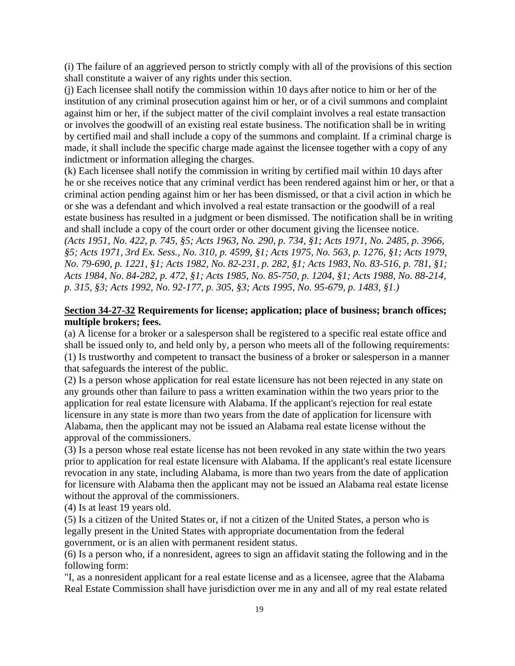(i) The failure of an aggrieved person to strictly comply with all of the provisions of this section shall constitute a waiver of any rights under this section.

(j) Each licensee shall notify the commission within 10 days after notice to him or her of the institution of any criminal prosecution against him or her, or of a civil summons and complaint against him or her, if the subject matter of the civil complaint involves a real estate transaction or involves the goodwill of an existing real estate business. The notification shall be in writing by certified mail and shall include a copy of the summons and complaint. If a criminal charge is made, it shall include the specific charge made against the licensee together with a copy of any indictment or information alleging the charges.

(k) Each licensee shall notify the commission in writing by certified mail within 10 days after he or she receives notice that any criminal verdict has been rendered against him or her, or that a criminal action pending against him or her has been dismissed, or that a civil action in which he or she was a defendant and which involved a real estate transaction or the goodwill of a real estate business has resulted in a judgment or been dismissed. The notification shall be in writing and shall include a copy of the court order or other document giving the licensee notice.

*(Acts 1951, No. 422, p. 745, §5; Acts 1963, No. 290, p. 734, §1; Acts 1971, No. 2485, p. 3966, §5; Acts 1971, 3rd Ex. Sess., No. 310, p. 4599, §1; Acts 1975, No. 563, p. 1276, §1; Acts 1979, No. 79-690, p. 1221, §1; Acts 1982, No. 82-231, p. 282, §1; Acts 1983, No. 83-516, p. 781, §1; Acts 1984, No. 84-282, p. 472, §1; Acts 1985, No. 85-750, p. 1204, §1; Acts 1988, No. 88-214, p. 315, §3; Acts 1992, No. 92-177, p. 305, §3; Acts 1995, No. 95-679, p. 1483, §1.)*

#### **Section 34-27-32 Requirements for license; application; place of business; branch offices; multiple brokers; fees.**

(a) A license for a broker or a salesperson shall be registered to a specific real estate office and shall be issued only to, and held only by, a person who meets all of the following requirements: (1) Is trustworthy and competent to transact the business of a broker or salesperson in a manner that safeguards the interest of the public.

(2) Is a person whose application for real estate licensure has not been rejected in any state on any grounds other than failure to pass a written examination within the two years prior to the application for real estate licensure with Alabama. If the applicant's rejection for real estate licensure in any state is more than two years from the date of application for licensure with Alabama, then the applicant may not be issued an Alabama real estate license without the approval of the commissioners.

(3) Is a person whose real estate license has not been revoked in any state within the two years prior to application for real estate licensure with Alabama. If the applicant's real estate licensure revocation in any state, including Alabama, is more than two years from the date of application for licensure with Alabama then the applicant may not be issued an Alabama real estate license without the approval of the commissioners.

(4) Is at least 19 years old.

(5) Is a citizen of the United States or, if not a citizen of the United States, a person who is legally present in the United States with appropriate documentation from the federal government, or is an alien with permanent resident status.

(6) Is a person who, if a nonresident, agrees to sign an affidavit stating the following and in the following form:

"I, as a nonresident applicant for a real estate license and as a licensee, agree that the Alabama Real Estate Commission shall have jurisdiction over me in any and all of my real estate related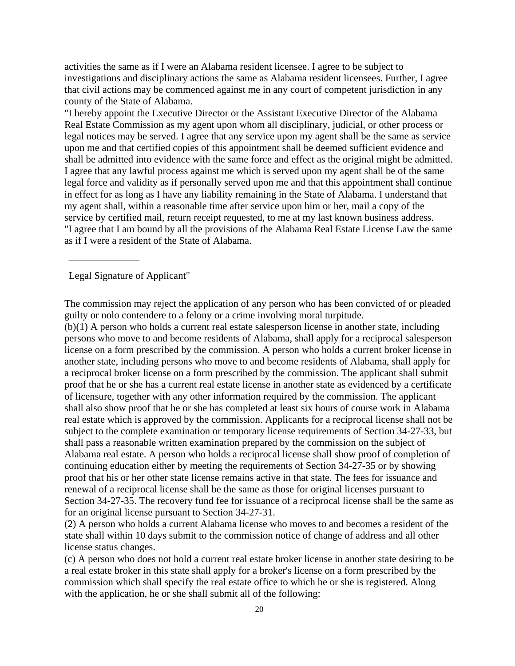activities the same as if I were an Alabama resident licensee. I agree to be subject to investigations and disciplinary actions the same as Alabama resident licensees. Further, I agree that civil actions may be commenced against me in any court of competent jurisdiction in any county of the State of Alabama.

"I hereby appoint the Executive Director or the Assistant Executive Director of the Alabama Real Estate Commission as my agent upon whom all disciplinary, judicial, or other process or legal notices may be served. I agree that any service upon my agent shall be the same as service upon me and that certified copies of this appointment shall be deemed sufficient evidence and shall be admitted into evidence with the same force and effect as the original might be admitted. I agree that any lawful process against me which is served upon my agent shall be of the same legal force and validity as if personally served upon me and that this appointment shall continue in effect for as long as I have any liability remaining in the State of Alabama. I understand that my agent shall, within a reasonable time after service upon him or her, mail a copy of the service by certified mail, return receipt requested, to me at my last known business address. "I agree that I am bound by all the provisions of the Alabama Real Estate License Law the same as if I were a resident of the State of Alabama.

Legal Signature of Applicant"

\_\_\_\_\_\_\_\_\_\_\_\_\_\_

The commission may reject the application of any person who has been convicted of or pleaded guilty or nolo contendere to a felony or a crime involving moral turpitude.

(b)(1) A person who holds a current real estate salesperson license in another state, including persons who move to and become residents of Alabama, shall apply for a reciprocal salesperson license on a form prescribed by the commission. A person who holds a current broker license in another state, including persons who move to and become residents of Alabama, shall apply for a reciprocal broker license on a form prescribed by the commission. The applicant shall submit proof that he or she has a current real estate license in another state as evidenced by a certificate of licensure, together with any other information required by the commission. The applicant shall also show proof that he or she has completed at least six hours of course work in Alabama real estate which is approved by the commission. Applicants for a reciprocal license shall not be subject to the complete examination or temporary license requirements of Section 34-27-33, but shall pass a reasonable written examination prepared by the commission on the subject of Alabama real estate. A person who holds a reciprocal license shall show proof of completion of continuing education either by meeting the requirements of Section 34-27-35 or by showing proof that his or her other state license remains active in that state. The fees for issuance and renewal of a reciprocal license shall be the same as those for original licenses pursuant to Section 34-27-35. The recovery fund fee for issuance of a reciprocal license shall be the same as for an original license pursuant to Section 34-27-31.

(2) A person who holds a current Alabama license who moves to and becomes a resident of the state shall within 10 days submit to the commission notice of change of address and all other license status changes.

(c) A person who does not hold a current real estate broker license in another state desiring to be a real estate broker in this state shall apply for a broker's license on a form prescribed by the commission which shall specify the real estate office to which he or she is registered. Along with the application, he or she shall submit all of the following: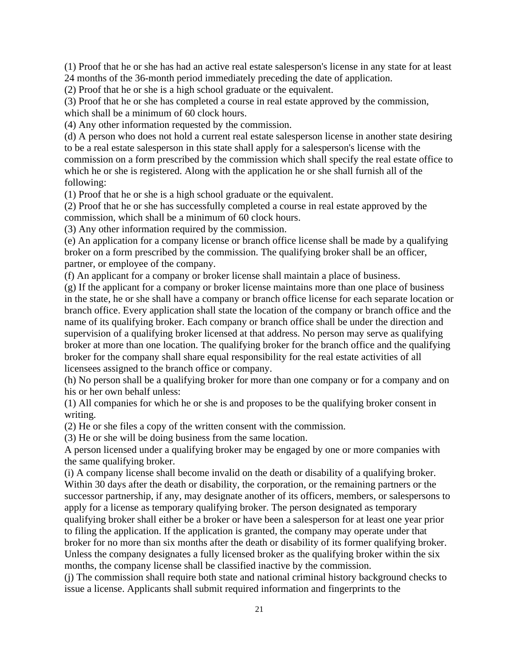(1) Proof that he or she has had an active real estate salesperson's license in any state for at least 24 months of the 36-month period immediately preceding the date of application.

(2) Proof that he or she is a high school graduate or the equivalent.

(3) Proof that he or she has completed a course in real estate approved by the commission, which shall be a minimum of 60 clock hours.

(4) Any other information requested by the commission.

(d) A person who does not hold a current real estate salesperson license in another state desiring to be a real estate salesperson in this state shall apply for a salesperson's license with the commission on a form prescribed by the commission which shall specify the real estate office to which he or she is registered. Along with the application he or she shall furnish all of the following:

(1) Proof that he or she is a high school graduate or the equivalent.

(2) Proof that he or she has successfully completed a course in real estate approved by the commission, which shall be a minimum of 60 clock hours.

(3) Any other information required by the commission.

(e) An application for a company license or branch office license shall be made by a qualifying broker on a form prescribed by the commission. The qualifying broker shall be an officer, partner, or employee of the company.

(f) An applicant for a company or broker license shall maintain a place of business.

(g) If the applicant for a company or broker license maintains more than one place of business in the state, he or she shall have a company or branch office license for each separate location or branch office. Every application shall state the location of the company or branch office and the name of its qualifying broker. Each company or branch office shall be under the direction and supervision of a qualifying broker licensed at that address. No person may serve as qualifying broker at more than one location. The qualifying broker for the branch office and the qualifying broker for the company shall share equal responsibility for the real estate activities of all licensees assigned to the branch office or company.

(h) No person shall be a qualifying broker for more than one company or for a company and on his or her own behalf unless:

(1) All companies for which he or she is and proposes to be the qualifying broker consent in writing.

(2) He or she files a copy of the written consent with the commission.

(3) He or she will be doing business from the same location.

A person licensed under a qualifying broker may be engaged by one or more companies with the same qualifying broker.

(i) A company license shall become invalid on the death or disability of a qualifying broker. Within 30 days after the death or disability, the corporation, or the remaining partners or the successor partnership, if any, may designate another of its officers, members, or salespersons to apply for a license as temporary qualifying broker. The person designated as temporary qualifying broker shall either be a broker or have been a salesperson for at least one year prior to filing the application. If the application is granted, the company may operate under that broker for no more than six months after the death or disability of its former qualifying broker. Unless the company designates a fully licensed broker as the qualifying broker within the six months, the company license shall be classified inactive by the commission.

(j) The commission shall require both state and national criminal history background checks to issue a license. Applicants shall submit required information and fingerprints to the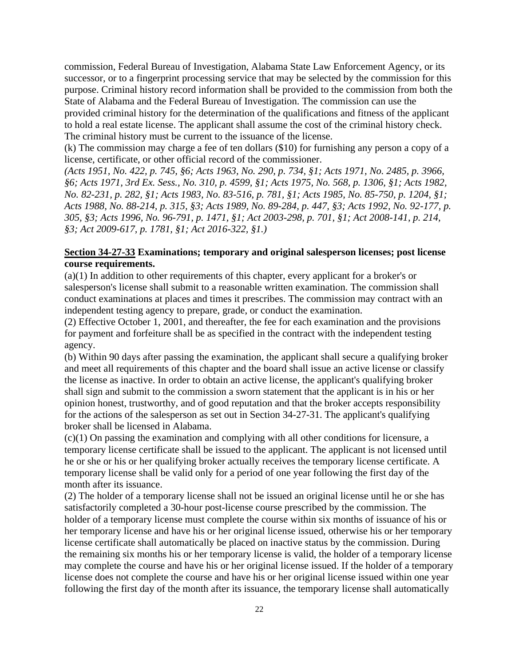commission, Federal Bureau of Investigation, Alabama State Law Enforcement Agency, or its successor, or to a fingerprint processing service that may be selected by the commission for this purpose. Criminal history record information shall be provided to the commission from both the State of Alabama and the Federal Bureau of Investigation. The commission can use the provided criminal history for the determination of the qualifications and fitness of the applicant to hold a real estate license. The applicant shall assume the cost of the criminal history check. The criminal history must be current to the issuance of the license.

(k) The commission may charge a fee of ten dollars (\$10) for furnishing any person a copy of a license, certificate, or other official record of the commissioner.

*(Acts 1951, No. 422, p. 745, §6; Acts 1963, No. 290, p. 734, §1; Acts 1971, No. 2485, p. 3966, §6; Acts 1971, 3rd Ex. Sess., No. 310, p. 4599, §1; Acts 1975, No. 568, p. 1306, §1; Acts 1982, No. 82-231, p. 282, §1; Acts 1983, No. 83-516, p. 781, §1; Acts 1985, No. 85-750, p. 1204, §1; Acts 1988, No. 88-214, p. 315, §3; Acts 1989, No. 89-284, p. 447, §3; Acts 1992, No. 92-177, p. 305, §3; Acts 1996, No. 96-791, p. 1471, §1; Act 2003-298, p. 701, §1; Act 2008-141, p. 214, §3; Act 2009-617, p. 1781, §1; Act 2016-322, §1.)*

## **Section 34-27-33 Examinations; temporary and original salesperson licenses; post license course requirements.**

(a)(1) In addition to other requirements of this chapter, every applicant for a broker's or salesperson's license shall submit to a reasonable written examination. The commission shall conduct examinations at places and times it prescribes. The commission may contract with an independent testing agency to prepare, grade, or conduct the examination.

(2) Effective October 1, 2001, and thereafter, the fee for each examination and the provisions for payment and forfeiture shall be as specified in the contract with the independent testing agency.

(b) Within 90 days after passing the examination, the applicant shall secure a qualifying broker and meet all requirements of this chapter and the board shall issue an active license or classify the license as inactive. In order to obtain an active license, the applicant's qualifying broker shall sign and submit to the commission a sworn statement that the applicant is in his or her opinion honest, trustworthy, and of good reputation and that the broker accepts responsibility for the actions of the salesperson as set out in Section 34-27-31. The applicant's qualifying broker shall be licensed in Alabama.

(c)(1) On passing the examination and complying with all other conditions for licensure, a temporary license certificate shall be issued to the applicant. The applicant is not licensed until he or she or his or her qualifying broker actually receives the temporary license certificate. A temporary license shall be valid only for a period of one year following the first day of the month after its issuance.

(2) The holder of a temporary license shall not be issued an original license until he or she has satisfactorily completed a 30-hour post-license course prescribed by the commission. The holder of a temporary license must complete the course within six months of issuance of his or her temporary license and have his or her original license issued, otherwise his or her temporary license certificate shall automatically be placed on inactive status by the commission. During the remaining six months his or her temporary license is valid, the holder of a temporary license may complete the course and have his or her original license issued. If the holder of a temporary license does not complete the course and have his or her original license issued within one year following the first day of the month after its issuance, the temporary license shall automatically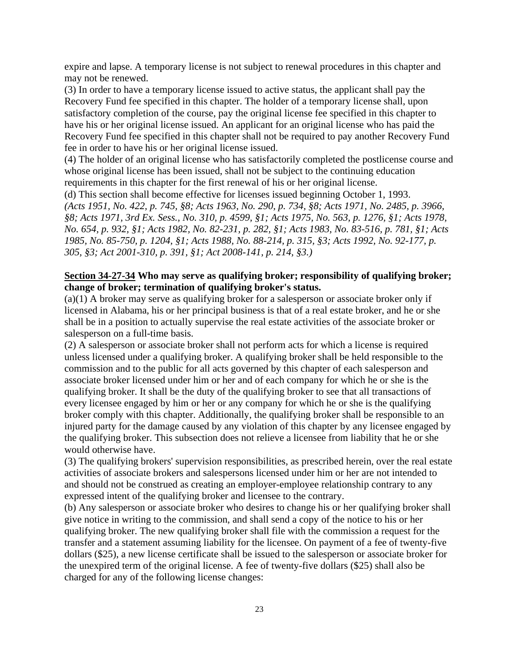expire and lapse. A temporary license is not subject to renewal procedures in this chapter and may not be renewed.

(3) In order to have a temporary license issued to active status, the applicant shall pay the Recovery Fund fee specified in this chapter. The holder of a temporary license shall, upon satisfactory completion of the course, pay the original license fee specified in this chapter to have his or her original license issued. An applicant for an original license who has paid the Recovery Fund fee specified in this chapter shall not be required to pay another Recovery Fund fee in order to have his or her original license issued.

(4) The holder of an original license who has satisfactorily completed the postlicense course and whose original license has been issued, shall not be subject to the continuing education requirements in this chapter for the first renewal of his or her original license.

(d) This section shall become effective for licenses issued beginning October 1, 1993. *(Acts 1951, No. 422, p. 745, §8; Acts 1963, No. 290, p. 734, §8; Acts 1971, No. 2485, p. 3966, §8; Acts 1971, 3rd Ex. Sess., No. 310, p. 4599, §1; Acts 1975, No. 563, p. 1276, §1; Acts 1978, No. 654, p. 932, §1; Acts 1982, No. 82-231, p. 282, §1; Acts 1983, No. 83-516, p. 781, §1; Acts 1985, No. 85-750, p. 1204, §1; Acts 1988, No. 88-214, p. 315, §3; Acts 1992, No. 92-177, p. 305, §3; Act 2001-310, p. 391, §1; Act 2008-141, p. 214, §3.)*

## **Section 34-27-34 Who may serve as qualifying broker; responsibility of qualifying broker; change of broker; termination of qualifying broker's status.**

(a)(1) A broker may serve as qualifying broker for a salesperson or associate broker only if licensed in Alabama, his or her principal business is that of a real estate broker, and he or she shall be in a position to actually supervise the real estate activities of the associate broker or salesperson on a full-time basis.

(2) A salesperson or associate broker shall not perform acts for which a license is required unless licensed under a qualifying broker. A qualifying broker shall be held responsible to the commission and to the public for all acts governed by this chapter of each salesperson and associate broker licensed under him or her and of each company for which he or she is the qualifying broker. It shall be the duty of the qualifying broker to see that all transactions of every licensee engaged by him or her or any company for which he or she is the qualifying broker comply with this chapter. Additionally, the qualifying broker shall be responsible to an injured party for the damage caused by any violation of this chapter by any licensee engaged by the qualifying broker. This subsection does not relieve a licensee from liability that he or she would otherwise have.

(3) The qualifying brokers' supervision responsibilities, as prescribed herein, over the real estate activities of associate brokers and salespersons licensed under him or her are not intended to and should not be construed as creating an employer-employee relationship contrary to any expressed intent of the qualifying broker and licensee to the contrary.

(b) Any salesperson or associate broker who desires to change his or her qualifying broker shall give notice in writing to the commission, and shall send a copy of the notice to his or her qualifying broker. The new qualifying broker shall file with the commission a request for the transfer and a statement assuming liability for the licensee. On payment of a fee of twenty-five dollars (\$25), a new license certificate shall be issued to the salesperson or associate broker for the unexpired term of the original license. A fee of twenty-five dollars (\$25) shall also be charged for any of the following license changes: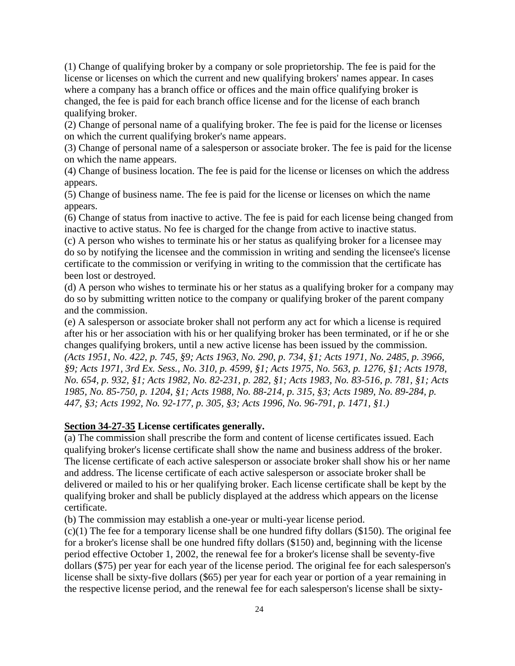(1) Change of qualifying broker by a company or sole proprietorship. The fee is paid for the license or licenses on which the current and new qualifying brokers' names appear. In cases where a company has a branch office or offices and the main office qualifying broker is changed, the fee is paid for each branch office license and for the license of each branch qualifying broker.

(2) Change of personal name of a qualifying broker. The fee is paid for the license or licenses on which the current qualifying broker's name appears.

(3) Change of personal name of a salesperson or associate broker. The fee is paid for the license on which the name appears.

(4) Change of business location. The fee is paid for the license or licenses on which the address appears.

(5) Change of business name. The fee is paid for the license or licenses on which the name appears.

(6) Change of status from inactive to active. The fee is paid for each license being changed from inactive to active status. No fee is charged for the change from active to inactive status.

(c) A person who wishes to terminate his or her status as qualifying broker for a licensee may do so by notifying the licensee and the commission in writing and sending the licensee's license certificate to the commission or verifying in writing to the commission that the certificate has been lost or destroyed.

(d) A person who wishes to terminate his or her status as a qualifying broker for a company may do so by submitting written notice to the company or qualifying broker of the parent company and the commission.

(e) A salesperson or associate broker shall not perform any act for which a license is required after his or her association with his or her qualifying broker has been terminated, or if he or she changes qualifying brokers, until a new active license has been issued by the commission. *(Acts 1951, No. 422, p. 745, §9; Acts 1963, No. 290, p. 734, §1; Acts 1971, No. 2485, p. 3966, §9; Acts 1971, 3rd Ex. Sess., No. 310, p. 4599, §1; Acts 1975, No. 563, p. 1276, §1; Acts 1978, No. 654, p. 932, §1; Acts 1982, No. 82-231, p. 282, §1; Acts 1983, No. 83-516, p. 781, §1; Acts 1985, No. 85-750, p. 1204, §1; Acts 1988, No. 88-214, p. 315, §3; Acts 1989, No. 89-284, p. 447, §3; Acts 1992, No. 92-177, p. 305, §3; Acts 1996, No. 96-791, p. 1471, §1.)*

## **Section 34-27-35 License certificates generally.**

(a) The commission shall prescribe the form and content of license certificates issued. Each qualifying broker's license certificate shall show the name and business address of the broker. The license certificate of each active salesperson or associate broker shall show his or her name and address. The license certificate of each active salesperson or associate broker shall be delivered or mailed to his or her qualifying broker. Each license certificate shall be kept by the qualifying broker and shall be publicly displayed at the address which appears on the license certificate.

(b) The commission may establish a one-year or multi-year license period.

 $(c)(1)$  The fee for a temporary license shall be one hundred fifty dollars (\$150). The original fee for a broker's license shall be one hundred fifty dollars (\$150) and, beginning with the license period effective October 1, 2002, the renewal fee for a broker's license shall be seventy-five dollars (\$75) per year for each year of the license period. The original fee for each salesperson's license shall be sixty-five dollars (\$65) per year for each year or portion of a year remaining in the respective license period, and the renewal fee for each salesperson's license shall be sixty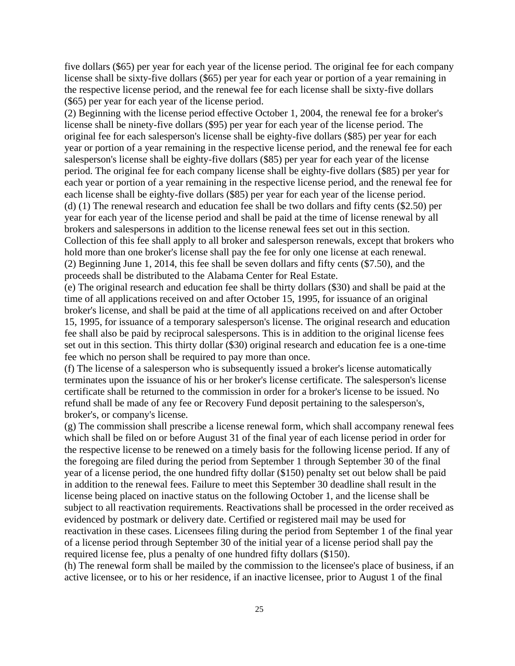five dollars (\$65) per year for each year of the license period. The original fee for each company license shall be sixty-five dollars (\$65) per year for each year or portion of a year remaining in the respective license period, and the renewal fee for each license shall be sixty-five dollars (\$65) per year for each year of the license period.

(2) Beginning with the license period effective October 1, 2004, the renewal fee for a broker's license shall be ninety-five dollars (\$95) per year for each year of the license period. The original fee for each salesperson's license shall be eighty-five dollars (\$85) per year for each year or portion of a year remaining in the respective license period, and the renewal fee for each salesperson's license shall be eighty-five dollars (\$85) per year for each year of the license period. The original fee for each company license shall be eighty-five dollars (\$85) per year for each year or portion of a year remaining in the respective license period, and the renewal fee for each license shall be eighty-five dollars (\$85) per year for each year of the license period. (d) (1) The renewal research and education fee shall be two dollars and fifty cents (\$2.50) per year for each year of the license period and shall be paid at the time of license renewal by all brokers and salespersons in addition to the license renewal fees set out in this section. Collection of this fee shall apply to all broker and salesperson renewals, except that brokers who hold more than one broker's license shall pay the fee for only one license at each renewal. (2) Beginning June 1, 2014, this fee shall be seven dollars and fifty cents (\$7.50), and the proceeds shall be distributed to the Alabama Center for Real Estate.

(e) The original research and education fee shall be thirty dollars (\$30) and shall be paid at the time of all applications received on and after October 15, 1995, for issuance of an original broker's license, and shall be paid at the time of all applications received on and after October 15, 1995, for issuance of a temporary salesperson's license. The original research and education fee shall also be paid by reciprocal salespersons. This is in addition to the original license fees set out in this section. This thirty dollar (\$30) original research and education fee is a one-time fee which no person shall be required to pay more than once.

(f) The license of a salesperson who is subsequently issued a broker's license automatically terminates upon the issuance of his or her broker's license certificate. The salesperson's license certificate shall be returned to the commission in order for a broker's license to be issued. No refund shall be made of any fee or Recovery Fund deposit pertaining to the salesperson's, broker's, or company's license.

(g) The commission shall prescribe a license renewal form, which shall accompany renewal fees which shall be filed on or before August 31 of the final year of each license period in order for the respective license to be renewed on a timely basis for the following license period. If any of the foregoing are filed during the period from September 1 through September 30 of the final year of a license period, the one hundred fifty dollar (\$150) penalty set out below shall be paid in addition to the renewal fees. Failure to meet this September 30 deadline shall result in the license being placed on inactive status on the following October 1, and the license shall be subject to all reactivation requirements. Reactivations shall be processed in the order received as evidenced by postmark or delivery date. Certified or registered mail may be used for reactivation in these cases. Licensees filing during the period from September 1 of the final year of a license period through September 30 of the initial year of a license period shall pay the required license fee, plus a penalty of one hundred fifty dollars (\$150).

(h) The renewal form shall be mailed by the commission to the licensee's place of business, if an active licensee, or to his or her residence, if an inactive licensee, prior to August 1 of the final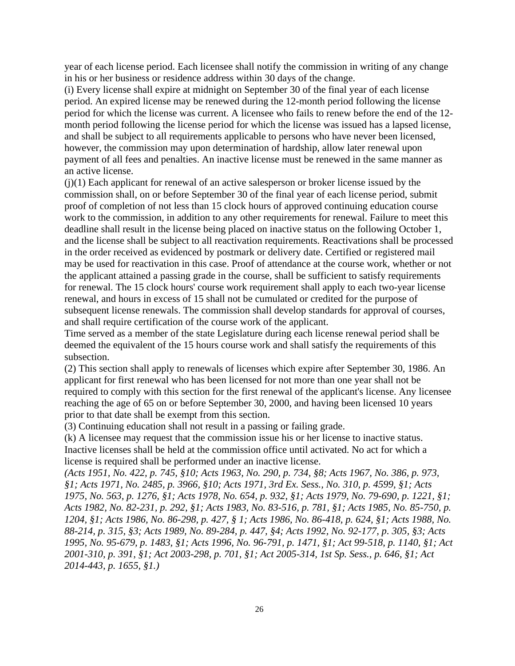year of each license period. Each licensee shall notify the commission in writing of any change in his or her business or residence address within 30 days of the change.

(i) Every license shall expire at midnight on September 30 of the final year of each license period. An expired license may be renewed during the 12-month period following the license period for which the license was current. A licensee who fails to renew before the end of the 12 month period following the license period for which the license was issued has a lapsed license, and shall be subject to all requirements applicable to persons who have never been licensed, however, the commission may upon determination of hardship, allow later renewal upon payment of all fees and penalties. An inactive license must be renewed in the same manner as an active license.

(j)(1) Each applicant for renewal of an active salesperson or broker license issued by the commission shall, on or before September 30 of the final year of each license period, submit proof of completion of not less than 15 clock hours of approved continuing education course work to the commission, in addition to any other requirements for renewal. Failure to meet this deadline shall result in the license being placed on inactive status on the following October 1, and the license shall be subject to all reactivation requirements. Reactivations shall be processed in the order received as evidenced by postmark or delivery date. Certified or registered mail may be used for reactivation in this case. Proof of attendance at the course work, whether or not the applicant attained a passing grade in the course, shall be sufficient to satisfy requirements for renewal. The 15 clock hours' course work requirement shall apply to each two-year license renewal, and hours in excess of 15 shall not be cumulated or credited for the purpose of subsequent license renewals. The commission shall develop standards for approval of courses, and shall require certification of the course work of the applicant.

Time served as a member of the state Legislature during each license renewal period shall be deemed the equivalent of the 15 hours course work and shall satisfy the requirements of this subsection.

(2) This section shall apply to renewals of licenses which expire after September 30, 1986. An applicant for first renewal who has been licensed for not more than one year shall not be required to comply with this section for the first renewal of the applicant's license. Any licensee reaching the age of 65 on or before September 30, 2000, and having been licensed 10 years prior to that date shall be exempt from this section.

(3) Continuing education shall not result in a passing or failing grade.

(k) A licensee may request that the commission issue his or her license to inactive status. Inactive licenses shall be held at the commission office until activated. No act for which a license is required shall be performed under an inactive license.

*(Acts 1951, No. 422, p. 745, §10; Acts 1963, No. 290, p. 734, §8; Acts 1967, No. 386, p. 973, §1; Acts 1971, No. 2485, p. 3966, §10; Acts 1971, 3rd Ex. Sess., No. 310, p. 4599, §1; Acts 1975, No. 563, p. 1276, §1; Acts 1978, No. 654, p. 932, §1; Acts 1979, No. 79-690, p. 1221, §1; Acts 1982, No. 82-231, p. 292, §1; Acts 1983, No. 83-516, p. 781, §1; Acts 1985, No. 85-750, p. 1204, §1; Acts 1986, No. 86-298, p. 427, § 1; Acts 1986, No. 86-418, p. 624, §1; Acts 1988, No. 88-214, p. 315, §3; Acts 1989, No. 89-284, p. 447, §4; Acts 1992, No. 92-177, p. 305, §3; Acts 1995, No. 95-679, p. 1483, §1; Acts 1996, No. 96-791, p. 1471, §1; Act 99-518, p. 1140, §1; Act 2001-310, p. 391, §1; Act 2003-298, p. 701, §1; Act 2005-314, 1st Sp. Sess., p. 646, §1; Act 2014-443, p. 1655, §1.)*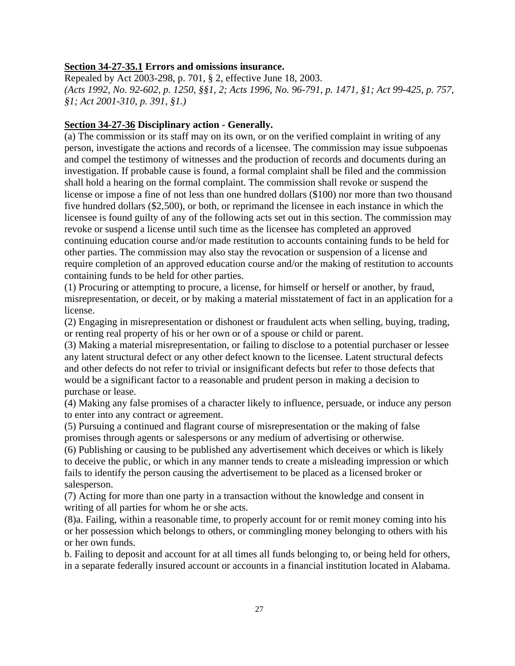#### **Section 34-27-35.1 Errors and omissions insurance.**

Repealed by Act 2003-298, p. 701, § 2, effective June 18, 2003. *(Acts 1992, No. 92-602, p. 1250, §§1, 2; Acts 1996, No. 96-791, p. 1471, §1; Act 99-425, p. 757, §1; Act 2001-310, p. 391, §1.)*

#### **Section 34-27-36 Disciplinary action - Generally.**

(a) The commission or its staff may on its own, or on the verified complaint in writing of any person, investigate the actions and records of a licensee. The commission may issue subpoenas and compel the testimony of witnesses and the production of records and documents during an investigation. If probable cause is found, a formal complaint shall be filed and the commission shall hold a hearing on the formal complaint. The commission shall revoke or suspend the license or impose a fine of not less than one hundred dollars (\$100) nor more than two thousand five hundred dollars (\$2,500), or both, or reprimand the licensee in each instance in which the licensee is found guilty of any of the following acts set out in this section. The commission may revoke or suspend a license until such time as the licensee has completed an approved continuing education course and/or made restitution to accounts containing funds to be held for other parties. The commission may also stay the revocation or suspension of a license and require completion of an approved education course and/or the making of restitution to accounts containing funds to be held for other parties.

(1) Procuring or attempting to procure, a license, for himself or herself or another, by fraud, misrepresentation, or deceit, or by making a material misstatement of fact in an application for a license.

(2) Engaging in misrepresentation or dishonest or fraudulent acts when selling, buying, trading, or renting real property of his or her own or of a spouse or child or parent.

(3) Making a material misrepresentation, or failing to disclose to a potential purchaser or lessee any latent structural defect or any other defect known to the licensee. Latent structural defects and other defects do not refer to trivial or insignificant defects but refer to those defects that would be a significant factor to a reasonable and prudent person in making a decision to purchase or lease.

(4) Making any false promises of a character likely to influence, persuade, or induce any person to enter into any contract or agreement.

(5) Pursuing a continued and flagrant course of misrepresentation or the making of false promises through agents or salespersons or any medium of advertising or otherwise.

(6) Publishing or causing to be published any advertisement which deceives or which is likely to deceive the public, or which in any manner tends to create a misleading impression or which fails to identify the person causing the advertisement to be placed as a licensed broker or salesperson.

(7) Acting for more than one party in a transaction without the knowledge and consent in writing of all parties for whom he or she acts.

(8)a. Failing, within a reasonable time, to properly account for or remit money coming into his or her possession which belongs to others, or commingling money belonging to others with his or her own funds.

b. Failing to deposit and account for at all times all funds belonging to, or being held for others, in a separate federally insured account or accounts in a financial institution located in Alabama.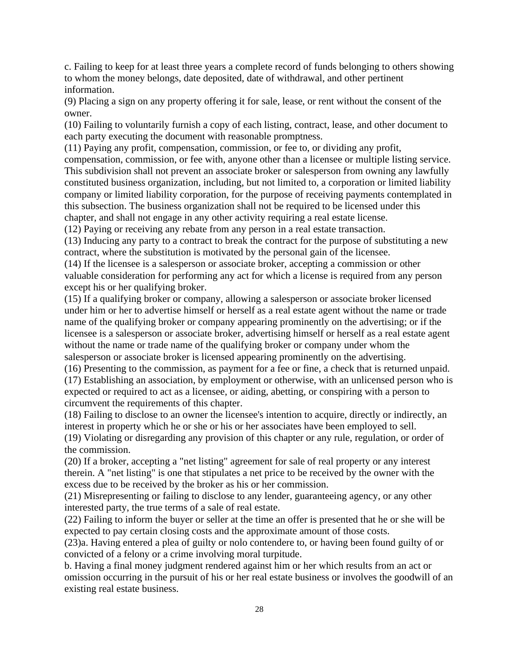c. Failing to keep for at least three years a complete record of funds belonging to others showing to whom the money belongs, date deposited, date of withdrawal, and other pertinent information.

(9) Placing a sign on any property offering it for sale, lease, or rent without the consent of the owner.

(10) Failing to voluntarily furnish a copy of each listing, contract, lease, and other document to each party executing the document with reasonable promptness.

(11) Paying any profit, compensation, commission, or fee to, or dividing any profit,

compensation, commission, or fee with, anyone other than a licensee or multiple listing service. This subdivision shall not prevent an associate broker or salesperson from owning any lawfully constituted business organization, including, but not limited to, a corporation or limited liability company or limited liability corporation, for the purpose of receiving payments contemplated in this subsection. The business organization shall not be required to be licensed under this chapter, and shall not engage in any other activity requiring a real estate license.

(12) Paying or receiving any rebate from any person in a real estate transaction.

(13) Inducing any party to a contract to break the contract for the purpose of substituting a new contract, where the substitution is motivated by the personal gain of the licensee.

(14) If the licensee is a salesperson or associate broker, accepting a commission or other valuable consideration for performing any act for which a license is required from any person except his or her qualifying broker.

(15) If a qualifying broker or company, allowing a salesperson or associate broker licensed under him or her to advertise himself or herself as a real estate agent without the name or trade name of the qualifying broker or company appearing prominently on the advertising; or if the licensee is a salesperson or associate broker, advertising himself or herself as a real estate agent without the name or trade name of the qualifying broker or company under whom the salesperson or associate broker is licensed appearing prominently on the advertising.

(16) Presenting to the commission, as payment for a fee or fine, a check that is returned unpaid. (17) Establishing an association, by employment or otherwise, with an unlicensed person who is expected or required to act as a licensee, or aiding, abetting, or conspiring with a person to circumvent the requirements of this chapter.

(18) Failing to disclose to an owner the licensee's intention to acquire, directly or indirectly, an interest in property which he or she or his or her associates have been employed to sell.

(19) Violating or disregarding any provision of this chapter or any rule, regulation, or order of the commission.

(20) If a broker, accepting a "net listing" agreement for sale of real property or any interest therein. A "net listing" is one that stipulates a net price to be received by the owner with the excess due to be received by the broker as his or her commission.

(21) Misrepresenting or failing to disclose to any lender, guaranteeing agency, or any other interested party, the true terms of a sale of real estate.

(22) Failing to inform the buyer or seller at the time an offer is presented that he or she will be expected to pay certain closing costs and the approximate amount of those costs.

(23)a. Having entered a plea of guilty or nolo contendere to, or having been found guilty of or convicted of a felony or a crime involving moral turpitude.

b. Having a final money judgment rendered against him or her which results from an act or omission occurring in the pursuit of his or her real estate business or involves the goodwill of an existing real estate business.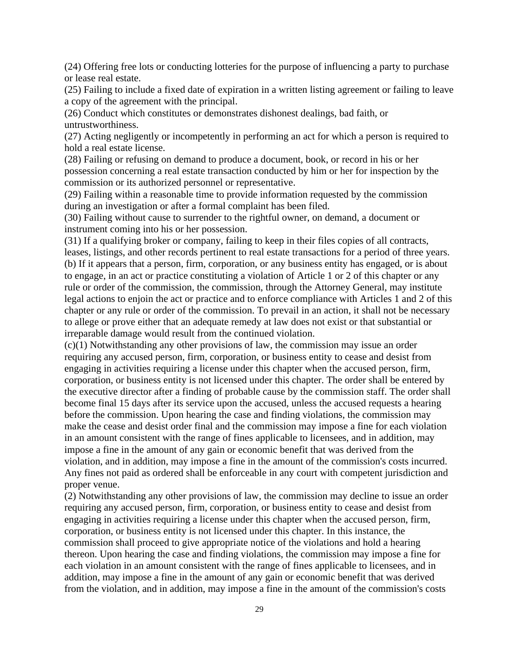(24) Offering free lots or conducting lotteries for the purpose of influencing a party to purchase or lease real estate.

(25) Failing to include a fixed date of expiration in a written listing agreement or failing to leave a copy of the agreement with the principal.

(26) Conduct which constitutes or demonstrates dishonest dealings, bad faith, or untrustworthiness.

(27) Acting negligently or incompetently in performing an act for which a person is required to hold a real estate license.

(28) Failing or refusing on demand to produce a document, book, or record in his or her possession concerning a real estate transaction conducted by him or her for inspection by the commission or its authorized personnel or representative.

(29) Failing within a reasonable time to provide information requested by the commission during an investigation or after a formal complaint has been filed.

(30) Failing without cause to surrender to the rightful owner, on demand, a document or instrument coming into his or her possession.

(31) If a qualifying broker or company, failing to keep in their files copies of all contracts, leases, listings, and other records pertinent to real estate transactions for a period of three years. (b) If it appears that a person, firm, corporation, or any business entity has engaged, or is about to engage, in an act or practice constituting a violation of Article 1 or 2 of this chapter or any rule or order of the commission, the commission, through the Attorney General, may institute legal actions to enjoin the act or practice and to enforce compliance with Articles 1 and 2 of this chapter or any rule or order of the commission. To prevail in an action, it shall not be necessary to allege or prove either that an adequate remedy at law does not exist or that substantial or irreparable damage would result from the continued violation.

(c)(1) Notwithstanding any other provisions of law, the commission may issue an order requiring any accused person, firm, corporation, or business entity to cease and desist from engaging in activities requiring a license under this chapter when the accused person, firm, corporation, or business entity is not licensed under this chapter. The order shall be entered by the executive director after a finding of probable cause by the commission staff. The order shall become final 15 days after its service upon the accused, unless the accused requests a hearing before the commission. Upon hearing the case and finding violations, the commission may make the cease and desist order final and the commission may impose a fine for each violation in an amount consistent with the range of fines applicable to licensees, and in addition, may impose a fine in the amount of any gain or economic benefit that was derived from the violation, and in addition, may impose a fine in the amount of the commission's costs incurred. Any fines not paid as ordered shall be enforceable in any court with competent jurisdiction and proper venue.

(2) Notwithstanding any other provisions of law, the commission may decline to issue an order requiring any accused person, firm, corporation, or business entity to cease and desist from engaging in activities requiring a license under this chapter when the accused person, firm, corporation, or business entity is not licensed under this chapter. In this instance, the commission shall proceed to give appropriate notice of the violations and hold a hearing thereon. Upon hearing the case and finding violations, the commission may impose a fine for each violation in an amount consistent with the range of fines applicable to licensees, and in addition, may impose a fine in the amount of any gain or economic benefit that was derived from the violation, and in addition, may impose a fine in the amount of the commission's costs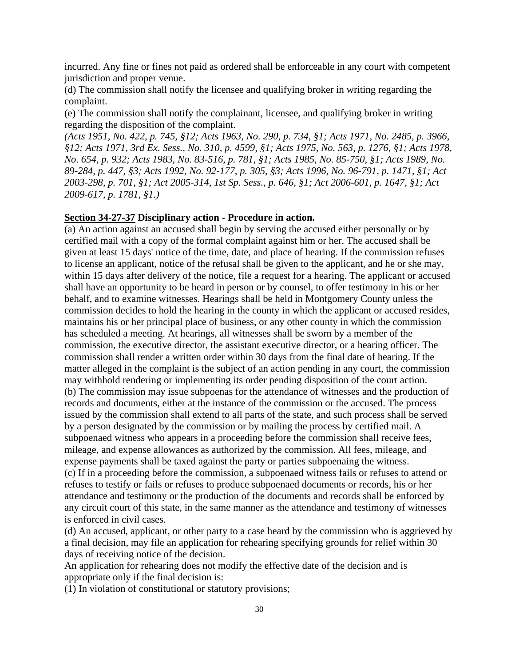incurred. Any fine or fines not paid as ordered shall be enforceable in any court with competent jurisdiction and proper venue.

(d) The commission shall notify the licensee and qualifying broker in writing regarding the complaint.

(e) The commission shall notify the complainant, licensee, and qualifying broker in writing regarding the disposition of the complaint.

*(Acts 1951, No. 422, p. 745, §12; Acts 1963, No. 290, p. 734, §1; Acts 1971, No. 2485, p. 3966, §12; Acts 1971, 3rd Ex. Sess., No. 310, p. 4599, §1; Acts 1975, No. 563, p. 1276, §1; Acts 1978, No. 654, p. 932; Acts 1983, No. 83-516, p. 781, §1; Acts 1985, No. 85-750, §1; Acts 1989, No. 89-284, p. 447, §3; Acts 1992, No. 92-177, p. 305, §3; Acts 1996, No. 96-791, p. 1471, §1; Act 2003-298, p. 701, §1; Act 2005-314, 1st Sp. Sess., p. 646, §1; Act 2006-601, p. 1647, §1; Act 2009-617, p. 1781, §1.)*

#### **Section 34-27-37 Disciplinary action - Procedure in action.**

(a) An action against an accused shall begin by serving the accused either personally or by certified mail with a copy of the formal complaint against him or her. The accused shall be given at least 15 days' notice of the time, date, and place of hearing. If the commission refuses to license an applicant, notice of the refusal shall be given to the applicant, and he or she may, within 15 days after delivery of the notice, file a request for a hearing. The applicant or accused shall have an opportunity to be heard in person or by counsel, to offer testimony in his or her behalf, and to examine witnesses. Hearings shall be held in Montgomery County unless the commission decides to hold the hearing in the county in which the applicant or accused resides, maintains his or her principal place of business, or any other county in which the commission has scheduled a meeting. At hearings, all witnesses shall be sworn by a member of the commission, the executive director, the assistant executive director, or a hearing officer. The commission shall render a written order within 30 days from the final date of hearing. If the matter alleged in the complaint is the subject of an action pending in any court, the commission may withhold rendering or implementing its order pending disposition of the court action. (b) The commission may issue subpoenas for the attendance of witnesses and the production of records and documents, either at the instance of the commission or the accused. The process issued by the commission shall extend to all parts of the state, and such process shall be served by a person designated by the commission or by mailing the process by certified mail. A subpoenaed witness who appears in a proceeding before the commission shall receive fees, mileage, and expense allowances as authorized by the commission. All fees, mileage, and expense payments shall be taxed against the party or parties subpoenaing the witness. (c) If in a proceeding before the commission, a subpoenaed witness fails or refuses to attend or refuses to testify or fails or refuses to produce subpoenaed documents or records, his or her attendance and testimony or the production of the documents and records shall be enforced by any circuit court of this state, in the same manner as the attendance and testimony of witnesses is enforced in civil cases.

(d) An accused, applicant, or other party to a case heard by the commission who is aggrieved by a final decision, may file an application for rehearing specifying grounds for relief within 30 days of receiving notice of the decision.

An application for rehearing does not modify the effective date of the decision and is appropriate only if the final decision is:

(1) In violation of constitutional or statutory provisions;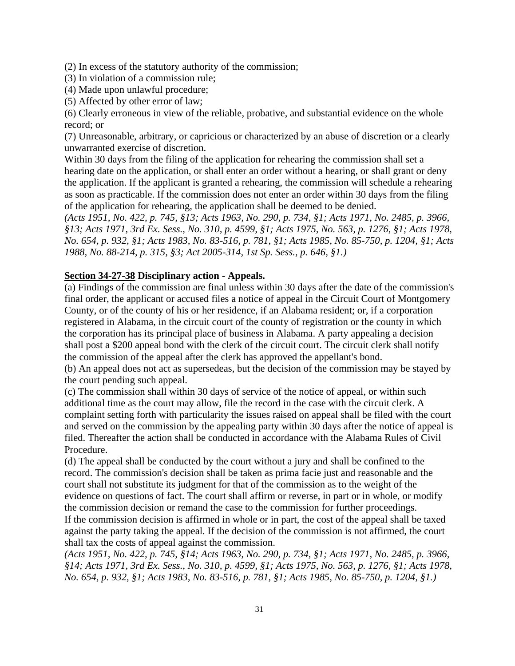(2) In excess of the statutory authority of the commission;

- (3) In violation of a commission rule;
- (4) Made upon unlawful procedure;
- (5) Affected by other error of law;

(6) Clearly erroneous in view of the reliable, probative, and substantial evidence on the whole record; or

(7) Unreasonable, arbitrary, or capricious or characterized by an abuse of discretion or a clearly unwarranted exercise of discretion.

Within 30 days from the filing of the application for rehearing the commission shall set a hearing date on the application, or shall enter an order without a hearing, or shall grant or deny the application. If the applicant is granted a rehearing, the commission will schedule a rehearing as soon as practicable. If the commission does not enter an order within 30 days from the filing of the application for rehearing, the application shall be deemed to be denied.

*(Acts 1951, No. 422, p. 745, §13; Acts 1963, No. 290, p. 734, §1; Acts 1971, No. 2485, p. 3966, §13; Acts 1971, 3rd Ex. Sess., No. 310, p. 4599, §1; Acts 1975, No. 563, p. 1276, §1; Acts 1978, No. 654, p. 932, §1; Acts 1983, No. 83-516, p. 781, §1; Acts 1985, No. 85-750, p. 1204, §1; Acts 1988, No. 88-214, p. 315, §3; Act 2005-314, 1st Sp. Sess., p. 646, §1.)*

## **Section 34-27-38 Disciplinary action - Appeals.**

(a) Findings of the commission are final unless within 30 days after the date of the commission's final order, the applicant or accused files a notice of appeal in the Circuit Court of Montgomery County, or of the county of his or her residence, if an Alabama resident; or, if a corporation registered in Alabama, in the circuit court of the county of registration or the county in which the corporation has its principal place of business in Alabama. A party appealing a decision shall post a \$200 appeal bond with the clerk of the circuit court. The circuit clerk shall notify the commission of the appeal after the clerk has approved the appellant's bond.

(b) An appeal does not act as supersedeas, but the decision of the commission may be stayed by the court pending such appeal.

(c) The commission shall within 30 days of service of the notice of appeal, or within such additional time as the court may allow, file the record in the case with the circuit clerk. A complaint setting forth with particularity the issues raised on appeal shall be filed with the court and served on the commission by the appealing party within 30 days after the notice of appeal is filed. Thereafter the action shall be conducted in accordance with the Alabama Rules of Civil Procedure.

(d) The appeal shall be conducted by the court without a jury and shall be confined to the record. The commission's decision shall be taken as prima facie just and reasonable and the court shall not substitute its judgment for that of the commission as to the weight of the evidence on questions of fact. The court shall affirm or reverse, in part or in whole, or modify the commission decision or remand the case to the commission for further proceedings.

If the commission decision is affirmed in whole or in part, the cost of the appeal shall be taxed against the party taking the appeal. If the decision of the commission is not affirmed, the court shall tax the costs of appeal against the commission.

*(Acts 1951, No. 422, p. 745, §14; Acts 1963, No. 290, p. 734, §1; Acts 1971, No. 2485, p. 3966, §14; Acts 1971, 3rd Ex. Sess., No. 310, p. 4599, §1; Acts 1975, No. 563, p. 1276, §1; Acts 1978, No. 654, p. 932, §1; Acts 1983, No. 83-516, p. 781, §1; Acts 1985, No. 85-750, p. 1204, §1.)*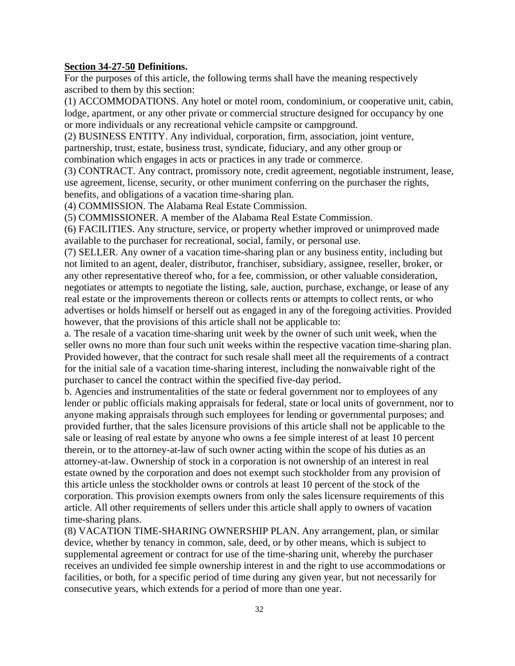#### **Section 34-27-50 Definitions.**

For the purposes of this article, the following terms shall have the meaning respectively ascribed to them by this section:

(1) ACCOMMODATIONS. Any hotel or motel room, condominium, or cooperative unit, cabin, lodge, apartment, or any other private or commercial structure designed for occupancy by one or more individuals or any recreational vehicle campsite or campground.

(2) BUSINESS ENTITY. Any individual, corporation, firm, association, joint venture, partnership, trust, estate, business trust, syndicate, fiduciary, and any other group or combination which engages in acts or practices in any trade or commerce.

(3) CONTRACT. Any contract, promissory note, credit agreement, negotiable instrument, lease, use agreement, license, security, or other muniment conferring on the purchaser the rights, benefits, and obligations of a vacation time-sharing plan.

(4) COMMISSION. The Alabama Real Estate Commission.

(5) COMMISSIONER. A member of the Alabama Real Estate Commission.

(6) FACILITIES. Any structure, service, or property whether improved or unimproved made available to the purchaser for recreational, social, family, or personal use.

(7) SELLER. Any owner of a vacation time-sharing plan or any business entity, including but not limited to an agent, dealer, distributor, franchiser, subsidiary, assignee, reseller, broker, or any other representative thereof who, for a fee, commission, or other valuable consideration, negotiates or attempts to negotiate the listing, sale, auction, purchase, exchange, or lease of any real estate or the improvements thereon or collects rents or attempts to collect rents, or who advertises or holds himself or herself out as engaged in any of the foregoing activities. Provided however, that the provisions of this article shall not be applicable to:

a. The resale of a vacation time-sharing unit week by the owner of such unit week, when the seller owns no more than four such unit weeks within the respective vacation time-sharing plan. Provided however, that the contract for such resale shall meet all the requirements of a contract for the initial sale of a vacation time-sharing interest, including the nonwaivable right of the purchaser to cancel the contract within the specified five-day period.

b. Agencies and instrumentalities of the state or federal government nor to employees of any lender or public officials making appraisals for federal, state or local units of government, nor to anyone making appraisals through such employees for lending or governmental purposes; and provided further, that the sales licensure provisions of this article shall not be applicable to the sale or leasing of real estate by anyone who owns a fee simple interest of at least 10 percent therein, or to the attorney-at-law of such owner acting within the scope of his duties as an attorney-at-law. Ownership of stock in a corporation is not ownership of an interest in real estate owned by the corporation and does not exempt such stockholder from any provision of this article unless the stockholder owns or controls at least 10 percent of the stock of the corporation. This provision exempts owners from only the sales licensure requirements of this article. All other requirements of sellers under this article shall apply to owners of vacation time-sharing plans.

(8) VACATION TIME-SHARING OWNERSHIP PLAN. Any arrangement, plan, or similar device, whether by tenancy in common, sale, deed, or by other means, which is subject to supplemental agreement or contract for use of the time-sharing unit, whereby the purchaser receives an undivided fee simple ownership interest in and the right to use accommodations or facilities, or both, for a specific period of time during any given year, but not necessarily for consecutive years, which extends for a period of more than one year.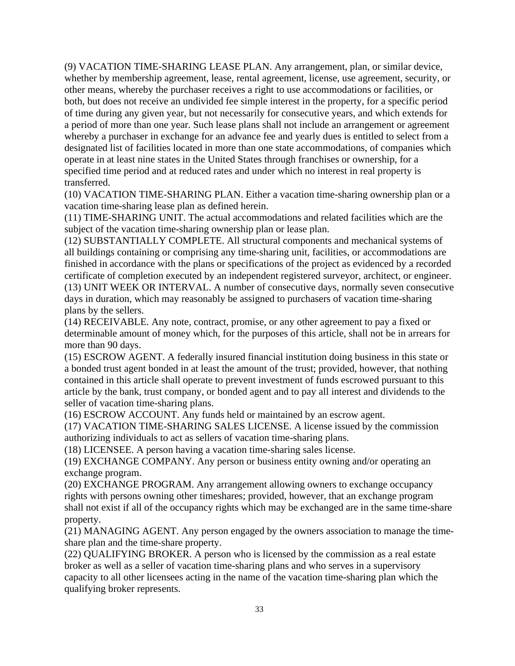(9) VACATION TIME-SHARING LEASE PLAN. Any arrangement, plan, or similar device, whether by membership agreement, lease, rental agreement, license, use agreement, security, or other means, whereby the purchaser receives a right to use accommodations or facilities, or both, but does not receive an undivided fee simple interest in the property, for a specific period of time during any given year, but not necessarily for consecutive years, and which extends for a period of more than one year. Such lease plans shall not include an arrangement or agreement whereby a purchaser in exchange for an advance fee and yearly dues is entitled to select from a designated list of facilities located in more than one state accommodations, of companies which operate in at least nine states in the United States through franchises or ownership, for a specified time period and at reduced rates and under which no interest in real property is transferred.

(10) VACATION TIME-SHARING PLAN. Either a vacation time-sharing ownership plan or a vacation time-sharing lease plan as defined herein.

(11) TIME-SHARING UNIT. The actual accommodations and related facilities which are the subject of the vacation time-sharing ownership plan or lease plan.

(12) SUBSTANTIALLY COMPLETE. All structural components and mechanical systems of all buildings containing or comprising any time-sharing unit, facilities, or accommodations are finished in accordance with the plans or specifications of the project as evidenced by a recorded certificate of completion executed by an independent registered surveyor, architect, or engineer. (13) UNIT WEEK OR INTERVAL. A number of consecutive days, normally seven consecutive days in duration, which may reasonably be assigned to purchasers of vacation time-sharing plans by the sellers.

(14) RECEIVABLE. Any note, contract, promise, or any other agreement to pay a fixed or determinable amount of money which, for the purposes of this article, shall not be in arrears for more than 90 days.

(15) ESCROW AGENT. A federally insured financial institution doing business in this state or a bonded trust agent bonded in at least the amount of the trust; provided, however, that nothing contained in this article shall operate to prevent investment of funds escrowed pursuant to this article by the bank, trust company, or bonded agent and to pay all interest and dividends to the seller of vacation time-sharing plans.

(16) ESCROW ACCOUNT. Any funds held or maintained by an escrow agent.

(17) VACATION TIME-SHARING SALES LICENSE. A license issued by the commission authorizing individuals to act as sellers of vacation time-sharing plans.

(18) LICENSEE. A person having a vacation time-sharing sales license.

(19) EXCHANGE COMPANY. Any person or business entity owning and/or operating an exchange program.

(20) EXCHANGE PROGRAM. Any arrangement allowing owners to exchange occupancy rights with persons owning other timeshares; provided, however, that an exchange program shall not exist if all of the occupancy rights which may be exchanged are in the same time-share property.

(21) MANAGING AGENT. Any person engaged by the owners association to manage the timeshare plan and the time-share property.

(22) QUALIFYING BROKER. A person who is licensed by the commission as a real estate broker as well as a seller of vacation time-sharing plans and who serves in a supervisory capacity to all other licensees acting in the name of the vacation time-sharing plan which the qualifying broker represents.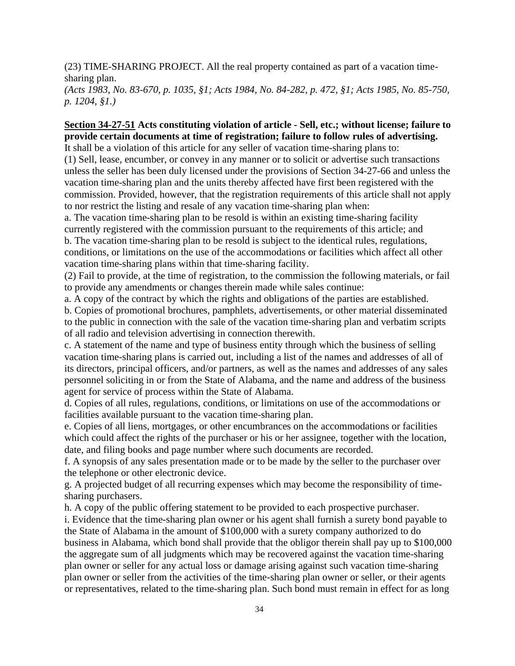(23) TIME-SHARING PROJECT. All the real property contained as part of a vacation timesharing plan.

*(Acts 1983, No. 83-670, p. 1035, §1; Acts 1984, No. 84-282, p. 472, §1; Acts 1985, No. 85-750, p. 1204, §1.)*

## **Section 34-27-51 Acts constituting violation of article - Sell, etc.; without license; failure to provide certain documents at time of registration; failure to follow rules of advertising.**

It shall be a violation of this article for any seller of vacation time-sharing plans to: (1) Sell, lease, encumber, or convey in any manner or to solicit or advertise such transactions unless the seller has been duly licensed under the provisions of Section 34-27-66 and unless the vacation time-sharing plan and the units thereby affected have first been registered with the commission. Provided, however, that the registration requirements of this article shall not apply to nor restrict the listing and resale of any vacation time-sharing plan when:

a. The vacation time-sharing plan to be resold is within an existing time-sharing facility currently registered with the commission pursuant to the requirements of this article; and b. The vacation time-sharing plan to be resold is subject to the identical rules, regulations, conditions, or limitations on the use of the accommodations or facilities which affect all other vacation time-sharing plans within that time-sharing facility.

(2) Fail to provide, at the time of registration, to the commission the following materials, or fail to provide any amendments or changes therein made while sales continue:

a. A copy of the contract by which the rights and obligations of the parties are established.

b. Copies of promotional brochures, pamphlets, advertisements, or other material disseminated to the public in connection with the sale of the vacation time-sharing plan and verbatim scripts of all radio and television advertising in connection therewith.

c. A statement of the name and type of business entity through which the business of selling vacation time-sharing plans is carried out, including a list of the names and addresses of all of its directors, principal officers, and/or partners, as well as the names and addresses of any sales personnel soliciting in or from the State of Alabama, and the name and address of the business agent for service of process within the State of Alabama.

d. Copies of all rules, regulations, conditions, or limitations on use of the accommodations or facilities available pursuant to the vacation time-sharing plan.

e. Copies of all liens, mortgages, or other encumbrances on the accommodations or facilities which could affect the rights of the purchaser or his or her assignee, together with the location, date, and filing books and page number where such documents are recorded.

f. A synopsis of any sales presentation made or to be made by the seller to the purchaser over the telephone or other electronic device.

g. A projected budget of all recurring expenses which may become the responsibility of timesharing purchasers.

h. A copy of the public offering statement to be provided to each prospective purchaser.

i. Evidence that the time-sharing plan owner or his agent shall furnish a surety bond payable to the State of Alabama in the amount of \$100,000 with a surety company authorized to do business in Alabama, which bond shall provide that the obligor therein shall pay up to \$100,000 the aggregate sum of all judgments which may be recovered against the vacation time-sharing plan owner or seller for any actual loss or damage arising against such vacation time-sharing plan owner or seller from the activities of the time-sharing plan owner or seller, or their agents or representatives, related to the time-sharing plan. Such bond must remain in effect for as long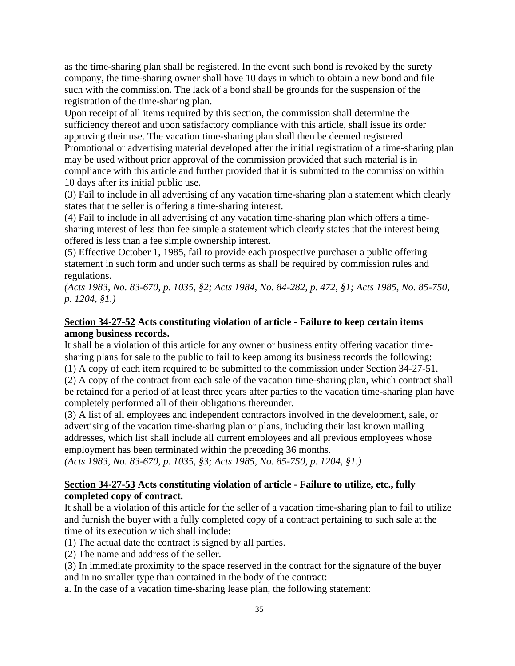as the time-sharing plan shall be registered. In the event such bond is revoked by the surety company, the time-sharing owner shall have 10 days in which to obtain a new bond and file such with the commission. The lack of a bond shall be grounds for the suspension of the registration of the time-sharing plan.

Upon receipt of all items required by this section, the commission shall determine the sufficiency thereof and upon satisfactory compliance with this article, shall issue its order approving their use. The vacation time-sharing plan shall then be deemed registered.

Promotional or advertising material developed after the initial registration of a time-sharing plan may be used without prior approval of the commission provided that such material is in compliance with this article and further provided that it is submitted to the commission within 10 days after its initial public use.

(3) Fail to include in all advertising of any vacation time-sharing plan a statement which clearly states that the seller is offering a time-sharing interest.

(4) Fail to include in all advertising of any vacation time-sharing plan which offers a timesharing interest of less than fee simple a statement which clearly states that the interest being offered is less than a fee simple ownership interest.

(5) Effective October 1, 1985, fail to provide each prospective purchaser a public offering statement in such form and under such terms as shall be required by commission rules and regulations.

*(Acts 1983, No. 83-670, p. 1035, §2; Acts 1984, No. 84-282, p. 472, §1; Acts 1985, No. 85-750, p. 1204, §1.)*

## **Section 34-27-52 Acts constituting violation of article - Failure to keep certain items among business records.**

It shall be a violation of this article for any owner or business entity offering vacation timesharing plans for sale to the public to fail to keep among its business records the following: (1) A copy of each item required to be submitted to the commission under Section 34-27-51.

(2) A copy of the contract from each sale of the vacation time-sharing plan, which contract shall be retained for a period of at least three years after parties to the vacation time-sharing plan have completely performed all of their obligations thereunder.

(3) A list of all employees and independent contractors involved in the development, sale, or advertising of the vacation time-sharing plan or plans, including their last known mailing addresses, which list shall include all current employees and all previous employees whose employment has been terminated within the preceding 36 months.

*(Acts 1983, No. 83-670, p. 1035, §3; Acts 1985, No. 85-750, p. 1204, §1.)*

## **Section 34-27-53 Acts constituting violation of article - Failure to utilize, etc., fully completed copy of contract.**

It shall be a violation of this article for the seller of a vacation time-sharing plan to fail to utilize and furnish the buyer with a fully completed copy of a contract pertaining to such sale at the time of its execution which shall include:

(1) The actual date the contract is signed by all parties.

(2) The name and address of the seller.

(3) In immediate proximity to the space reserved in the contract for the signature of the buyer and in no smaller type than contained in the body of the contract:

a. In the case of a vacation time-sharing lease plan, the following statement: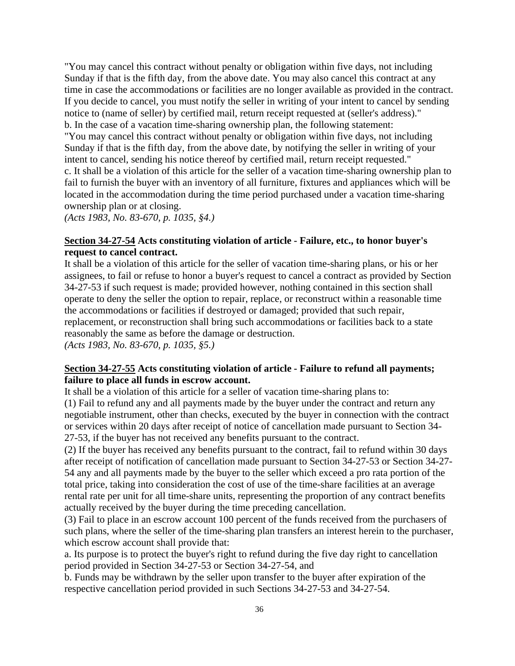"You may cancel this contract without penalty or obligation within five days, not including Sunday if that is the fifth day, from the above date. You may also cancel this contract at any time in case the accommodations or facilities are no longer available as provided in the contract. If you decide to cancel, you must notify the seller in writing of your intent to cancel by sending notice to (name of seller) by certified mail, return receipt requested at (seller's address)." b. In the case of a vacation time-sharing ownership plan, the following statement:

"You may cancel this contract without penalty or obligation within five days, not including Sunday if that is the fifth day, from the above date, by notifying the seller in writing of your intent to cancel, sending his notice thereof by certified mail, return receipt requested."

c. It shall be a violation of this article for the seller of a vacation time-sharing ownership plan to fail to furnish the buyer with an inventory of all furniture, fixtures and appliances which will be located in the accommodation during the time period purchased under a vacation time-sharing ownership plan or at closing.

*(Acts 1983, No. 83-670, p. 1035, §4.)*

## **Section 34-27-54 Acts constituting violation of article - Failure, etc., to honor buyer's request to cancel contract.**

It shall be a violation of this article for the seller of vacation time-sharing plans, or his or her assignees, to fail or refuse to honor a buyer's request to cancel a contract as provided by Section 34-27-53 if such request is made; provided however, nothing contained in this section shall operate to deny the seller the option to repair, replace, or reconstruct within a reasonable time the accommodations or facilities if destroyed or damaged; provided that such repair, replacement, or reconstruction shall bring such accommodations or facilities back to a state reasonably the same as before the damage or destruction. *(Acts 1983, No. 83-670, p. 1035, §5.)*

## **Section 34-27-55 Acts constituting violation of article - Failure to refund all payments; failure to place all funds in escrow account.**

It shall be a violation of this article for a seller of vacation time-sharing plans to:

(1) Fail to refund any and all payments made by the buyer under the contract and return any negotiable instrument, other than checks, executed by the buyer in connection with the contract or services within 20 days after receipt of notice of cancellation made pursuant to Section 34- 27-53, if the buyer has not received any benefits pursuant to the contract.

(2) If the buyer has received any benefits pursuant to the contract, fail to refund within 30 days after receipt of notification of cancellation made pursuant to Section 34-27-53 or Section 34-27- 54 any and all payments made by the buyer to the seller which exceed a pro rata portion of the total price, taking into consideration the cost of use of the time-share facilities at an average rental rate per unit for all time-share units, representing the proportion of any contract benefits actually received by the buyer during the time preceding cancellation.

(3) Fail to place in an escrow account 100 percent of the funds received from the purchasers of such plans, where the seller of the time-sharing plan transfers an interest herein to the purchaser, which escrow account shall provide that:

a. Its purpose is to protect the buyer's right to refund during the five day right to cancellation period provided in Section 34-27-53 or Section 34-27-54, and

b. Funds may be withdrawn by the seller upon transfer to the buyer after expiration of the respective cancellation period provided in such Sections 34-27-53 and 34-27-54.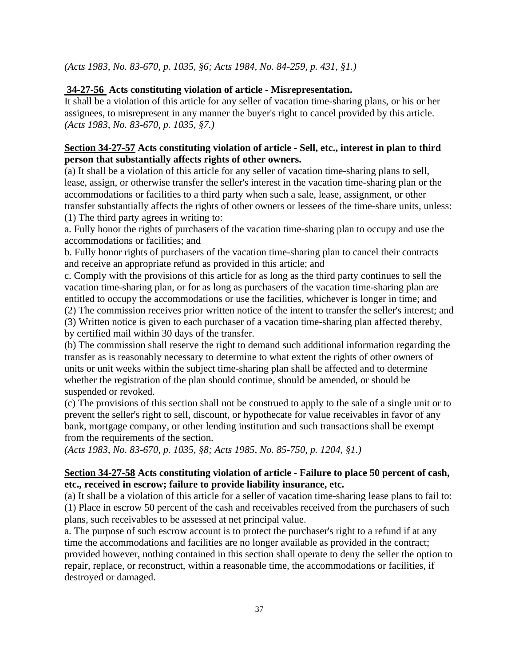*(Acts 1983, No. 83-670, p. 1035, §6; Acts 1984, No. 84-259, p. 431, §1.)*

## **34-27-56 Acts constituting violation of article - Misrepresentation.**

It shall be a violation of this article for any seller of vacation time-sharing plans, or his or her assignees, to misrepresent in any manner the buyer's right to cancel provided by this article. *(Acts 1983, No. 83-670, p. 1035, §7.)*

### **Section 34-27-57 Acts constituting violation of article - Sell, etc., interest in plan to third person that substantially affects rights of other owners.**

(a) It shall be a violation of this article for any seller of vacation time-sharing plans to sell, lease, assign, or otherwise transfer the seller's interest in the vacation time-sharing plan or the accommodations or facilities to a third party when such a sale, lease, assignment, or other transfer substantially affects the rights of other owners or lessees of the time-share units, unless: (1) The third party agrees in writing to:

a. Fully honor the rights of purchasers of the vacation time-sharing plan to occupy and use the accommodations or facilities; and

b. Fully honor rights of purchasers of the vacation time-sharing plan to cancel their contracts and receive an appropriate refund as provided in this article; and

c. Comply with the provisions of this article for as long as the third party continues to sell the vacation time-sharing plan, or for as long as purchasers of the vacation time-sharing plan are entitled to occupy the accommodations or use the facilities, whichever is longer in time; and

(2) The commission receives prior written notice of the intent to transfer the seller's interest; and

(3) Written notice is given to each purchaser of a vacation time-sharing plan affected thereby, by certified mail within 30 days of the transfer.

(b) The commission shall reserve the right to demand such additional information regarding the transfer as is reasonably necessary to determine to what extent the rights of other owners of units or unit weeks within the subject time-sharing plan shall be affected and to determine whether the registration of the plan should continue, should be amended, or should be suspended or revoked.

(c) The provisions of this section shall not be construed to apply to the sale of a single unit or to prevent the seller's right to sell, discount, or hypothecate for value receivables in favor of any bank, mortgage company, or other lending institution and such transactions shall be exempt from the requirements of the section.

*(Acts 1983, No. 83-670, p. 1035, §8; Acts 1985, No. 85-750, p. 1204, §1.)*

## **Section 34-27-58 Acts constituting violation of article - Failure to place 50 percent of cash, etc., received in escrow; failure to provide liability insurance, etc.**

(a) It shall be a violation of this article for a seller of vacation time-sharing lease plans to fail to: (1) Place in escrow 50 percent of the cash and receivables received from the purchasers of such plans, such receivables to be assessed at net principal value.

a. The purpose of such escrow account is to protect the purchaser's right to a refund if at any time the accommodations and facilities are no longer available as provided in the contract; provided however, nothing contained in this section shall operate to deny the seller the option to repair, replace, or reconstruct, within a reasonable time, the accommodations or facilities, if destroyed or damaged.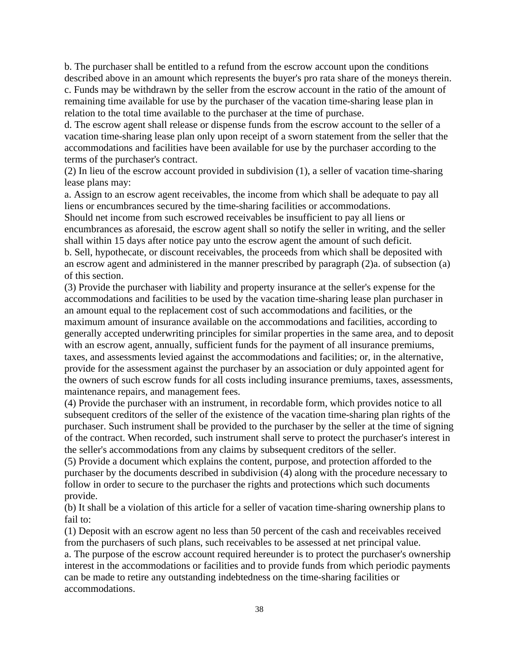b. The purchaser shall be entitled to a refund from the escrow account upon the conditions described above in an amount which represents the buyer's pro rata share of the moneys therein. c. Funds may be withdrawn by the seller from the escrow account in the ratio of the amount of remaining time available for use by the purchaser of the vacation time-sharing lease plan in relation to the total time available to the purchaser at the time of purchase.

d. The escrow agent shall release or dispense funds from the escrow account to the seller of a vacation time-sharing lease plan only upon receipt of a sworn statement from the seller that the accommodations and facilities have been available for use by the purchaser according to the terms of the purchaser's contract.

(2) In lieu of the escrow account provided in subdivision (1), a seller of vacation time-sharing lease plans may:

a. Assign to an escrow agent receivables, the income from which shall be adequate to pay all liens or encumbrances secured by the time-sharing facilities or accommodations. Should net income from such escrowed receivables be insufficient to pay all liens or encumbrances as aforesaid, the escrow agent shall so notify the seller in writing, and the seller shall within 15 days after notice pay unto the escrow agent the amount of such deficit. b. Sell, hypothecate, or discount receivables, the proceeds from which shall be deposited with an escrow agent and administered in the manner prescribed by paragraph (2)a. of subsection (a) of this section.

(3) Provide the purchaser with liability and property insurance at the seller's expense for the accommodations and facilities to be used by the vacation time-sharing lease plan purchaser in an amount equal to the replacement cost of such accommodations and facilities, or the maximum amount of insurance available on the accommodations and facilities, according to generally accepted underwriting principles for similar properties in the same area, and to deposit with an escrow agent, annually, sufficient funds for the payment of all insurance premiums, taxes, and assessments levied against the accommodations and facilities; or, in the alternative, provide for the assessment against the purchaser by an association or duly appointed agent for the owners of such escrow funds for all costs including insurance premiums, taxes, assessments, maintenance repairs, and management fees.

(4) Provide the purchaser with an instrument, in recordable form, which provides notice to all subsequent creditors of the seller of the existence of the vacation time-sharing plan rights of the purchaser. Such instrument shall be provided to the purchaser by the seller at the time of signing of the contract. When recorded, such instrument shall serve to protect the purchaser's interest in the seller's accommodations from any claims by subsequent creditors of the seller.

(5) Provide a document which explains the content, purpose, and protection afforded to the purchaser by the documents described in subdivision (4) along with the procedure necessary to follow in order to secure to the purchaser the rights and protections which such documents provide.

(b) It shall be a violation of this article for a seller of vacation time-sharing ownership plans to fail to:

(1) Deposit with an escrow agent no less than 50 percent of the cash and receivables received from the purchasers of such plans, such receivables to be assessed at net principal value.

a. The purpose of the escrow account required hereunder is to protect the purchaser's ownership interest in the accommodations or facilities and to provide funds from which periodic payments can be made to retire any outstanding indebtedness on the time-sharing facilities or accommodations.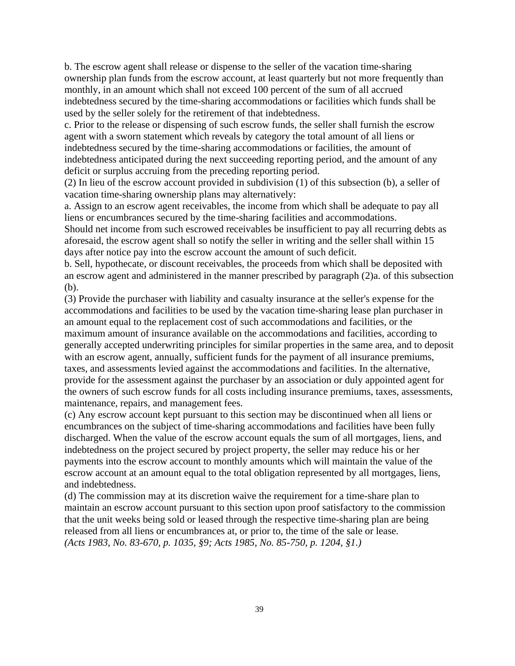b. The escrow agent shall release or dispense to the seller of the vacation time-sharing ownership plan funds from the escrow account, at least quarterly but not more frequently than monthly, in an amount which shall not exceed 100 percent of the sum of all accrued indebtedness secured by the time-sharing accommodations or facilities which funds shall be used by the seller solely for the retirement of that indebtedness.

c. Prior to the release or dispensing of such escrow funds, the seller shall furnish the escrow agent with a sworn statement which reveals by category the total amount of all liens or indebtedness secured by the time-sharing accommodations or facilities, the amount of indebtedness anticipated during the next succeeding reporting period, and the amount of any deficit or surplus accruing from the preceding reporting period.

(2) In lieu of the escrow account provided in subdivision (1) of this subsection (b), a seller of vacation time-sharing ownership plans may alternatively:

a. Assign to an escrow agent receivables, the income from which shall be adequate to pay all liens or encumbrances secured by the time-sharing facilities and accommodations.

Should net income from such escrowed receivables be insufficient to pay all recurring debts as aforesaid, the escrow agent shall so notify the seller in writing and the seller shall within 15 days after notice pay into the escrow account the amount of such deficit.

b. Sell, hypothecate, or discount receivables, the proceeds from which shall be deposited with an escrow agent and administered in the manner prescribed by paragraph (2)a. of this subsection (b).

(3) Provide the purchaser with liability and casualty insurance at the seller's expense for the accommodations and facilities to be used by the vacation time-sharing lease plan purchaser in an amount equal to the replacement cost of such accommodations and facilities, or the maximum amount of insurance available on the accommodations and facilities, according to generally accepted underwriting principles for similar properties in the same area, and to deposit with an escrow agent, annually, sufficient funds for the payment of all insurance premiums, taxes, and assessments levied against the accommodations and facilities. In the alternative, provide for the assessment against the purchaser by an association or duly appointed agent for the owners of such escrow funds for all costs including insurance premiums, taxes, assessments, maintenance, repairs, and management fees.

(c) Any escrow account kept pursuant to this section may be discontinued when all liens or encumbrances on the subject of time-sharing accommodations and facilities have been fully discharged. When the value of the escrow account equals the sum of all mortgages, liens, and indebtedness on the project secured by project property, the seller may reduce his or her payments into the escrow account to monthly amounts which will maintain the value of the escrow account at an amount equal to the total obligation represented by all mortgages, liens, and indebtedness.

(d) The commission may at its discretion waive the requirement for a time-share plan to maintain an escrow account pursuant to this section upon proof satisfactory to the commission that the unit weeks being sold or leased through the respective time-sharing plan are being released from all liens or encumbrances at, or prior to, the time of the sale or lease. *(Acts 1983, No. 83-670, p. 1035, §9; Acts 1985, No. 85-750, p. 1204, §1.)*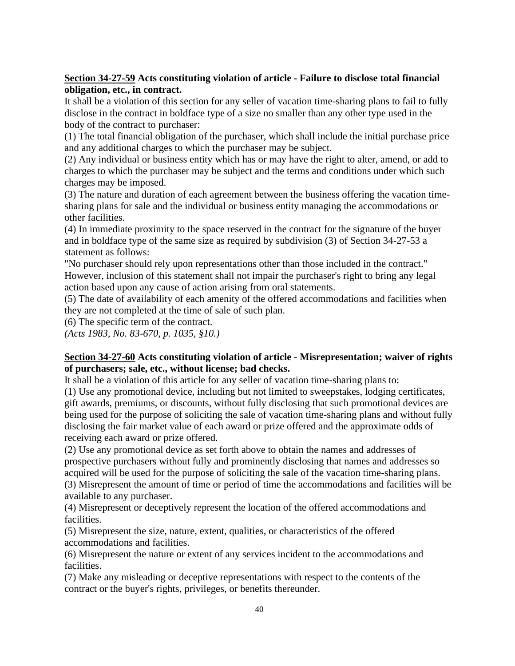## **Section 34-27-59 Acts constituting violation of article - Failure to disclose total financial obligation, etc., in contract.**

It shall be a violation of this section for any seller of vacation time-sharing plans to fail to fully disclose in the contract in boldface type of a size no smaller than any other type used in the body of the contract to purchaser:

(1) The total financial obligation of the purchaser, which shall include the initial purchase price and any additional charges to which the purchaser may be subject.

(2) Any individual or business entity which has or may have the right to alter, amend, or add to charges to which the purchaser may be subject and the terms and conditions under which such charges may be imposed.

(3) The nature and duration of each agreement between the business offering the vacation timesharing plans for sale and the individual or business entity managing the accommodations or other facilities.

(4) In immediate proximity to the space reserved in the contract for the signature of the buyer and in boldface type of the same size as required by subdivision (3) of Section 34-27-53 a statement as follows:

"No purchaser should rely upon representations other than those included in the contract." However, inclusion of this statement shall not impair the purchaser's right to bring any legal action based upon any cause of action arising from oral statements.

(5) The date of availability of each amenity of the offered accommodations and facilities when they are not completed at the time of sale of such plan.

(6) The specific term of the contract.

*(Acts 1983, No. 83-670, p. 1035, §10.)*

## **Section 34-27-60 Acts constituting violation of article - Misrepresentation; waiver of rights of purchasers; sale, etc., without license; bad checks.**

It shall be a violation of this article for any seller of vacation time-sharing plans to:

(1) Use any promotional device, including but not limited to sweepstakes, lodging certificates, gift awards, premiums, or discounts, without fully disclosing that such promotional devices are being used for the purpose of soliciting the sale of vacation time-sharing plans and without fully disclosing the fair market value of each award or prize offered and the approximate odds of receiving each award or prize offered.

(2) Use any promotional device as set forth above to obtain the names and addresses of prospective purchasers without fully and prominently disclosing that names and addresses so acquired will be used for the purpose of soliciting the sale of the vacation time-sharing plans. (3) Misrepresent the amount of time or period of time the accommodations and facilities will be available to any purchaser.

(4) Misrepresent or deceptively represent the location of the offered accommodations and facilities.

(5) Misrepresent the size, nature, extent, qualities, or characteristics of the offered accommodations and facilities.

(6) Misrepresent the nature or extent of any services incident to the accommodations and facilities.

(7) Make any misleading or deceptive representations with respect to the contents of the contract or the buyer's rights, privileges, or benefits thereunder.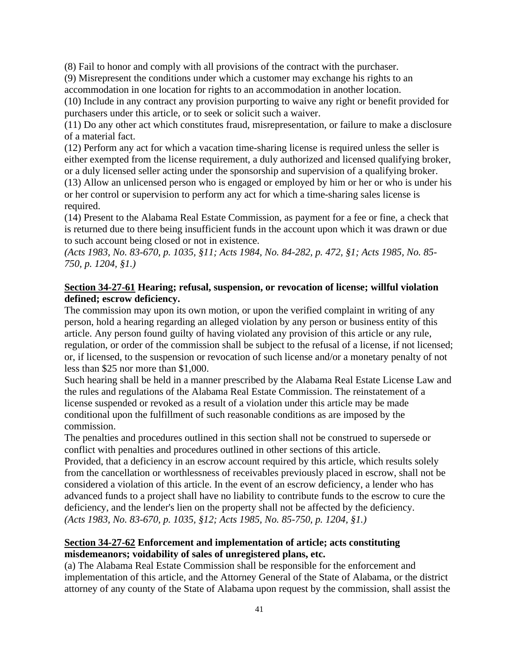(8) Fail to honor and comply with all provisions of the contract with the purchaser.

(9) Misrepresent the conditions under which a customer may exchange his rights to an accommodation in one location for rights to an accommodation in another location.

(10) Include in any contract any provision purporting to waive any right or benefit provided for purchasers under this article, or to seek or solicit such a waiver.

(11) Do any other act which constitutes fraud, misrepresentation, or failure to make a disclosure of a material fact.

(12) Perform any act for which a vacation time-sharing license is required unless the seller is either exempted from the license requirement, a duly authorized and licensed qualifying broker, or a duly licensed seller acting under the sponsorship and supervision of a qualifying broker.

(13) Allow an unlicensed person who is engaged or employed by him or her or who is under his or her control or supervision to perform any act for which a time-sharing sales license is required.

(14) Present to the Alabama Real Estate Commission, as payment for a fee or fine, a check that is returned due to there being insufficient funds in the account upon which it was drawn or due to such account being closed or not in existence.

*(Acts 1983, No. 83-670, p. 1035, §11; Acts 1984, No. 84-282, p. 472, §1; Acts 1985, No. 85- 750, p. 1204, §1.)*

## **Section 34-27-61 Hearing; refusal, suspension, or revocation of license; willful violation defined; escrow deficiency.**

The commission may upon its own motion, or upon the verified complaint in writing of any person, hold a hearing regarding an alleged violation by any person or business entity of this article. Any person found guilty of having violated any provision of this article or any rule, regulation, or order of the commission shall be subject to the refusal of a license, if not licensed; or, if licensed, to the suspension or revocation of such license and/or a monetary penalty of not less than \$25 nor more than \$1,000.

Such hearing shall be held in a manner prescribed by the Alabama Real Estate License Law and the rules and regulations of the Alabama Real Estate Commission. The reinstatement of a license suspended or revoked as a result of a violation under this article may be made conditional upon the fulfillment of such reasonable conditions as are imposed by the commission.

The penalties and procedures outlined in this section shall not be construed to supersede or conflict with penalties and procedures outlined in other sections of this article.

Provided, that a deficiency in an escrow account required by this article, which results solely from the cancellation or worthlessness of receivables previously placed in escrow, shall not be considered a violation of this article. In the event of an escrow deficiency, a lender who has advanced funds to a project shall have no liability to contribute funds to the escrow to cure the deficiency, and the lender's lien on the property shall not be affected by the deficiency. *(Acts 1983, No. 83-670, p. 1035, §12; Acts 1985, No. 85-750, p. 1204, §1.)*

## **Section 34-27-62 Enforcement and implementation of article; acts constituting misdemeanors; voidability of sales of unregistered plans, etc.**

(a) The Alabama Real Estate Commission shall be responsible for the enforcement and implementation of this article, and the Attorney General of the State of Alabama, or the district attorney of any county of the State of Alabama upon request by the commission, shall assist the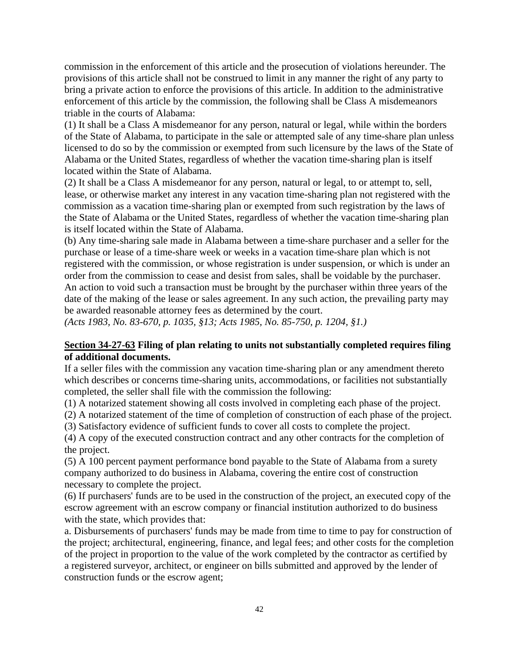commission in the enforcement of this article and the prosecution of violations hereunder. The provisions of this article shall not be construed to limit in any manner the right of any party to bring a private action to enforce the provisions of this article. In addition to the administrative enforcement of this article by the commission, the following shall be Class A misdemeanors triable in the courts of Alabama:

(1) It shall be a Class A misdemeanor for any person, natural or legal, while within the borders of the State of Alabama, to participate in the sale or attempted sale of any time-share plan unless licensed to do so by the commission or exempted from such licensure by the laws of the State of Alabama or the United States, regardless of whether the vacation time-sharing plan is itself located within the State of Alabama.

(2) It shall be a Class A misdemeanor for any person, natural or legal, to or attempt to, sell, lease, or otherwise market any interest in any vacation time-sharing plan not registered with the commission as a vacation time-sharing plan or exempted from such registration by the laws of the State of Alabama or the United States, regardless of whether the vacation time-sharing plan is itself located within the State of Alabama.

(b) Any time-sharing sale made in Alabama between a time-share purchaser and a seller for the purchase or lease of a time-share week or weeks in a vacation time-share plan which is not registered with the commission, or whose registration is under suspension, or which is under an order from the commission to cease and desist from sales, shall be voidable by the purchaser. An action to void such a transaction must be brought by the purchaser within three years of the date of the making of the lease or sales agreement. In any such action, the prevailing party may be awarded reasonable attorney fees as determined by the court.

*(Acts 1983, No. 83-670, p. 1035, §13; Acts 1985, No. 85-750, p. 1204, §1.)*

#### **Section 34-27-63 Filing of plan relating to units not substantially completed requires filing of additional documents.**

If a seller files with the commission any vacation time-sharing plan or any amendment thereto which describes or concerns time-sharing units, accommodations, or facilities not substantially completed, the seller shall file with the commission the following:

(1) A notarized statement showing all costs involved in completing each phase of the project.

(2) A notarized statement of the time of completion of construction of each phase of the project.

(3) Satisfactory evidence of sufficient funds to cover all costs to complete the project.

(4) A copy of the executed construction contract and any other contracts for the completion of the project.

(5) A 100 percent payment performance bond payable to the State of Alabama from a surety company authorized to do business in Alabama, covering the entire cost of construction necessary to complete the project.

(6) If purchasers' funds are to be used in the construction of the project, an executed copy of the escrow agreement with an escrow company or financial institution authorized to do business with the state, which provides that:

a. Disbursements of purchasers' funds may be made from time to time to pay for construction of the project; architectural, engineering, finance, and legal fees; and other costs for the completion of the project in proportion to the value of the work completed by the contractor as certified by a registered surveyor, architect, or engineer on bills submitted and approved by the lender of construction funds or the escrow agent;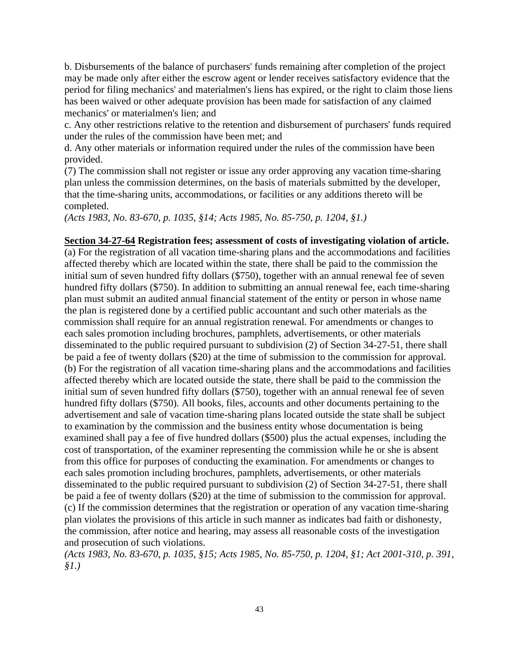b. Disbursements of the balance of purchasers' funds remaining after completion of the project may be made only after either the escrow agent or lender receives satisfactory evidence that the period for filing mechanics' and materialmen's liens has expired, or the right to claim those liens has been waived or other adequate provision has been made for satisfaction of any claimed mechanics' or materialmen's lien; and

c. Any other restrictions relative to the retention and disbursement of purchasers' funds required under the rules of the commission have been met; and

d. Any other materials or information required under the rules of the commission have been provided.

(7) The commission shall not register or issue any order approving any vacation time-sharing plan unless the commission determines, on the basis of materials submitted by the developer, that the time-sharing units, accommodations, or facilities or any additions thereto will be completed.

*(Acts 1983, No. 83-670, p. 1035, §14; Acts 1985, No. 85-750, p. 1204, §1.)*

#### **Section 34-27-64 Registration fees; assessment of costs of investigating violation of article.**

(a) For the registration of all vacation time-sharing plans and the accommodations and facilities affected thereby which are located within the state, there shall be paid to the commission the initial sum of seven hundred fifty dollars (\$750), together with an annual renewal fee of seven hundred fifty dollars (\$750). In addition to submitting an annual renewal fee, each time-sharing plan must submit an audited annual financial statement of the entity or person in whose name the plan is registered done by a certified public accountant and such other materials as the commission shall require for an annual registration renewal. For amendments or changes to each sales promotion including brochures, pamphlets, advertisements, or other materials disseminated to the public required pursuant to subdivision (2) of Section 34-27-51, there shall be paid a fee of twenty dollars (\$20) at the time of submission to the commission for approval. (b) For the registration of all vacation time-sharing plans and the accommodations and facilities affected thereby which are located outside the state, there shall be paid to the commission the initial sum of seven hundred fifty dollars (\$750), together with an annual renewal fee of seven hundred fifty dollars (\$750). All books, files, accounts and other documents pertaining to the advertisement and sale of vacation time-sharing plans located outside the state shall be subject to examination by the commission and the business entity whose documentation is being examined shall pay a fee of five hundred dollars (\$500) plus the actual expenses, including the cost of transportation, of the examiner representing the commission while he or she is absent from this office for purposes of conducting the examination. For amendments or changes to each sales promotion including brochures, pamphlets, advertisements, or other materials disseminated to the public required pursuant to subdivision (2) of Section 34-27-51, there shall be paid a fee of twenty dollars (\$20) at the time of submission to the commission for approval. (c) If the commission determines that the registration or operation of any vacation time-sharing plan violates the provisions of this article in such manner as indicates bad faith or dishonesty, the commission, after notice and hearing, may assess all reasonable costs of the investigation and prosecution of such violations.

*(Acts 1983, No. 83-670, p. 1035, §15; Acts 1985, No. 85-750, p. 1204, §1; Act 2001-310, p. 391, §1.)*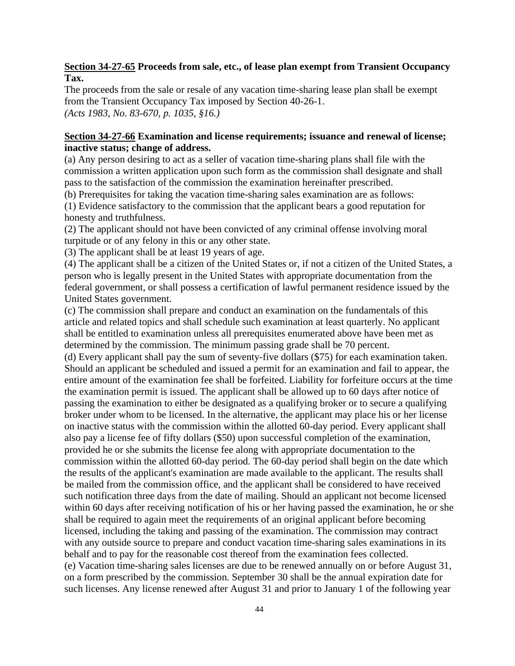### **Section 34-27-65 Proceeds from sale, etc., of lease plan exempt from Transient Occupancy Tax.**

The proceeds from the sale or resale of any vacation time-sharing lease plan shall be exempt from the Transient Occupancy Tax imposed by Section 40-26-1. *(Acts 1983, No. 83-670, p. 1035, §16.)*

## **Section 34-27-66 Examination and license requirements; issuance and renewal of license; inactive status; change of address.**

(a) Any person desiring to act as a seller of vacation time-sharing plans shall file with the commission a written application upon such form as the commission shall designate and shall pass to the satisfaction of the commission the examination hereinafter prescribed.

(b) Prerequisites for taking the vacation time-sharing sales examination are as follows:

(1) Evidence satisfactory to the commission that the applicant bears a good reputation for honesty and truthfulness.

(2) The applicant should not have been convicted of any criminal offense involving moral turpitude or of any felony in this or any other state.

(3) The applicant shall be at least 19 years of age.

(4) The applicant shall be a citizen of the United States or, if not a citizen of the United States, a person who is legally present in the United States with appropriate documentation from the federal government, or shall possess a certification of lawful permanent residence issued by the United States government.

(c) The commission shall prepare and conduct an examination on the fundamentals of this article and related topics and shall schedule such examination at least quarterly. No applicant shall be entitled to examination unless all prerequisites enumerated above have been met as determined by the commission. The minimum passing grade shall be 70 percent.

(d) Every applicant shall pay the sum of seventy-five dollars (\$75) for each examination taken. Should an applicant be scheduled and issued a permit for an examination and fail to appear, the entire amount of the examination fee shall be forfeited. Liability for forfeiture occurs at the time the examination permit is issued. The applicant shall be allowed up to 60 days after notice of passing the examination to either be designated as a qualifying broker or to secure a qualifying broker under whom to be licensed. In the alternative, the applicant may place his or her license on inactive status with the commission within the allotted 60-day period. Every applicant shall also pay a license fee of fifty dollars (\$50) upon successful completion of the examination, provided he or she submits the license fee along with appropriate documentation to the commission within the allotted 60-day period. The 60-day period shall begin on the date which the results of the applicant's examination are made available to the applicant. The results shall be mailed from the commission office, and the applicant shall be considered to have received such notification three days from the date of mailing. Should an applicant not become licensed within 60 days after receiving notification of his or her having passed the examination, he or she shall be required to again meet the requirements of an original applicant before becoming licensed, including the taking and passing of the examination. The commission may contract with any outside source to prepare and conduct vacation time-sharing sales examinations in its behalf and to pay for the reasonable cost thereof from the examination fees collected. (e) Vacation time-sharing sales licenses are due to be renewed annually on or before August 31, on a form prescribed by the commission. September 30 shall be the annual expiration date for such licenses. Any license renewed after August 31 and prior to January 1 of the following year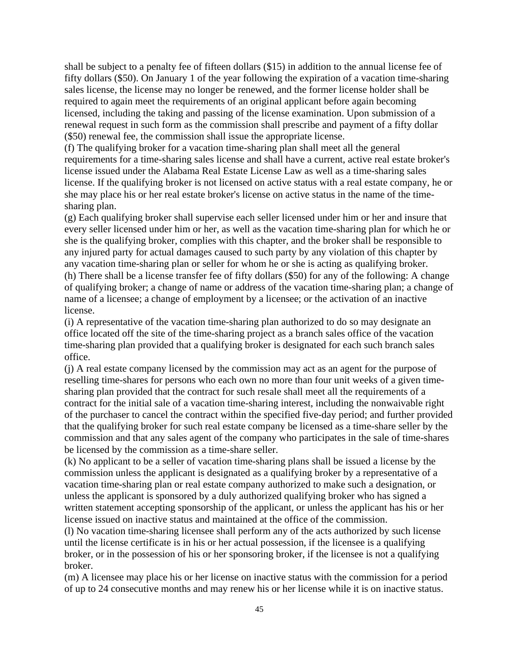shall be subject to a penalty fee of fifteen dollars (\$15) in addition to the annual license fee of fifty dollars (\$50). On January 1 of the year following the expiration of a vacation time-sharing sales license, the license may no longer be renewed, and the former license holder shall be required to again meet the requirements of an original applicant before again becoming licensed, including the taking and passing of the license examination. Upon submission of a renewal request in such form as the commission shall prescribe and payment of a fifty dollar (\$50) renewal fee, the commission shall issue the appropriate license.

(f) The qualifying broker for a vacation time-sharing plan shall meet all the general requirements for a time-sharing sales license and shall have a current, active real estate broker's license issued under the Alabama Real Estate License Law as well as a time-sharing sales license. If the qualifying broker is not licensed on active status with a real estate company, he or she may place his or her real estate broker's license on active status in the name of the timesharing plan.

(g) Each qualifying broker shall supervise each seller licensed under him or her and insure that every seller licensed under him or her, as well as the vacation time-sharing plan for which he or she is the qualifying broker, complies with this chapter, and the broker shall be responsible to any injured party for actual damages caused to such party by any violation of this chapter by any vacation time-sharing plan or seller for whom he or she is acting as qualifying broker. (h) There shall be a license transfer fee of fifty dollars (\$50) for any of the following: A change of qualifying broker; a change of name or address of the vacation time-sharing plan; a change of name of a licensee; a change of employment by a licensee; or the activation of an inactive license.

(i) A representative of the vacation time-sharing plan authorized to do so may designate an office located off the site of the time-sharing project as a branch sales office of the vacation time-sharing plan provided that a qualifying broker is designated for each such branch sales office.

(j) A real estate company licensed by the commission may act as an agent for the purpose of reselling time-shares for persons who each own no more than four unit weeks of a given timesharing plan provided that the contract for such resale shall meet all the requirements of a contract for the initial sale of a vacation time-sharing interest, including the nonwaivable right of the purchaser to cancel the contract within the specified five-day period; and further provided that the qualifying broker for such real estate company be licensed as a time-share seller by the commission and that any sales agent of the company who participates in the sale of time-shares be licensed by the commission as a time-share seller.

(k) No applicant to be a seller of vacation time-sharing plans shall be issued a license by the commission unless the applicant is designated as a qualifying broker by a representative of a vacation time-sharing plan or real estate company authorized to make such a designation, or unless the applicant is sponsored by a duly authorized qualifying broker who has signed a written statement accepting sponsorship of the applicant, or unless the applicant has his or her license issued on inactive status and maintained at the office of the commission.

(l) No vacation time-sharing licensee shall perform any of the acts authorized by such license until the license certificate is in his or her actual possession, if the licensee is a qualifying broker, or in the possession of his or her sponsoring broker, if the licensee is not a qualifying broker.

(m) A licensee may place his or her license on inactive status with the commission for a period of up to 24 consecutive months and may renew his or her license while it is on inactive status.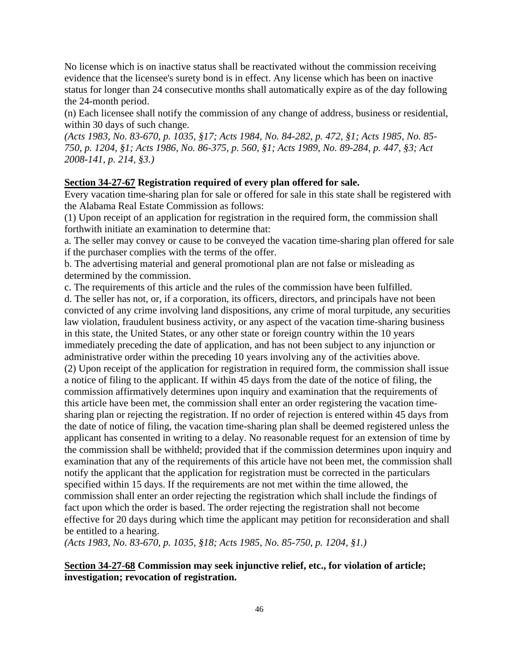No license which is on inactive status shall be reactivated without the commission receiving evidence that the licensee's surety bond is in effect. Any license which has been on inactive status for longer than 24 consecutive months shall automatically expire as of the day following the 24-month period.

(n) Each licensee shall notify the commission of any change of address, business or residential, within 30 days of such change.

*(Acts 1983, No. 83-670, p. 1035, §17; Acts 1984, No. 84-282, p. 472, §1; Acts 1985, No. 85- 750, p. 1204, §1; Acts 1986, No. 86-375, p. 560, §1; Acts 1989, No. 89-284, p. 447, §3; Act 2008-141, p. 214, §3.)*

#### **Section 34-27-67 Registration required of every plan offered for sale.**

Every vacation time-sharing plan for sale or offered for sale in this state shall be registered with the Alabama Real Estate Commission as follows:

(1) Upon receipt of an application for registration in the required form, the commission shall forthwith initiate an examination to determine that:

a. The seller may convey or cause to be conveyed the vacation time-sharing plan offered for sale if the purchaser complies with the terms of the offer.

b. The advertising material and general promotional plan are not false or misleading as determined by the commission.

c. The requirements of this article and the rules of the commission have been fulfilled.

d. The seller has not, or, if a corporation, its officers, directors, and principals have not been convicted of any crime involving land dispositions, any crime of moral turpitude, any securities law violation, fraudulent business activity, or any aspect of the vacation time-sharing business in this state, the United States, or any other state or foreign country within the 10 years immediately preceding the date of application, and has not been subject to any injunction or administrative order within the preceding 10 years involving any of the activities above. (2) Upon receipt of the application for registration in required form, the commission shall issue a notice of filing to the applicant. If within 45 days from the date of the notice of filing, the commission affirmatively determines upon inquiry and examination that the requirements of this article have been met, the commission shall enter an order registering the vacation timesharing plan or rejecting the registration. If no order of rejection is entered within 45 days from the date of notice of filing, the vacation time-sharing plan shall be deemed registered unless the applicant has consented in writing to a delay. No reasonable request for an extension of time by the commission shall be withheld; provided that if the commission determines upon inquiry and examination that any of the requirements of this article have not been met, the commission shall notify the applicant that the application for registration must be corrected in the particulars specified within 15 days. If the requirements are not met within the time allowed, the commission shall enter an order rejecting the registration which shall include the findings of fact upon which the order is based. The order rejecting the registration shall not become effective for 20 days during which time the applicant may petition for reconsideration and shall be entitled to a hearing.

*(Acts 1983, No. 83-670, p. 1035, §18; Acts 1985, No. 85-750, p. 1204, §1.)*

**Section 34-27-68 Commission may seek injunctive relief, etc., for violation of article; investigation; revocation of registration.**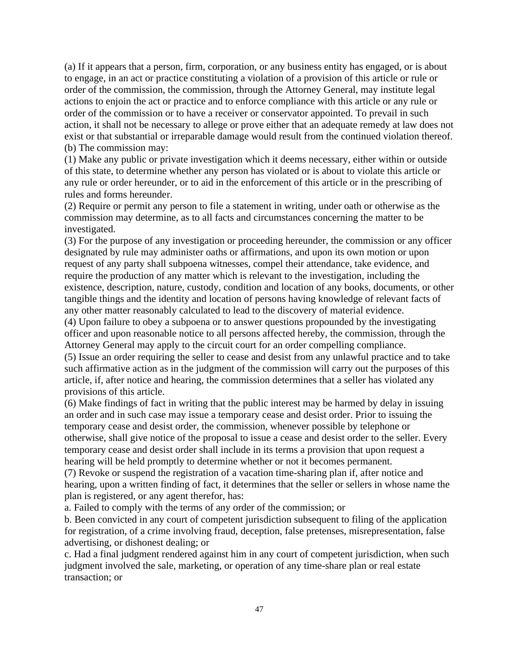(a) If it appears that a person, firm, corporation, or any business entity has engaged, or is about to engage, in an act or practice constituting a violation of a provision of this article or rule or order of the commission, the commission, through the Attorney General, may institute legal actions to enjoin the act or practice and to enforce compliance with this article or any rule or order of the commission or to have a receiver or conservator appointed. To prevail in such action, it shall not be necessary to allege or prove either that an adequate remedy at law does not exist or that substantial or irreparable damage would result from the continued violation thereof. (b) The commission may:

(1) Make any public or private investigation which it deems necessary, either within or outside of this state, to determine whether any person has violated or is about to violate this article or any rule or order hereunder, or to aid in the enforcement of this article or in the prescribing of rules and forms hereunder.

(2) Require or permit any person to file a statement in writing, under oath or otherwise as the commission may determine, as to all facts and circumstances concerning the matter to be investigated.

(3) For the purpose of any investigation or proceeding hereunder, the commission or any officer designated by rule may administer oaths or affirmations, and upon its own motion or upon request of any party shall subpoena witnesses, compel their attendance, take evidence, and require the production of any matter which is relevant to the investigation, including the existence, description, nature, custody, condition and location of any books, documents, or other tangible things and the identity and location of persons having knowledge of relevant facts of any other matter reasonably calculated to lead to the discovery of material evidence.

(4) Upon failure to obey a subpoena or to answer questions propounded by the investigating officer and upon reasonable notice to all persons affected hereby, the commission, through the Attorney General may apply to the circuit court for an order compelling compliance.

(5) Issue an order requiring the seller to cease and desist from any unlawful practice and to take such affirmative action as in the judgment of the commission will carry out the purposes of this article, if, after notice and hearing, the commission determines that a seller has violated any provisions of this article.

(6) Make findings of fact in writing that the public interest may be harmed by delay in issuing an order and in such case may issue a temporary cease and desist order. Prior to issuing the temporary cease and desist order, the commission, whenever possible by telephone or otherwise, shall give notice of the proposal to issue a cease and desist order to the seller. Every temporary cease and desist order shall include in its terms a provision that upon request a hearing will be held promptly to determine whether or not it becomes permanent.

(7) Revoke or suspend the registration of a vacation time-sharing plan if, after notice and hearing, upon a written finding of fact, it determines that the seller or sellers in whose name the plan is registered, or any agent therefor, has:

a. Failed to comply with the terms of any order of the commission; or

b. Been convicted in any court of competent jurisdiction subsequent to filing of the application for registration, of a crime involving fraud, deception, false pretenses, misrepresentation, false advertising, or dishonest dealing; or

c. Had a final judgment rendered against him in any court of competent jurisdiction, when such judgment involved the sale, marketing, or operation of any time-share plan or real estate transaction; or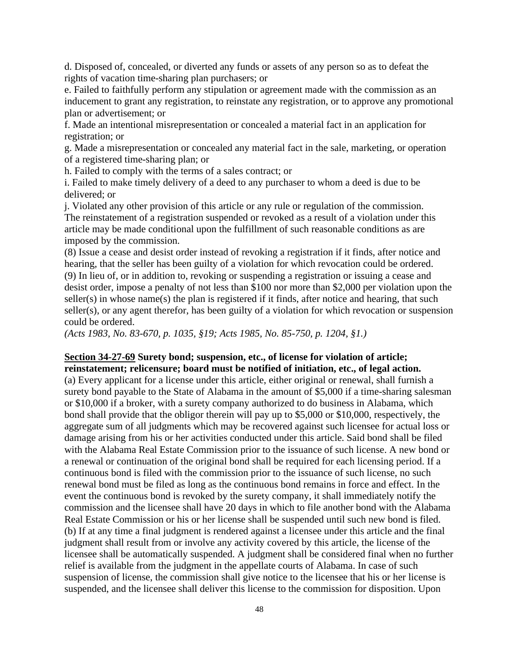d. Disposed of, concealed, or diverted any funds or assets of any person so as to defeat the rights of vacation time-sharing plan purchasers; or

e. Failed to faithfully perform any stipulation or agreement made with the commission as an inducement to grant any registration, to reinstate any registration, or to approve any promotional plan or advertisement; or

f. Made an intentional misrepresentation or concealed a material fact in an application for registration; or

g. Made a misrepresentation or concealed any material fact in the sale, marketing, or operation of a registered time-sharing plan; or

h. Failed to comply with the terms of a sales contract; or

i. Failed to make timely delivery of a deed to any purchaser to whom a deed is due to be delivered; or

j. Violated any other provision of this article or any rule or regulation of the commission. The reinstatement of a registration suspended or revoked as a result of a violation under this article may be made conditional upon the fulfillment of such reasonable conditions as are imposed by the commission.

(8) Issue a cease and desist order instead of revoking a registration if it finds, after notice and hearing, that the seller has been guilty of a violation for which revocation could be ordered. (9) In lieu of, or in addition to, revoking or suspending a registration or issuing a cease and desist order, impose a penalty of not less than \$100 nor more than \$2,000 per violation upon the seller(s) in whose name(s) the plan is registered if it finds, after notice and hearing, that such seller(s), or any agent therefor, has been guilty of a violation for which revocation or suspension could be ordered.

*(Acts 1983, No. 83-670, p. 1035, §19; Acts 1985, No. 85-750, p. 1204, §1.)*

#### **Section 34-27-69 Surety bond; suspension, etc., of license for violation of article; reinstatement; relicensure; board must be notified of initiation, etc., of legal action.**

(a) Every applicant for a license under this article, either original or renewal, shall furnish a surety bond payable to the State of Alabama in the amount of \$5,000 if a time-sharing salesman or \$10,000 if a broker, with a surety company authorized to do business in Alabama, which bond shall provide that the obligor therein will pay up to \$5,000 or \$10,000, respectively, the aggregate sum of all judgments which may be recovered against such licensee for actual loss or damage arising from his or her activities conducted under this article. Said bond shall be filed with the Alabama Real Estate Commission prior to the issuance of such license. A new bond or a renewal or continuation of the original bond shall be required for each licensing period. If a continuous bond is filed with the commission prior to the issuance of such license, no such renewal bond must be filed as long as the continuous bond remains in force and effect. In the event the continuous bond is revoked by the surety company, it shall immediately notify the commission and the licensee shall have 20 days in which to file another bond with the Alabama Real Estate Commission or his or her license shall be suspended until such new bond is filed. (b) If at any time a final judgment is rendered against a licensee under this article and the final judgment shall result from or involve any activity covered by this article, the license of the licensee shall be automatically suspended. A judgment shall be considered final when no further relief is available from the judgment in the appellate courts of Alabama. In case of such suspension of license, the commission shall give notice to the licensee that his or her license is suspended, and the licensee shall deliver this license to the commission for disposition. Upon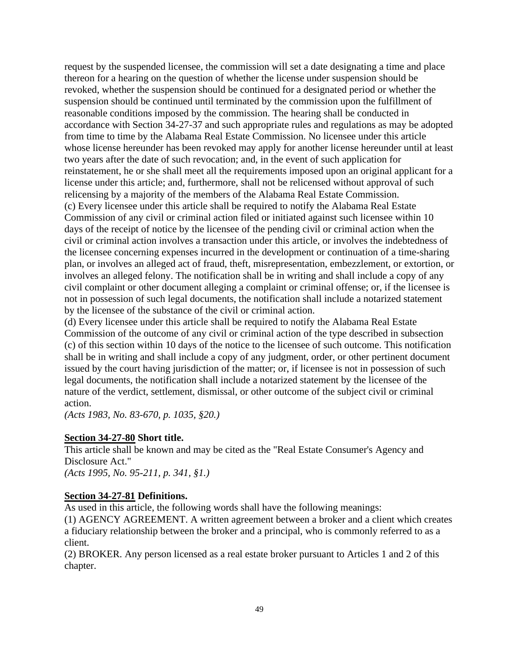request by the suspended licensee, the commission will set a date designating a time and place thereon for a hearing on the question of whether the license under suspension should be revoked, whether the suspension should be continued for a designated period or whether the suspension should be continued until terminated by the commission upon the fulfillment of reasonable conditions imposed by the commission. The hearing shall be conducted in accordance with Section 34-27-37 and such appropriate rules and regulations as may be adopted from time to time by the Alabama Real Estate Commission. No licensee under this article whose license hereunder has been revoked may apply for another license hereunder until at least two years after the date of such revocation; and, in the event of such application for reinstatement, he or she shall meet all the requirements imposed upon an original applicant for a license under this article; and, furthermore, shall not be relicensed without approval of such relicensing by a majority of the members of the Alabama Real Estate Commission. (c) Every licensee under this article shall be required to notify the Alabama Real Estate Commission of any civil or criminal action filed or initiated against such licensee within 10 days of the receipt of notice by the licensee of the pending civil or criminal action when the civil or criminal action involves a transaction under this article, or involves the indebtedness of the licensee concerning expenses incurred in the development or continuation of a time-sharing plan, or involves an alleged act of fraud, theft, misrepresentation, embezzlement, or extortion, or involves an alleged felony. The notification shall be in writing and shall include a copy of any civil complaint or other document alleging a complaint or criminal offense; or, if the licensee is not in possession of such legal documents, the notification shall include a notarized statement by the licensee of the substance of the civil or criminal action.

(d) Every licensee under this article shall be required to notify the Alabama Real Estate Commission of the outcome of any civil or criminal action of the type described in subsection (c) of this section within 10 days of the notice to the licensee of such outcome. This notification shall be in writing and shall include a copy of any judgment, order, or other pertinent document issued by the court having jurisdiction of the matter; or, if licensee is not in possession of such legal documents, the notification shall include a notarized statement by the licensee of the nature of the verdict, settlement, dismissal, or other outcome of the subject civil or criminal action.

*(Acts 1983, No. 83-670, p. 1035, §20.)*

#### **Section 34-27-80 Short title.**

This article shall be known and may be cited as the "Real Estate Consumer's Agency and Disclosure Act." *(Acts 1995, No. 95-211, p. 341, §1.)*

#### **Section 34-27-81 Definitions.**

As used in this article, the following words shall have the following meanings:

(1) AGENCY AGREEMENT. A written agreement between a broker and a client which creates a fiduciary relationship between the broker and a principal, who is commonly referred to as a client.

(2) BROKER. Any person licensed as a real estate broker pursuant to Articles 1 and 2 of this chapter.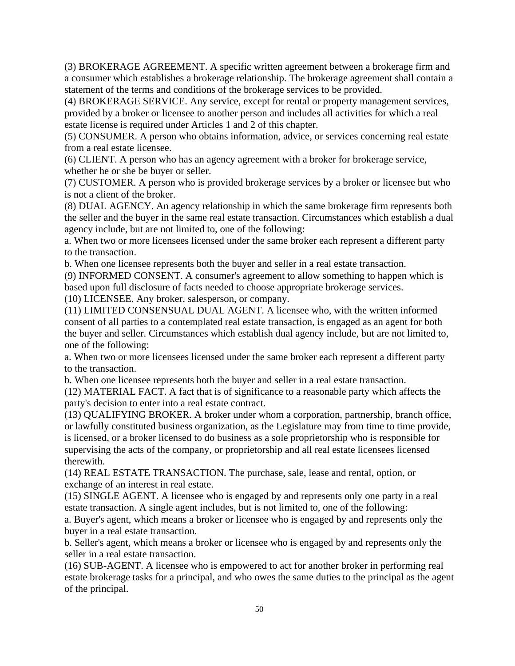(3) BROKERAGE AGREEMENT. A specific written agreement between a brokerage firm and a consumer which establishes a brokerage relationship. The brokerage agreement shall contain a statement of the terms and conditions of the brokerage services to be provided.

(4) BROKERAGE SERVICE. Any service, except for rental or property management services, provided by a broker or licensee to another person and includes all activities for which a real estate license is required under Articles 1 and 2 of this chapter.

(5) CONSUMER. A person who obtains information, advice, or services concerning real estate from a real estate licensee.

(6) CLIENT. A person who has an agency agreement with a broker for brokerage service, whether he or she be buyer or seller.

(7) CUSTOMER. A person who is provided brokerage services by a broker or licensee but who is not a client of the broker.

(8) DUAL AGENCY. An agency relationship in which the same brokerage firm represents both the seller and the buyer in the same real estate transaction. Circumstances which establish a dual agency include, but are not limited to, one of the following:

a. When two or more licensees licensed under the same broker each represent a different party to the transaction.

b. When one licensee represents both the buyer and seller in a real estate transaction.

(9) INFORMED CONSENT. A consumer's agreement to allow something to happen which is based upon full disclosure of facts needed to choose appropriate brokerage services.

(10) LICENSEE. Any broker, salesperson, or company.

(11) LIMITED CONSENSUAL DUAL AGENT. A licensee who, with the written informed consent of all parties to a contemplated real estate transaction, is engaged as an agent for both the buyer and seller. Circumstances which establish dual agency include, but are not limited to, one of the following:

a. When two or more licensees licensed under the same broker each represent a different party to the transaction.

b. When one licensee represents both the buyer and seller in a real estate transaction.

(12) MATERIAL FACT. A fact that is of significance to a reasonable party which affects the party's decision to enter into a real estate contract.

(13) QUALIFYING BROKER. A broker under whom a corporation, partnership, branch office, or lawfully constituted business organization, as the Legislature may from time to time provide, is licensed, or a broker licensed to do business as a sole proprietorship who is responsible for supervising the acts of the company, or proprietorship and all real estate licensees licensed therewith.

(14) REAL ESTATE TRANSACTION. The purchase, sale, lease and rental, option, or exchange of an interest in real estate.

(15) SINGLE AGENT. A licensee who is engaged by and represents only one party in a real estate transaction. A single agent includes, but is not limited to, one of the following:

a. Buyer's agent, which means a broker or licensee who is engaged by and represents only the buyer in a real estate transaction.

b. Seller's agent, which means a broker or licensee who is engaged by and represents only the seller in a real estate transaction.

(16) SUB-AGENT. A licensee who is empowered to act for another broker in performing real estate brokerage tasks for a principal, and who owes the same duties to the principal as the agent of the principal.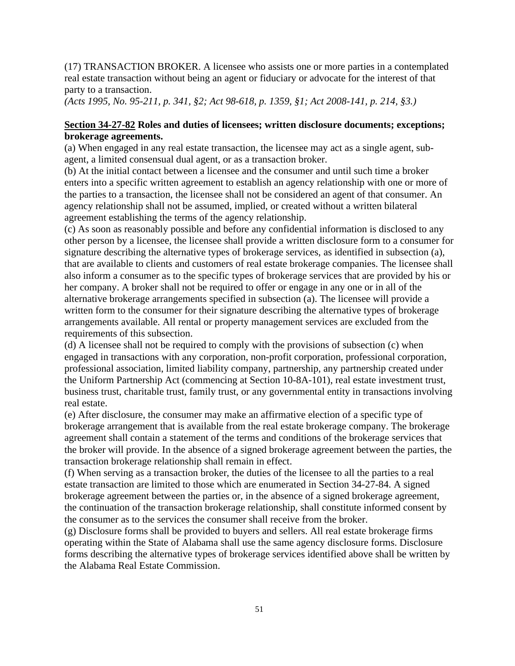(17) TRANSACTION BROKER. A licensee who assists one or more parties in a contemplated real estate transaction without being an agent or fiduciary or advocate for the interest of that party to a transaction.

*(Acts 1995, No. 95-211, p. 341, §2; Act 98-618, p. 1359, §1; Act 2008-141, p. 214, §3.)*

### **Section 34-27-82 Roles and duties of licensees; written disclosure documents; exceptions; brokerage agreements.**

(a) When engaged in any real estate transaction, the licensee may act as a single agent, subagent, a limited consensual dual agent, or as a transaction broker.

(b) At the initial contact between a licensee and the consumer and until such time a broker enters into a specific written agreement to establish an agency relationship with one or more of the parties to a transaction, the licensee shall not be considered an agent of that consumer. An agency relationship shall not be assumed, implied, or created without a written bilateral agreement establishing the terms of the agency relationship.

(c) As soon as reasonably possible and before any confidential information is disclosed to any other person by a licensee, the licensee shall provide a written disclosure form to a consumer for signature describing the alternative types of brokerage services, as identified in subsection (a), that are available to clients and customers of real estate brokerage companies. The licensee shall also inform a consumer as to the specific types of brokerage services that are provided by his or her company. A broker shall not be required to offer or engage in any one or in all of the alternative brokerage arrangements specified in subsection (a). The licensee will provide a written form to the consumer for their signature describing the alternative types of brokerage arrangements available. All rental or property management services are excluded from the requirements of this subsection.

(d) A licensee shall not be required to comply with the provisions of subsection (c) when engaged in transactions with any corporation, non-profit corporation, professional corporation, professional association, limited liability company, partnership, any partnership created under the Uniform Partnership Act (commencing at Section 10-8A-101), real estate investment trust, business trust, charitable trust, family trust, or any governmental entity in transactions involving real estate.

(e) After disclosure, the consumer may make an affirmative election of a specific type of brokerage arrangement that is available from the real estate brokerage company. The brokerage agreement shall contain a statement of the terms and conditions of the brokerage services that the broker will provide. In the absence of a signed brokerage agreement between the parties, the transaction brokerage relationship shall remain in effect.

(f) When serving as a transaction broker, the duties of the licensee to all the parties to a real estate transaction are limited to those which are enumerated in Section 34-27-84. A signed brokerage agreement between the parties or, in the absence of a signed brokerage agreement, the continuation of the transaction brokerage relationship, shall constitute informed consent by the consumer as to the services the consumer shall receive from the broker.

(g) Disclosure forms shall be provided to buyers and sellers. All real estate brokerage firms operating within the State of Alabama shall use the same agency disclosure forms. Disclosure forms describing the alternative types of brokerage services identified above shall be written by the Alabama Real Estate Commission.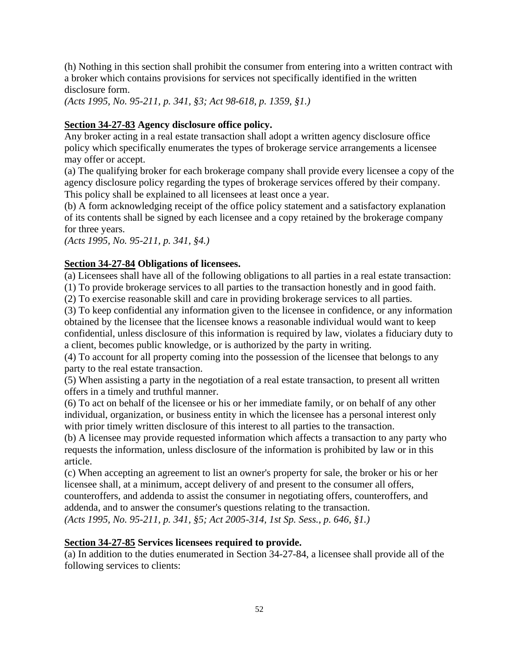(h) Nothing in this section shall prohibit the consumer from entering into a written contract with a broker which contains provisions for services not specifically identified in the written disclosure form.

*(Acts 1995, No. 95-211, p. 341, §3; Act 98-618, p. 1359, §1.)*

## **Section 34-27-83 Agency disclosure office policy.**

Any broker acting in a real estate transaction shall adopt a written agency disclosure office policy which specifically enumerates the types of brokerage service arrangements a licensee may offer or accept.

(a) The qualifying broker for each brokerage company shall provide every licensee a copy of the agency disclosure policy regarding the types of brokerage services offered by their company. This policy shall be explained to all licensees at least once a year.

(b) A form acknowledging receipt of the office policy statement and a satisfactory explanation of its contents shall be signed by each licensee and a copy retained by the brokerage company for three years.

*(Acts 1995, No. 95-211, p. 341, §4.)*

## **Section 34-27-84 Obligations of licensees.**

(a) Licensees shall have all of the following obligations to all parties in a real estate transaction:

(1) To provide brokerage services to all parties to the transaction honestly and in good faith.

(2) To exercise reasonable skill and care in providing brokerage services to all parties.

(3) To keep confidential any information given to the licensee in confidence, or any information obtained by the licensee that the licensee knows a reasonable individual would want to keep confidential, unless disclosure of this information is required by law, violates a fiduciary duty to a client, becomes public knowledge, or is authorized by the party in writing.

(4) To account for all property coming into the possession of the licensee that belongs to any party to the real estate transaction.

(5) When assisting a party in the negotiation of a real estate transaction, to present all written offers in a timely and truthful manner.

(6) To act on behalf of the licensee or his or her immediate family, or on behalf of any other individual, organization, or business entity in which the licensee has a personal interest only with prior timely written disclosure of this interest to all parties to the transaction.

(b) A licensee may provide requested information which affects a transaction to any party who requests the information, unless disclosure of the information is prohibited by law or in this article.

(c) When accepting an agreement to list an owner's property for sale, the broker or his or her licensee shall, at a minimum, accept delivery of and present to the consumer all offers, counteroffers, and addenda to assist the consumer in negotiating offers, counteroffers, and addenda, and to answer the consumer's questions relating to the transaction. *(Acts 1995, No. 95-211, p. 341, §5; Act 2005-314, 1st Sp. Sess., p. 646, §1.)*

## **Section 34-27-85 Services licensees required to provide.**

(a) In addition to the duties enumerated in Section 34-27-84, a licensee shall provide all of the following services to clients: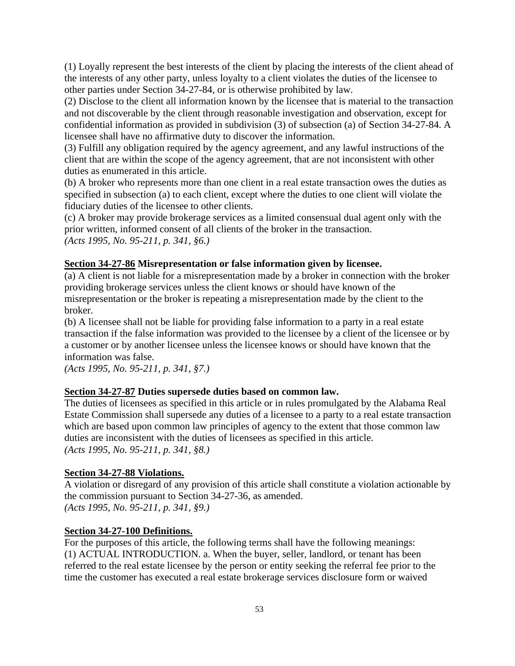(1) Loyally represent the best interests of the client by placing the interests of the client ahead of the interests of any other party, unless loyalty to a client violates the duties of the licensee to other parties under Section 34-27-84, or is otherwise prohibited by law.

(2) Disclose to the client all information known by the licensee that is material to the transaction and not discoverable by the client through reasonable investigation and observation, except for confidential information as provided in subdivision (3) of subsection (a) of Section 34-27-84. A licensee shall have no affirmative duty to discover the information.

(3) Fulfill any obligation required by the agency agreement, and any lawful instructions of the client that are within the scope of the agency agreement, that are not inconsistent with other duties as enumerated in this article.

(b) A broker who represents more than one client in a real estate transaction owes the duties as specified in subsection (a) to each client, except where the duties to one client will violate the fiduciary duties of the licensee to other clients.

(c) A broker may provide brokerage services as a limited consensual dual agent only with the prior written, informed consent of all clients of the broker in the transaction. *(Acts 1995, No. 95-211, p. 341, §6.)*

## **Section 34-27-86 Misrepresentation or false information given by licensee.**

(a) A client is not liable for a misrepresentation made by a broker in connection with the broker providing brokerage services unless the client knows or should have known of the misrepresentation or the broker is repeating a misrepresentation made by the client to the broker.

(b) A licensee shall not be liable for providing false information to a party in a real estate transaction if the false information was provided to the licensee by a client of the licensee or by a customer or by another licensee unless the licensee knows or should have known that the information was false.

*(Acts 1995, No. 95-211, p. 341, §7.)*

## **Section 34-27-87 Duties supersede duties based on common law.**

The duties of licensees as specified in this article or in rules promulgated by the Alabama Real Estate Commission shall supersede any duties of a licensee to a party to a real estate transaction which are based upon common law principles of agency to the extent that those common law duties are inconsistent with the duties of licensees as specified in this article. *(Acts 1995, No. 95-211, p. 341, §8.)*

## **Section 34-27-88 Violations.**

A violation or disregard of any provision of this article shall constitute a violation actionable by the commission pursuant to Section 34-27-36, as amended. *(Acts 1995, No. 95-211, p. 341, §9.)*

## **Section 34-27-100 Definitions.**

For the purposes of this article, the following terms shall have the following meanings: (1) ACTUAL INTRODUCTION. a. When the buyer, seller, landlord, or tenant has been referred to the real estate licensee by the person or entity seeking the referral fee prior to the time the customer has executed a real estate brokerage services disclosure form or waived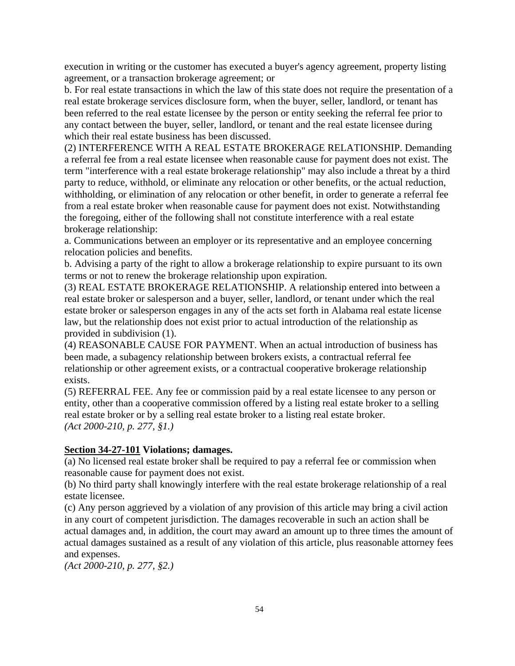execution in writing or the customer has executed a buyer's agency agreement, property listing agreement, or a transaction brokerage agreement; or

b. For real estate transactions in which the law of this state does not require the presentation of a real estate brokerage services disclosure form, when the buyer, seller, landlord, or tenant has been referred to the real estate licensee by the person or entity seeking the referral fee prior to any contact between the buyer, seller, landlord, or tenant and the real estate licensee during which their real estate business has been discussed.

(2) INTERFERENCE WITH A REAL ESTATE BROKERAGE RELATIONSHIP. Demanding a referral fee from a real estate licensee when reasonable cause for payment does not exist. The term "interference with a real estate brokerage relationship" may also include a threat by a third party to reduce, withhold, or eliminate any relocation or other benefits, or the actual reduction, withholding, or elimination of any relocation or other benefit, in order to generate a referral fee from a real estate broker when reasonable cause for payment does not exist. Notwithstanding the foregoing, either of the following shall not constitute interference with a real estate brokerage relationship:

a. Communications between an employer or its representative and an employee concerning relocation policies and benefits.

b. Advising a party of the right to allow a brokerage relationship to expire pursuant to its own terms or not to renew the brokerage relationship upon expiration.

(3) REAL ESTATE BROKERAGE RELATIONSHIP. A relationship entered into between a real estate broker or salesperson and a buyer, seller, landlord, or tenant under which the real estate broker or salesperson engages in any of the acts set forth in Alabama real estate license law, but the relationship does not exist prior to actual introduction of the relationship as provided in subdivision (1).

(4) REASONABLE CAUSE FOR PAYMENT. When an actual introduction of business has been made, a subagency relationship between brokers exists, a contractual referral fee relationship or other agreement exists, or a contractual cooperative brokerage relationship exists.

(5) REFERRAL FEE. Any fee or commission paid by a real estate licensee to any person or entity, other than a cooperative commission offered by a listing real estate broker to a selling real estate broker or by a selling real estate broker to a listing real estate broker. *(Act 2000-210, p. 277, §1.)*

## **Section 34-27-101 Violations; damages.**

(a) No licensed real estate broker shall be required to pay a referral fee or commission when reasonable cause for payment does not exist.

(b) No third party shall knowingly interfere with the real estate brokerage relationship of a real estate licensee.

(c) Any person aggrieved by a violation of any provision of this article may bring a civil action in any court of competent jurisdiction. The damages recoverable in such an action shall be actual damages and, in addition, the court may award an amount up to three times the amount of actual damages sustained as a result of any violation of this article, plus reasonable attorney fees and expenses.

*(Act 2000-210, p. 277, §2.)*